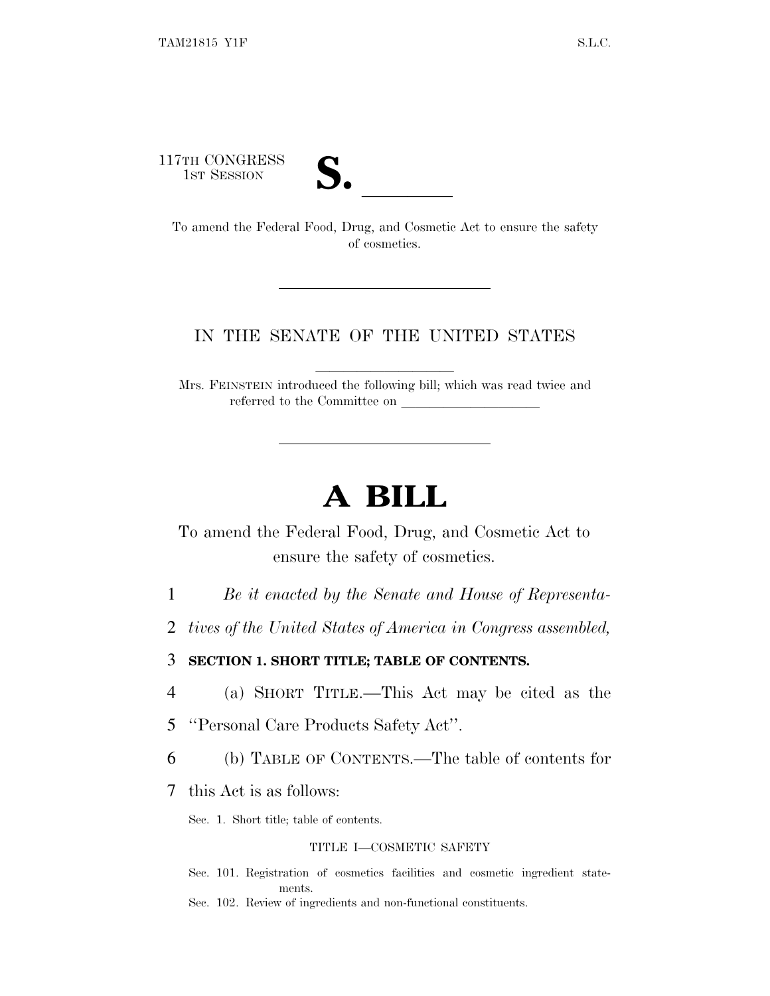117TH CONGRESS



TH CONGRESS<br>
1ST SESSION<br>
To amend the Federal Food, Drug, and Cosmetic Act to ensure the safety of cosmetics.

### IN THE SENATE OF THE UNITED STATES

Mrs. FEINSTEIN introduced the following bill; which was read twice and referred to the Committee on

# **A BILL**

To amend the Federal Food, Drug, and Cosmetic Act to ensure the safety of cosmetics.

- 1 *Be it enacted by the Senate and House of Representa-*
- 2 *tives of the United States of America in Congress assembled,*

3 **SECTION 1. SHORT TITLE; TABLE OF CONTENTS.**

- 4 (a) SHORT TITLE.—This Act may be cited as the
- 5 ''Personal Care Products Safety Act''.
- 6 (b) TABLE OF CONTENTS.—The table of contents for
- 7 this Act is as follows:

Sec. 1. Short title; table of contents.

#### TITLE I—COSMETIC SAFETY

Sec. 101. Registration of cosmetics facilities and cosmetic ingredient statements.

Sec. 102. Review of ingredients and non-functional constituents.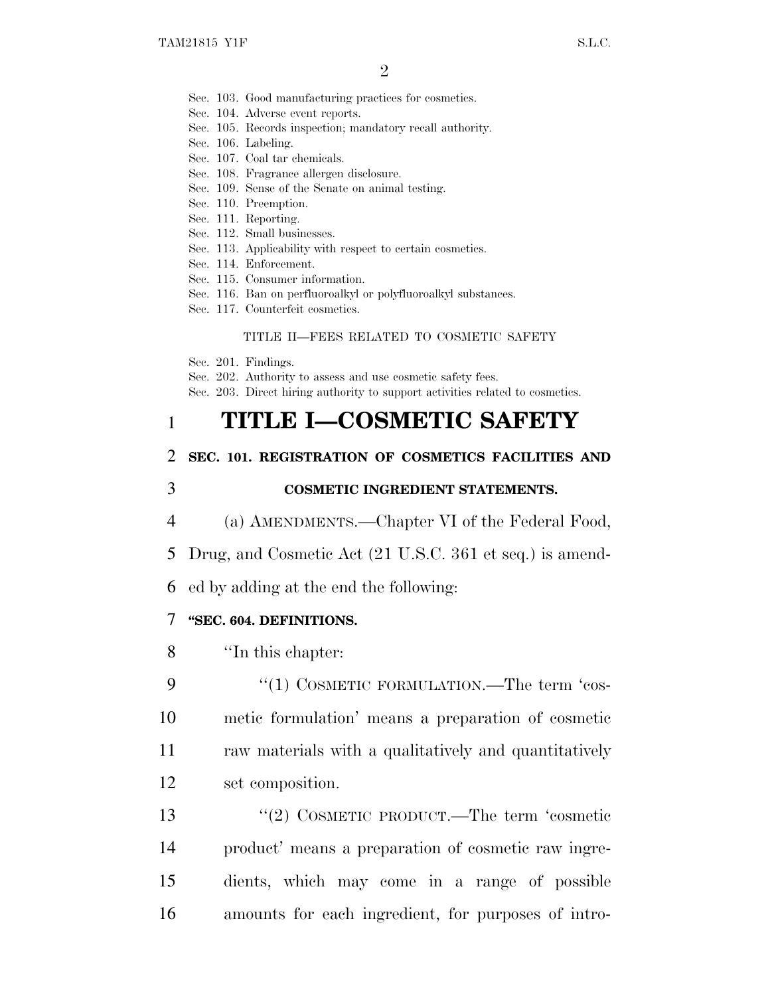- Sec. 103. Good manufacturing practices for cosmetics.
- Sec. 104. Adverse event reports.
- Sec. 105. Records inspection; mandatory recall authority.
- Sec. 106. Labeling.
- Sec. 107. Coal tar chemicals.
- Sec. 108. Fragrance allergen disclosure.
- Sec. 109. Sense of the Senate on animal testing.
- Sec. 110. Preemption.
- Sec. 111. Reporting.
- Sec. 112. Small businesses.
- Sec. 113. Applicability with respect to certain cosmetics.
- Sec. 114. Enforcement.
- Sec. 115. Consumer information.
- Sec. 116. Ban on perfluoroalkyl or polyfluoroalkyl substances.
- Sec. 117. Counterfeit cosmetics.

#### TITLE II—FEES RELATED TO COSMETIC SAFETY

- Sec. 201. Findings.
- Sec. 202. Authority to assess and use cosmetic safety fees.
- Sec. 203. Direct hiring authority to support activities related to cosmetics.

# 1 **TITLE I—COSMETIC SAFETY**

#### 2 **SEC. 101. REGISTRATION OF COSMETICS FACILITIES AND**

### 3 **COSMETIC INGREDIENT STATEMENTS.**

- 4 (a) AMENDMENTS.—Chapter VI of the Federal Food,
- 5 Drug, and Cosmetic Act (21 U.S.C. 361 et seq.) is amend-

6 ed by adding at the end the following:

#### 7 **''SEC. 604. DEFINITIONS.**

8 ''In this chapter:

9 "(1) COSMETIC FORMULATION.—The term 'cos- metic formulation' means a preparation of cosmetic raw materials with a qualitatively and quantitatively set composition.

13 "(2) COSMETIC PRODUCT.—The term 'cosmetic product' means a preparation of cosmetic raw ingre- dients, which may come in a range of possible amounts for each ingredient, for purposes of intro-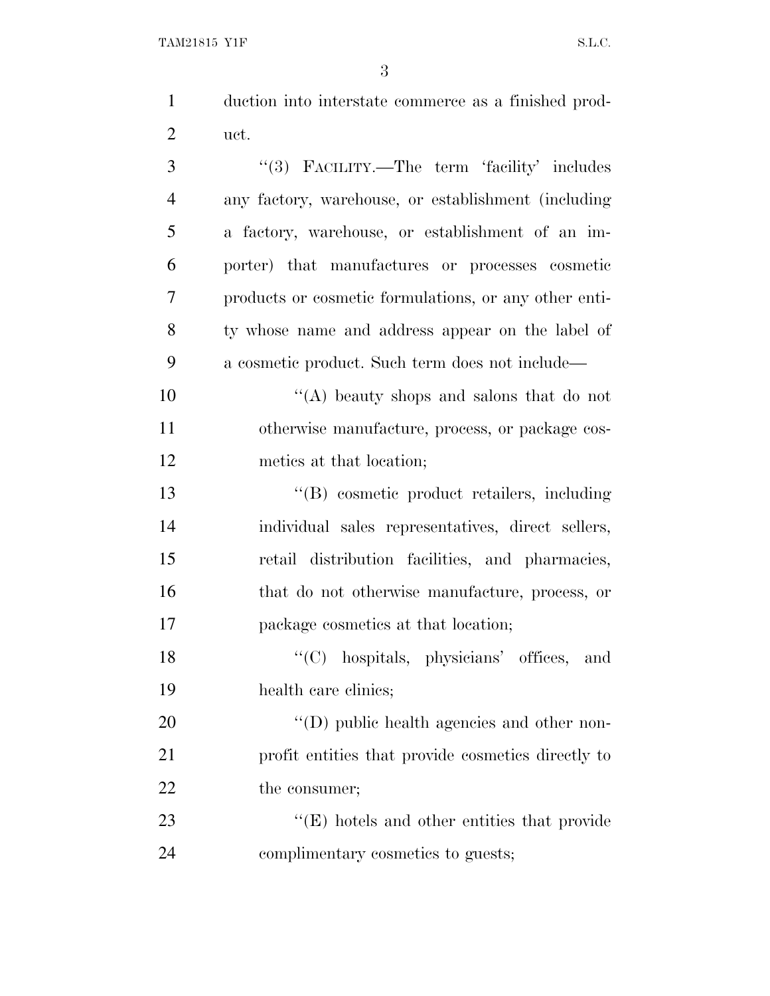| $\mathbf{1}$   | duction into interstate commerce as a finished prod-  |
|----------------|-------------------------------------------------------|
| $\overline{2}$ | uct.                                                  |
| 3              | "(3) FACILITY.—The term 'facility' includes           |
| $\overline{4}$ | any factory, warehouse, or establishment (including   |
| 5              | a factory, warehouse, or establishment of an im-      |
| 6              | porter) that manufactures or processes cosmetic       |
| 7              | products or cosmetic formulations, or any other enti- |
| 8              | ty whose name and address appear on the label of      |
| 9              | a cosmetic product. Such term does not include—       |
| 10             | "(A) beauty shops and salons that do not              |
| 11             | otherwise manufacture, process, or package cos-       |
| 12             | metics at that location;                              |
| 13             | "(B) cosmetic product retailers, including            |
| 14             | individual sales representatives, direct sellers,     |
| 15             | retail distribution facilities, and pharmacies,       |
| 16             | that do not otherwise manufacture, process, or        |
| 17             | package cosmetics at that location;                   |
| 18             | "(C) hospitals, physicians' offices,<br>and           |
| 19             | health care clinics;                                  |

20  $"$ (D) public health agencies and other non- profit entities that provide cosmetics directly to 22 the consumer;

23 ''(E) hotels and other entities that provide complimentary cosmetics to guests;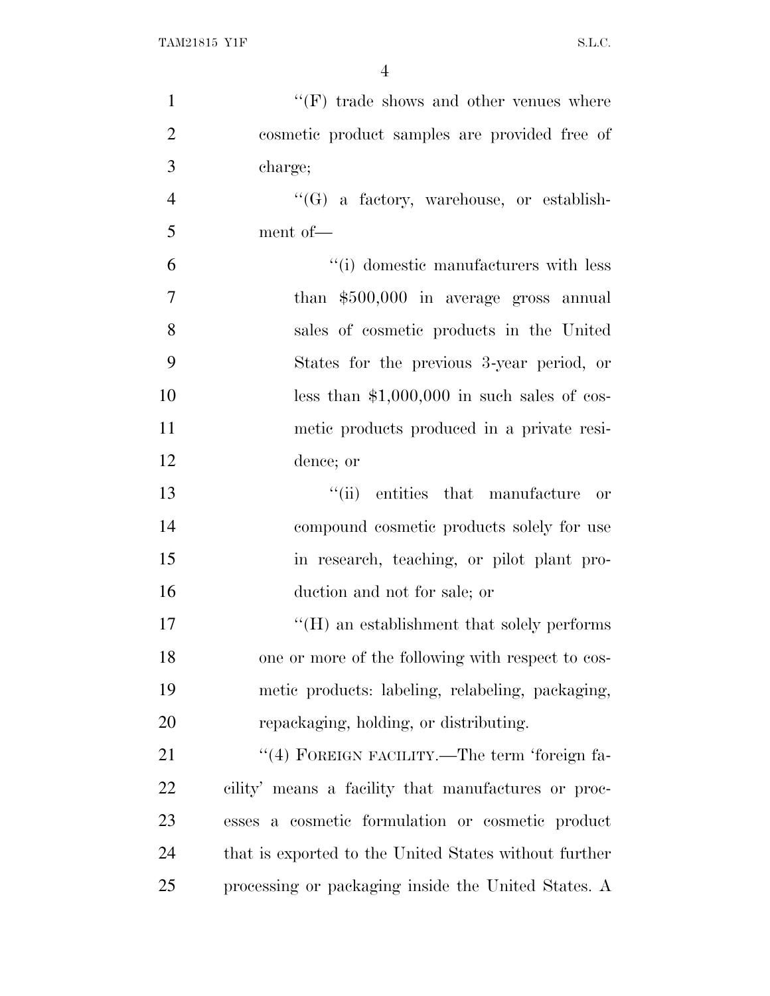| $\mathbf{1}$   | $``(F)$ trade shows and other venues where                      |
|----------------|-----------------------------------------------------------------|
| $\overline{2}$ | cosmetic product samples are provided free of                   |
| 3              | charge;                                                         |
| $\overline{4}$ | $\lq\lq(G)$ a factory, warehouse, or establish-                 |
| 5              | ment of-                                                        |
| 6              | "(i) domestic manufacturers with less                           |
| $\overline{7}$ | than \$500,000 in average gross annual                          |
| 8              | sales of cosmetic products in the United                        |
| 9              | States for the previous 3-year period, or                       |
| 10             | less than $$1,000,000$ in such sales of cos-                    |
| 11             | metic products produced in a private resi-                      |
| 12             | dence; or                                                       |
| 13             | "(ii) entities that manufacture<br>or                           |
| 14             | compound cosmetic products solely for use                       |
| 15             | in research, teaching, or pilot plant pro-                      |
| 16             | duction and not for sale; or                                    |
| 17             | $\rm ^{\prime \prime}(H)$ an establishment that solely performs |
| 18             | one or more of the following with respect to cos-               |
| 19             | metic products: labeling, relabeling, packaging,                |
| 20             | repackaging, holding, or distributing.                          |
| 21             | "(4) FOREIGN FACILITY.—The term 'foreign fa-                    |
| 22             | cility' means a facility that manufactures or proc-             |
| 23             | esses a cosmetic formulation or cosmetic product                |
| 24             | that is exported to the United States without further           |
| 25             | processing or packaging inside the United States. A             |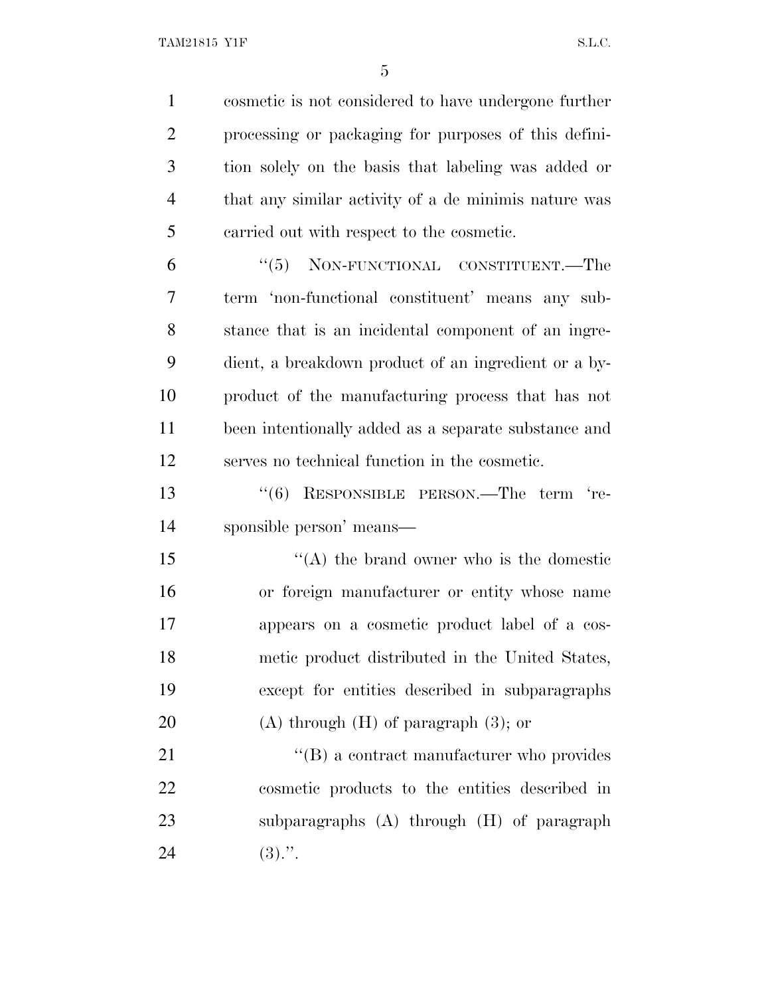cosmetic is not considered to have undergone further processing or packaging for purposes of this defini- tion solely on the basis that labeling was added or that any similar activity of a de minimis nature was carried out with respect to the cosmetic.

 ''(5) NON-FUNCTIONAL CONSTITUENT.—The term 'non-functional constituent' means any sub- stance that is an incidental component of an ingre- dient, a breakdown product of an ingredient or a by- product of the manufacturing process that has not been intentionally added as a separate substance and serves no technical function in the cosmetic.

 ''(6) RESPONSIBLE PERSON.—The term 're-sponsible person' means—

 $\langle (A)$  the brand owner who is the domestic or foreign manufacturer or entity whose name appears on a cosmetic product label of a cos- metic product distributed in the United States, except for entities described in subparagraphs 20 (A) through  $(H)$  of paragraph  $(3)$ ; or

21 ''(B) a contract manufacturer who provides cosmetic products to the entities described in subparagraphs (A) through (H) of paragraph 24  $(3)$ .".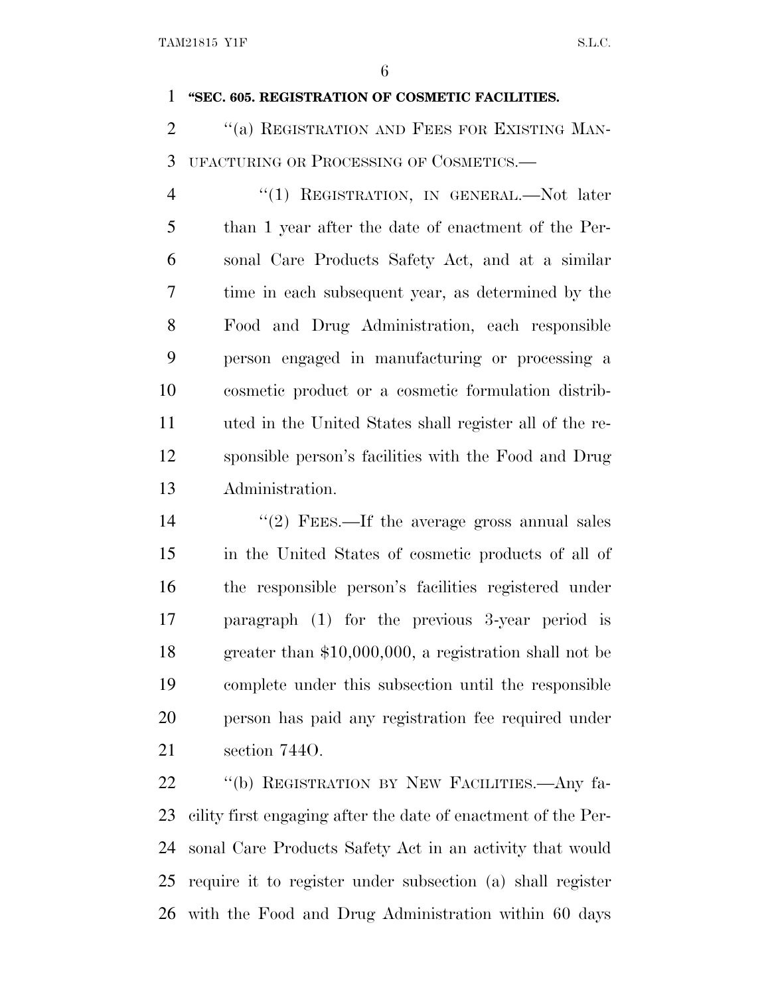#### **''SEC. 605. REGISTRATION OF COSMETIC FACILITIES.**

2 <sup>"</sup>(a) REGISTRATION AND FEES FOR EXISTING MAN-UFACTURING OR PROCESSING OF COSMETICS.—

4 "(1) REGISTRATION, IN GENERAL.—Not later than 1 year after the date of enactment of the Per- sonal Care Products Safety Act, and at a similar time in each subsequent year, as determined by the Food and Drug Administration, each responsible person engaged in manufacturing or processing a cosmetic product or a cosmetic formulation distrib- uted in the United States shall register all of the re- sponsible person's facilities with the Food and Drug Administration.

14 ''(2) FEES.—If the average gross annual sales in the United States of cosmetic products of all of the responsible person's facilities registered under paragraph (1) for the previous 3-year period is greater than \$10,000,000, a registration shall not be complete under this subsection until the responsible person has paid any registration fee required under section 744O.

 ''(b) REGISTRATION BY NEW FACILITIES.—Any fa- cility first engaging after the date of enactment of the Per- sonal Care Products Safety Act in an activity that would require it to register under subsection (a) shall register with the Food and Drug Administration within 60 days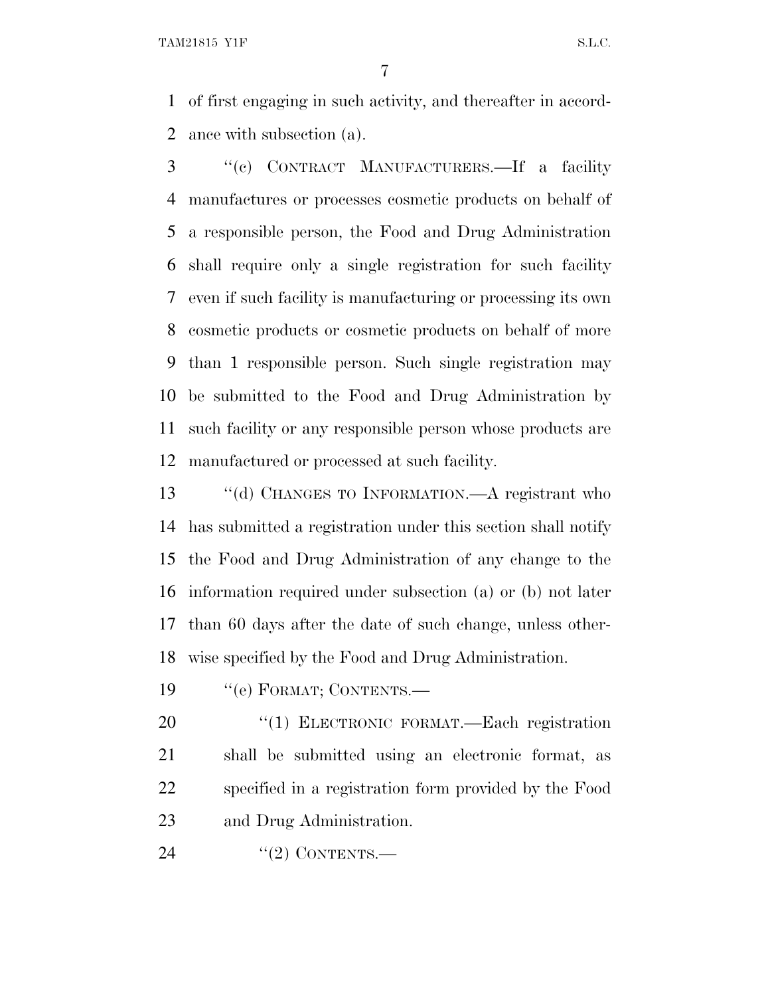of first engaging in such activity, and thereafter in accord-ance with subsection (a).

 ''(c) CONTRACT MANUFACTURERS.—If a facility manufactures or processes cosmetic products on behalf of a responsible person, the Food and Drug Administration shall require only a single registration for such facility even if such facility is manufacturing or processing its own cosmetic products or cosmetic products on behalf of more than 1 responsible person. Such single registration may be submitted to the Food and Drug Administration by such facility or any responsible person whose products are manufactured or processed at such facility.

 ''(d) CHANGES TO INFORMATION.—A registrant who has submitted a registration under this section shall notify the Food and Drug Administration of any change to the information required under subsection (a) or (b) not later than 60 days after the date of such change, unless other-wise specified by the Food and Drug Administration.

19 " (e) FORMAT; CONTENTS.—

20 "(1) ELECTRONIC FORMAT.—Each registration shall be submitted using an electronic format, as specified in a registration form provided by the Food and Drug Administration.

24 "(2) CONTENTS.—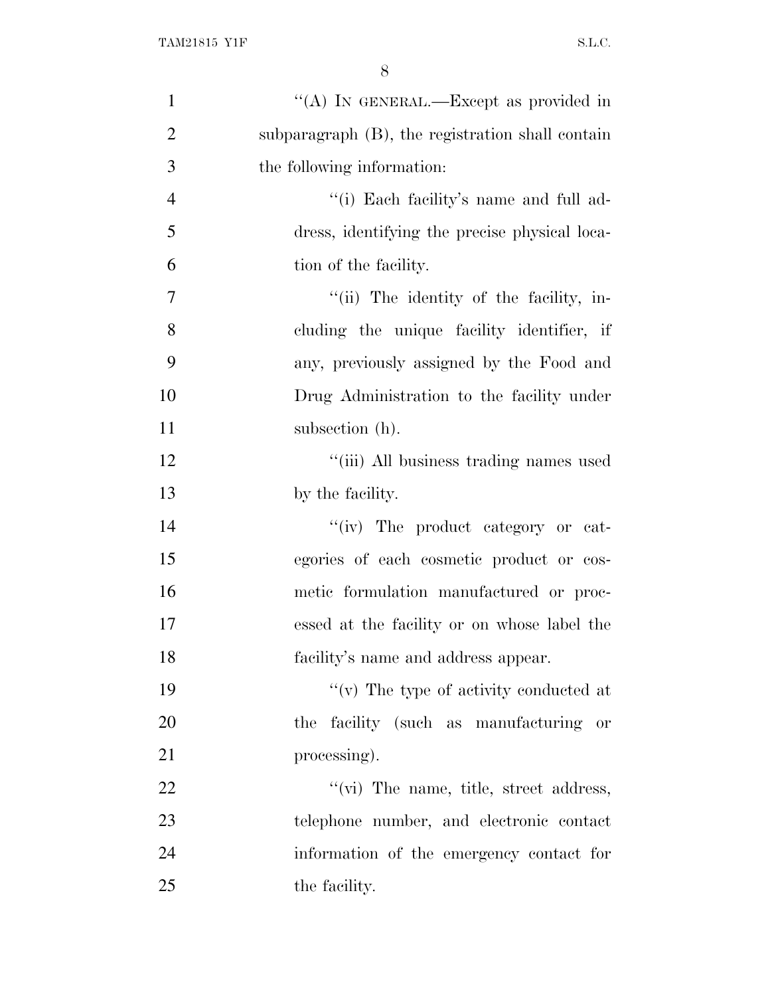| $\mathbf{1}$   | "(A) IN GENERAL.—Except as provided in           |
|----------------|--------------------------------------------------|
| $\overline{2}$ | subparagraph (B), the registration shall contain |
| 3              | the following information:                       |
| $\overline{4}$ | "(i) Each facility's name and full ad-           |
| 5              | dress, identifying the precise physical loca-    |
| 6              | tion of the facility.                            |
| $\overline{7}$ | "(ii) The identity of the facility, in-          |
| 8              | cluding the unique facility identifier, if       |
| 9              | any, previously assigned by the Food and         |
| 10             | Drug Administration to the facility under        |
| 11             | subsection (h).                                  |
| 12             | "(iii) All business trading names used           |
| 13             | by the facility.                                 |
| 14             | "(iv) The product category or cat-               |
| 15             | egories of each cosmetic product or cos-         |
| 16             | metic formulation manufactured or proc-          |
| 17             | essed at the facility or on whose label the      |
| 18             | facility's name and address appear.              |
| 19             | "(v) The type of activity conducted at           |
| 20             | the facility (such as manufacturing or           |
| 21             | processing).                                     |
| 22             | "(vi) The name, title, street address,           |
| 23             | telephone number, and electronic contact         |
| 24             | information of the emergency contact for         |
| 25             | the facility.                                    |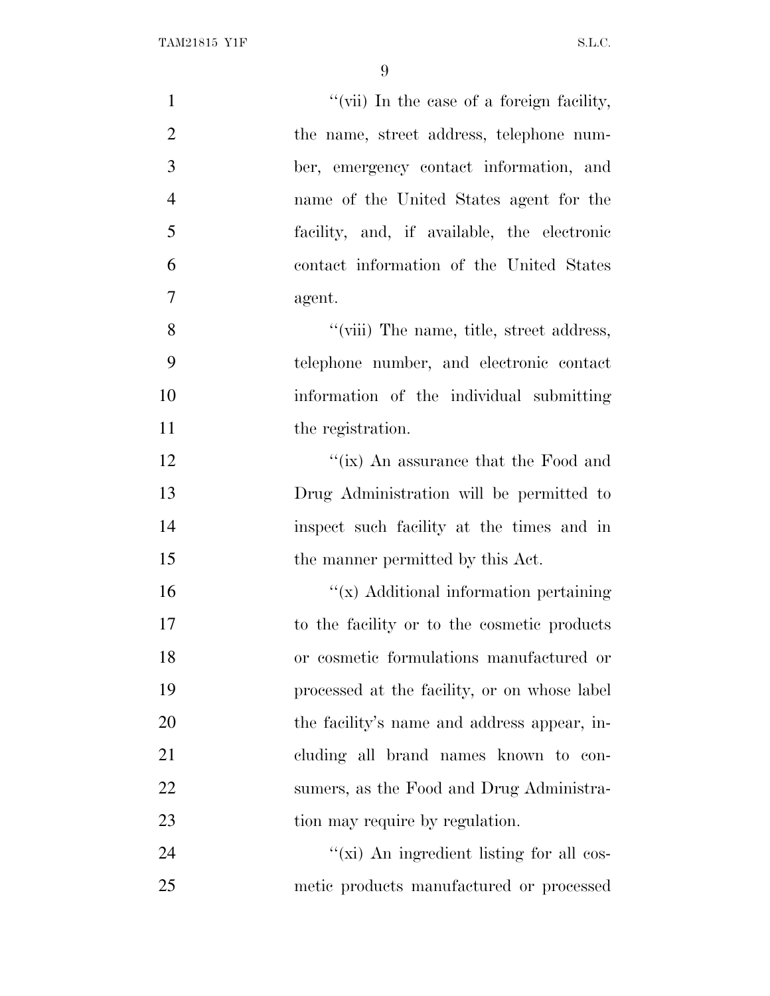| $\mathbf{1}$   | "(vii) In the case of a foreign facility,    |
|----------------|----------------------------------------------|
| $\overline{2}$ | the name, street address, telephone num-     |
| 3              | ber, emergency contact information, and      |
| $\overline{4}$ | name of the United States agent for the      |
| 5              | facility, and, if available, the electronic  |
| 6              | contact information of the United States     |
| $\overline{7}$ | agent.                                       |
| 8              | "(viii) The name, title, street address,     |
| 9              | telephone number, and electronic contact     |
| 10             | information of the individual submitting     |
| 11             | the registration.                            |
| 12             | "(ix) An assurance that the Food and         |
| 13             | Drug Administration will be permitted to     |
| 14             | inspect such facility at the times and in    |
| 15             | the manner permitted by this Act.            |
| 16             | "(x) Additional information pertaining       |
| 17             | to the facility or to the cosmetic products  |
| 18             | or cosmetic formulations manufactured or     |
| 19             | processed at the facility, or on whose label |
| 20             | the facility's name and address appear, in-  |
| 21             | cluding all brand names known to con-        |
| 22             | sumers, as the Food and Drug Administra-     |
| 23             | tion may require by regulation.              |
| 24             | "(xi) An ingredient listing for all cos-     |
| 25             | metic products manufactured or processed     |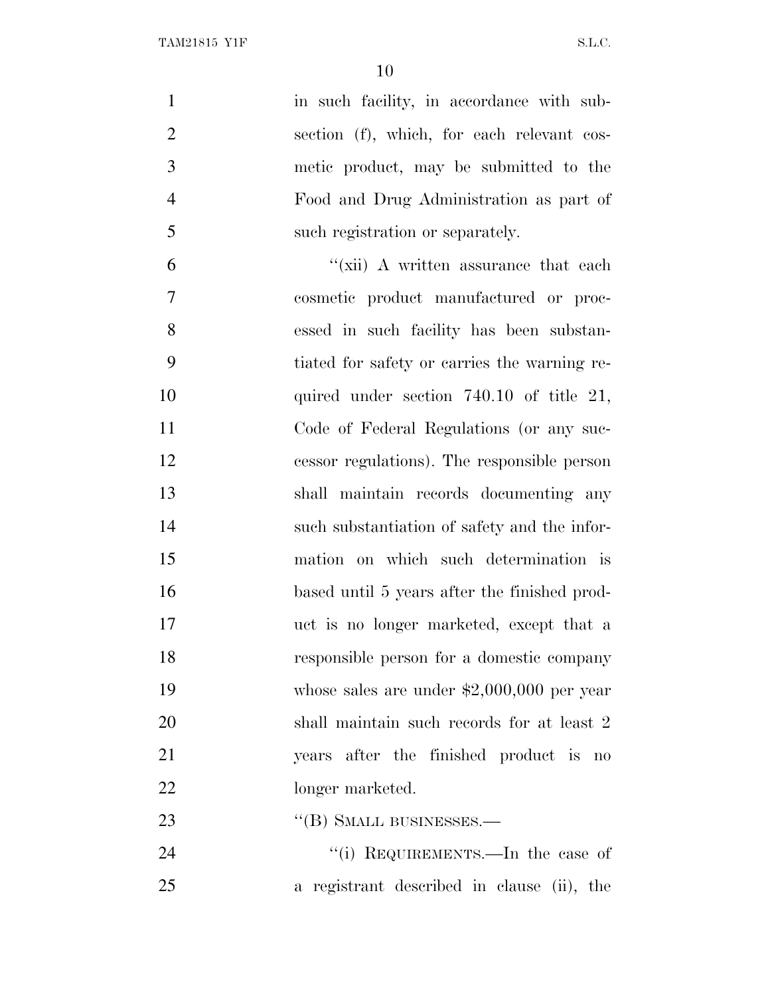| $\mathbf{1}$   | in such facility, in accordance with sub-    |
|----------------|----------------------------------------------|
| $\overline{2}$ | section (f), which, for each relevant cos-   |
| 3              | metic product, may be submitted to the       |
| $\overline{4}$ | Food and Drug Administration as part of      |
| 5              | such registration or separately.             |
| 6              | "(xii) A written assurance that each         |
| $\overline{7}$ | cosmetic product manufactured or proc-       |
| 8              | essed in such facility has been substan-     |
| 9              | tiated for safety or carries the warning re- |
| 10             | quired under section $740.10$ of title 21,   |
| 11             | Code of Federal Regulations (or any suc-     |
| 12             | cessor regulations). The responsible person  |
| 13             | shall maintain records documenting any       |
| 14             | such substantiation of safety and the infor- |
| 15             | mation on which such determination is        |
| 16             | based until 5 years after the finished prod- |
| 17             | uct is no longer marketed, except that a     |
| 18             | responsible person for a domestic company    |
| 19             | whose sales are under $$2,000,000$ per year  |
| 20             | shall maintain such records for at least 2   |
| 21             | years after the finished product is no       |
| 22             | longer marketed.                             |
| 23             | $\cdot$ (B) SMALL BUSINESSES.—               |
| 24             | "(i) REQUIREMENTS.—In the case of            |

a registrant described in clause (ii), the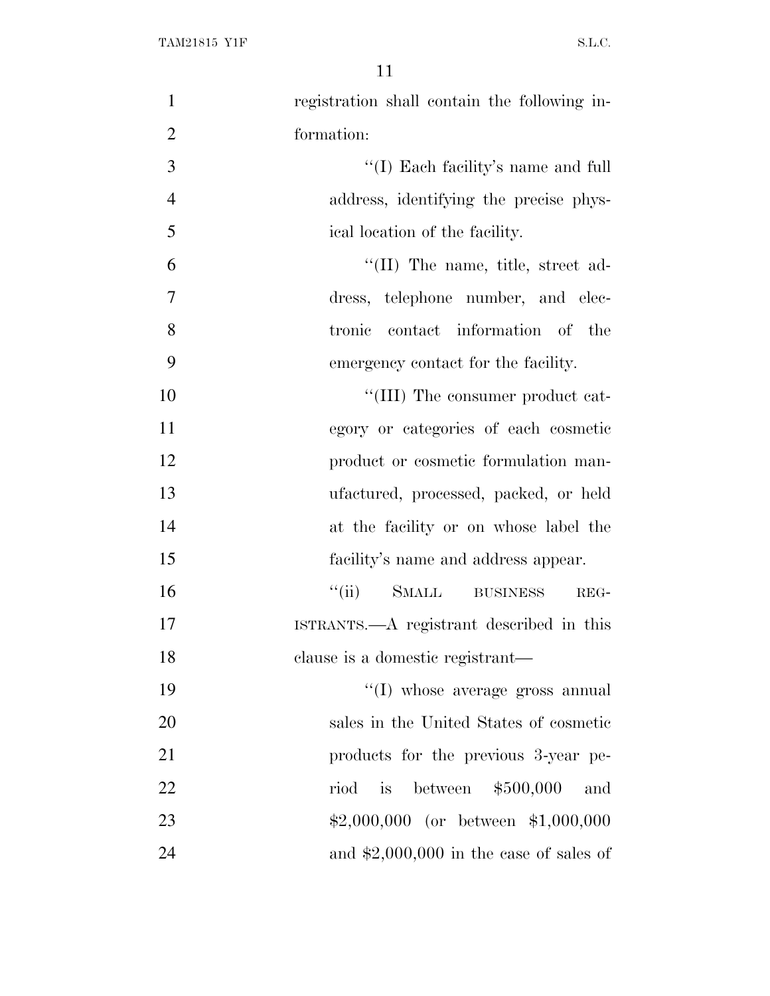| $\mathbf{1}$   | registration shall contain the following in- |
|----------------|----------------------------------------------|
| $\overline{2}$ | formation:                                   |
| 3              | "(I) Each facility's name and full           |
| $\overline{4}$ | address, identifying the precise phys-       |
| 5              | ical location of the facility.               |
| 6              | $\lq$ (II) The name, title, street ad-       |
| $\overline{7}$ | dress, telephone number, and elec-           |
| 8              | tronic contact information of the            |
| 9              | emergency contact for the facility.          |
| 10             | "(III) The consumer product cat-             |
| 11             | egory or categories of each cosmetic         |
| 12             | product or cosmetic formulation man-         |
| 13             | ufactured, processed, packed, or held        |
| 14             | at the facility or on whose label the        |
| 15             | facility's name and address appear.          |
| 16             | "(ii) SMALL BUSINESS<br>REG-                 |
| 17             | ISTRANTS.—A registrant described in this     |
| 18             | clause is a domestic registrant—             |
| 19             | "(I) whose average gross annual              |
| 20             | sales in the United States of cosmetic       |
| 21             | products for the previous 3-year pe-         |
| 22             | between $$500,000$<br>is<br>riod<br>and      |
| 23             | $$2,000,000$ (or between \$1,000,000         |
| 24             | and $$2,000,000$ in the case of sales of     |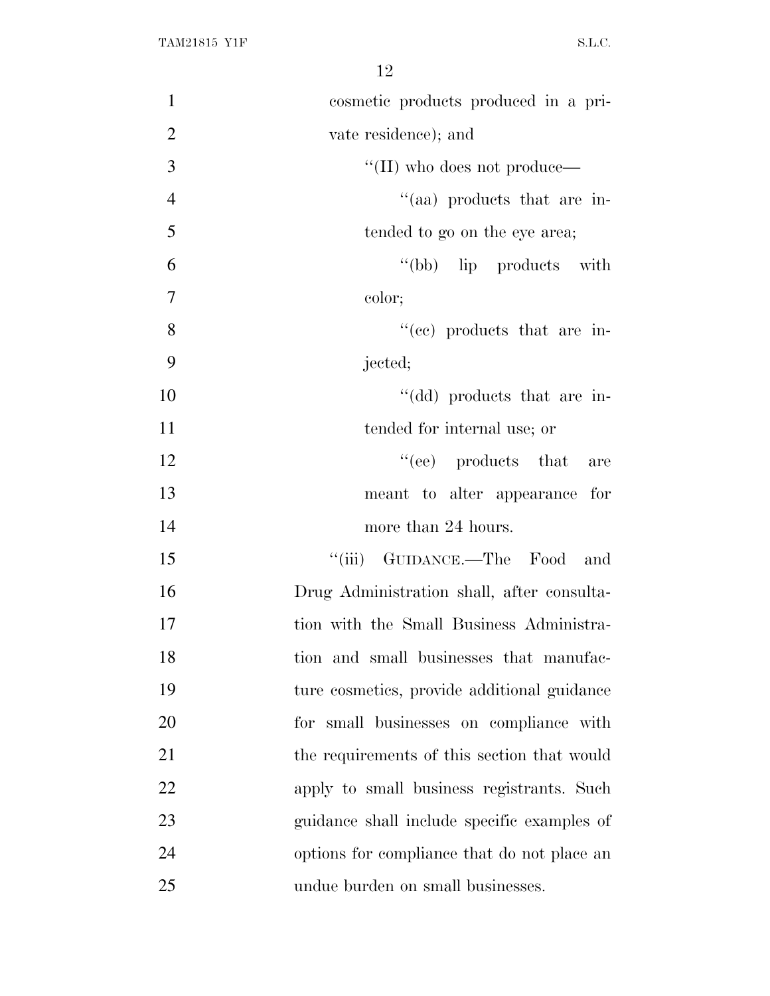| $\mathbf{1}$   | cosmetic products produced in a pri-        |
|----------------|---------------------------------------------|
| $\overline{2}$ | vate residence); and                        |
| 3              | $\lq\lq$ (II) who does not produce—         |
| $\overline{4}$ | "(aa) products that are in-                 |
| 5              | tended to go on the eye area;               |
| 6              | "(bb) lip products with                     |
| $\overline{7}$ | color;                                      |
| 8              | "(ee) products that are in-                 |
| 9              | jected;                                     |
| 10             | "(dd) products that are in-                 |
| 11             | tended for internal use; or                 |
| 12             | $\lq\lq$ (ee) products that<br>are          |
| 13             | meant to alter appearance for               |
| 14             | more than 24 hours.                         |
| 15             | "(iii) GUIDANCE.—The Food<br>and            |
| 16             | Drug Administration shall, after consulta-  |
| 17             | tion with the Small Business Administra-    |
| 18             | tion and small businesses that manufac-     |
| 19             | ture cosmetics, provide additional guidance |
| 20             | for small businesses on compliance with     |
| 21             | the requirements of this section that would |
| 22             | apply to small business registrants. Such   |
| 23             | guidance shall include specific examples of |
| 24             | options for compliance that do not place an |
| 25             | undue burden on small businesses.           |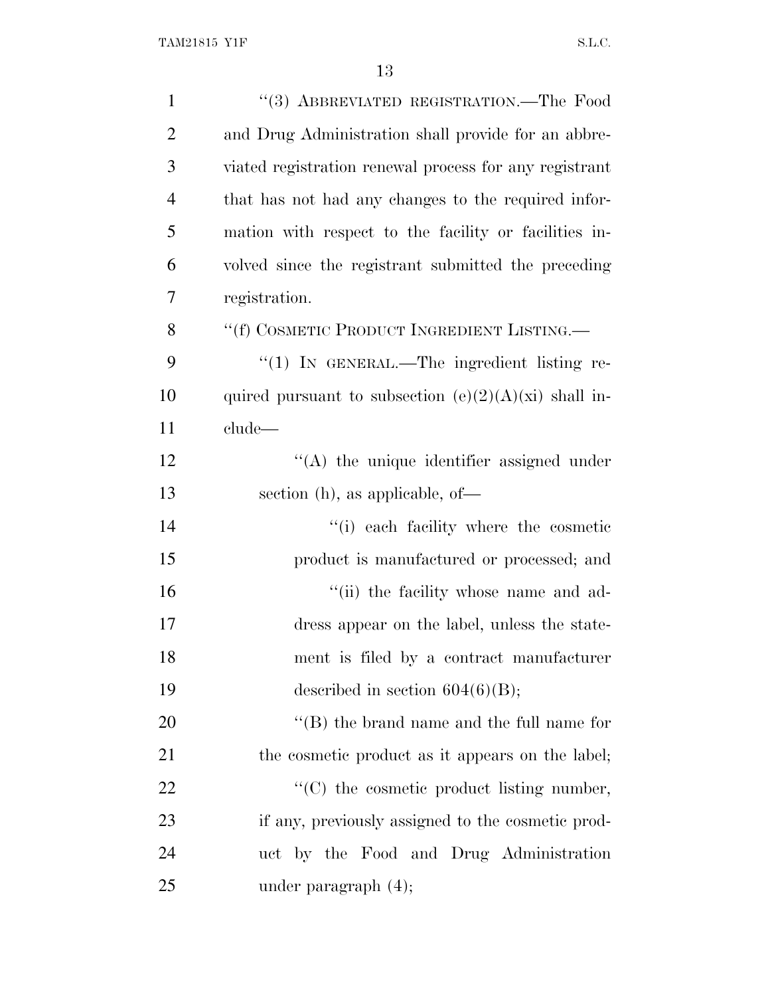| $\mathbf{1}$   | "(3) ABBREVIATED REGISTRATION.—The Food                 |
|----------------|---------------------------------------------------------|
| $\overline{2}$ | and Drug Administration shall provide for an abbre-     |
| 3              | viated registration renewal process for any registrant  |
| $\overline{4}$ | that has not had any changes to the required infor-     |
| 5              | mation with respect to the facility or facilities in-   |
| 6              | volved since the registrant submitted the preceding     |
| 7              | registration.                                           |
| 8              | "(f) COSMETIC PRODUCT INGREDIENT LISTING.—              |
| 9              | $\lq(1)$ In GENERAL.—The ingredient listing re-         |
| 10             | quired pursuant to subsection $(e)(2)(A)(xi)$ shall in- |
| 11             | clude—                                                  |
| 12             | $\lq\lq$ the unique identifier assigned under           |
| 13             | section (h), as applicable, of-                         |
| 14             | "(i) each facility where the cosmetic                   |
| 15             | product is manufactured or processed; and               |
| 16             | "(ii) the facility whose name and ad-                   |
| 17             | dress appear on the label, unless the state-            |
| 18             | ment is filed by a contract manufacturer                |
| 19             | described in section $604(6)(B)$ ;                      |
| 20             | $\lq\lq$ the brand name and the full name for           |
| 21             | the cosmetic product as it appears on the label;        |
| 22             | "(C) the cosmetic product listing number,               |
| 23             | if any, previously assigned to the cosmetic prod-       |
| 24             | uct by the Food and Drug Administration                 |
| 25             | under paragraph $(4)$ ;                                 |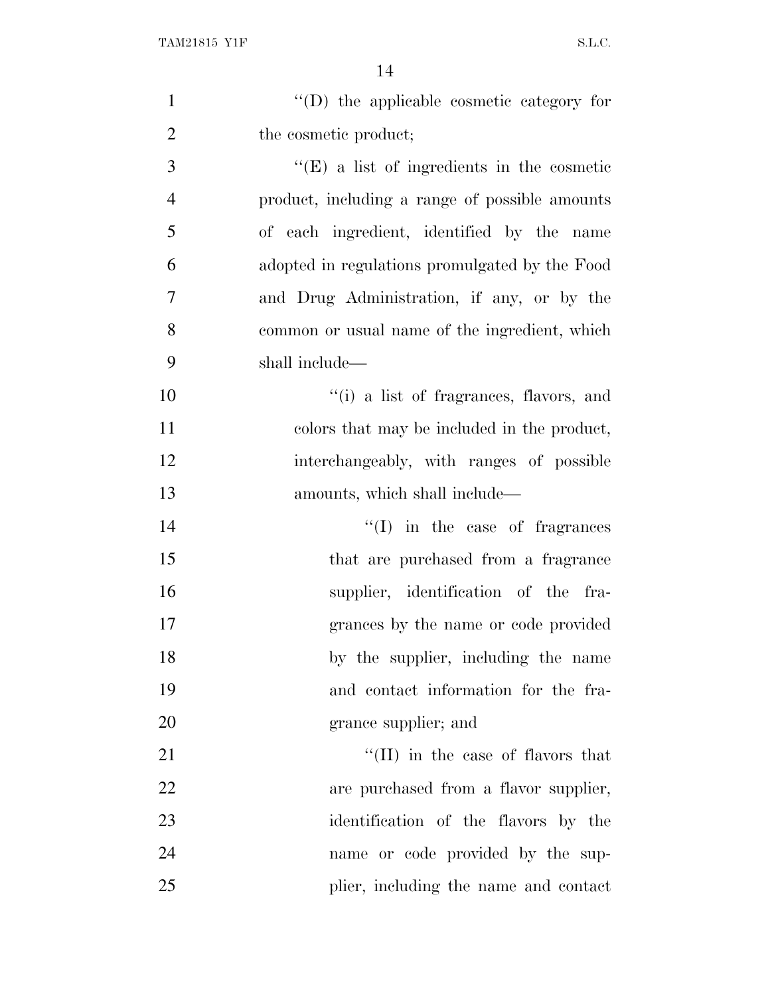| $\mathbf{1}$   | $\lq\lq$ the applicable cosmetic category for     |
|----------------|---------------------------------------------------|
| $\overline{2}$ | the cosmetic product;                             |
| 3              | $\lq\lq(E)$ a list of ingredients in the cosmetic |
| $\overline{4}$ | product, including a range of possible amounts    |
| 5              | of each ingredient, identified by the name        |
| 6              | adopted in regulations promulgated by the Food    |
| 7              | and Drug Administration, if any, or by the        |
| 8              | common or usual name of the ingredient, which     |
| 9              | shall include—                                    |
| 10             | "(i) a list of fragrances, flavors, and           |
| 11             | colors that may be included in the product,       |
| 12             | interchangeably, with ranges of possible          |
| 13             | amounts, which shall include—                     |
| 14             | $\lq\lq$ (I) in the case of fragrances            |
| 15             | that are purchased from a fragrance               |
| 16             | supplier, identification of the fra-              |
| 17             | grances by the name or code provided              |
| 18             | by the supplier, including the name               |
| 19             | and contact information for the fra-              |
| 20             | grance supplier; and                              |
| 21             | "(II) in the case of flavors that                 |
| 22             | are purchased from a flavor supplier,             |
| 23             | identification of the flavors by the              |
| 24             | name or code provided by the sup-                 |
| 25             | plier, including the name and contact             |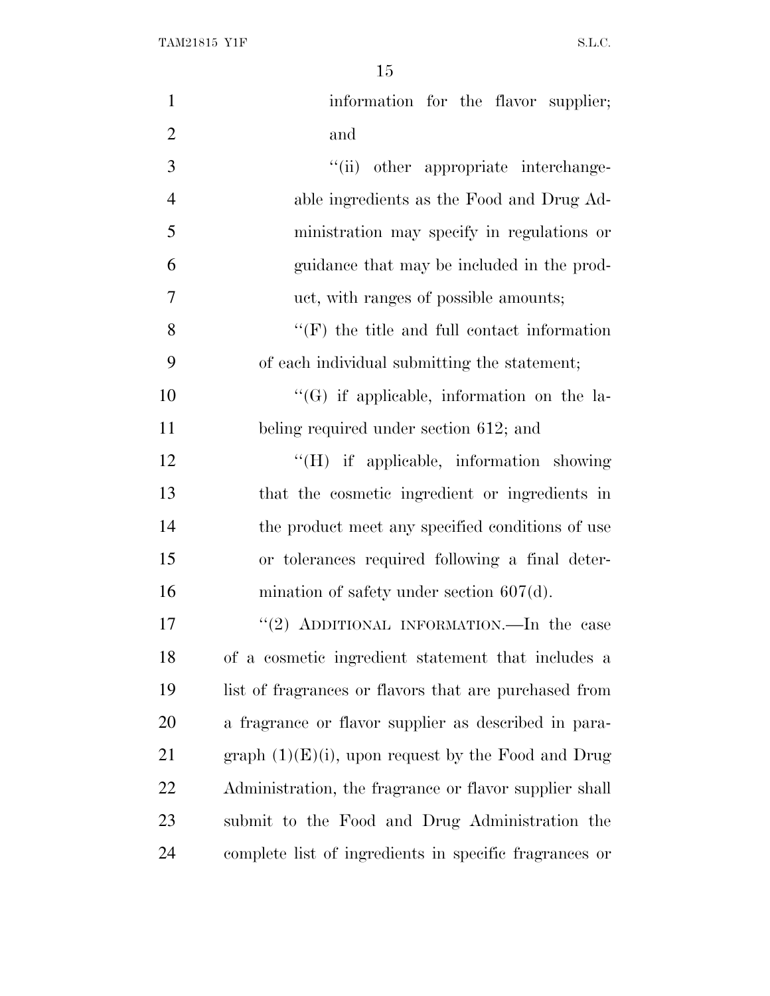| $\mathbf{1}$   | information for the flavor supplier;                   |
|----------------|--------------------------------------------------------|
| $\overline{2}$ | and                                                    |
| 3              | "(ii) other appropriate interchange-                   |
| $\overline{4}$ | able ingredients as the Food and Drug Ad-              |
| 5              | ministration may specify in regulations or             |
| 6              | guidance that may be included in the prod-             |
| $\overline{7}$ | uct, with ranges of possible amounts;                  |
| 8              | $\lq\lq(F)$ the title and full contact information     |
| 9              | of each individual submitting the statement;           |
| 10             | $\lq\lq(G)$ if applicable, information on the la-      |
| 11             | beling required under section 612; and                 |
| 12             | "(H) if applicable, information showing                |
| 13             | that the cosmetic ingredient or ingredients in         |
| 14             | the product meet any specified conditions of use       |
| 15             | or tolerances required following a final deter-        |
| 16             | mination of safety under section $607(d)$ .            |
| 17             | "(2) ADDITIONAL INFORMATION.—In the case               |
| 18             | of a cosmetic ingredient statement that includes a     |
| 19             | list of fragrances or flavors that are purchased from  |
| 20             | a fragrance or flavor supplier as described in para-   |
| 21             | graph $(1)(E)(i)$ , upon request by the Food and Drug  |
| 22             | Administration, the fragrance or flavor supplier shall |
| 23             | submit to the Food and Drug Administration the         |
| 24             | complete list of ingredients in specific fragrances or |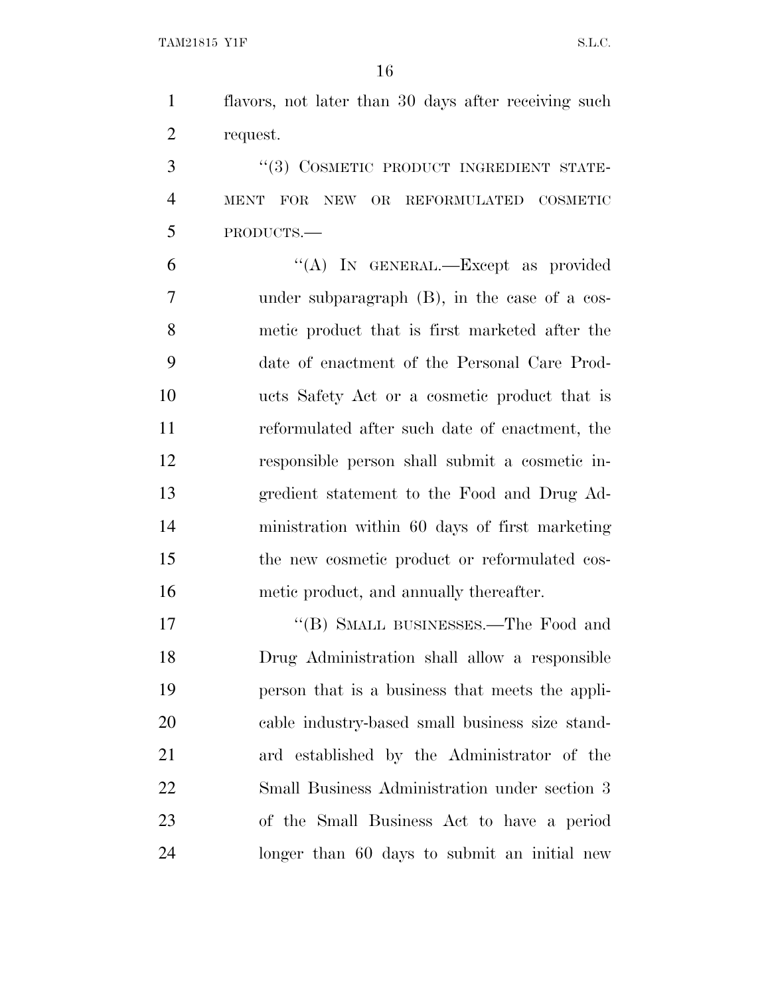flavors, not later than 30 days after receiving such request.

3 "(3) COSMETIC PRODUCT INGREDIENT STATE- MENT FOR NEW OR REFORMULATED COSMETIC PRODUCTS.—

 ''(A) IN GENERAL.—Except as provided under subparagraph (B), in the case of a cos- metic product that is first marketed after the date of enactment of the Personal Care Prod- ucts Safety Act or a cosmetic product that is reformulated after such date of enactment, the responsible person shall submit a cosmetic in- gredient statement to the Food and Drug Ad- ministration within 60 days of first marketing the new cosmetic product or reformulated cos-metic product, and annually thereafter.

17 "'(B) SMALL BUSINESSES.—The Food and Drug Administration shall allow a responsible person that is a business that meets the appli- cable industry-based small business size stand- ard established by the Administrator of the Small Business Administration under section 3 of the Small Business Act to have a period longer than 60 days to submit an initial new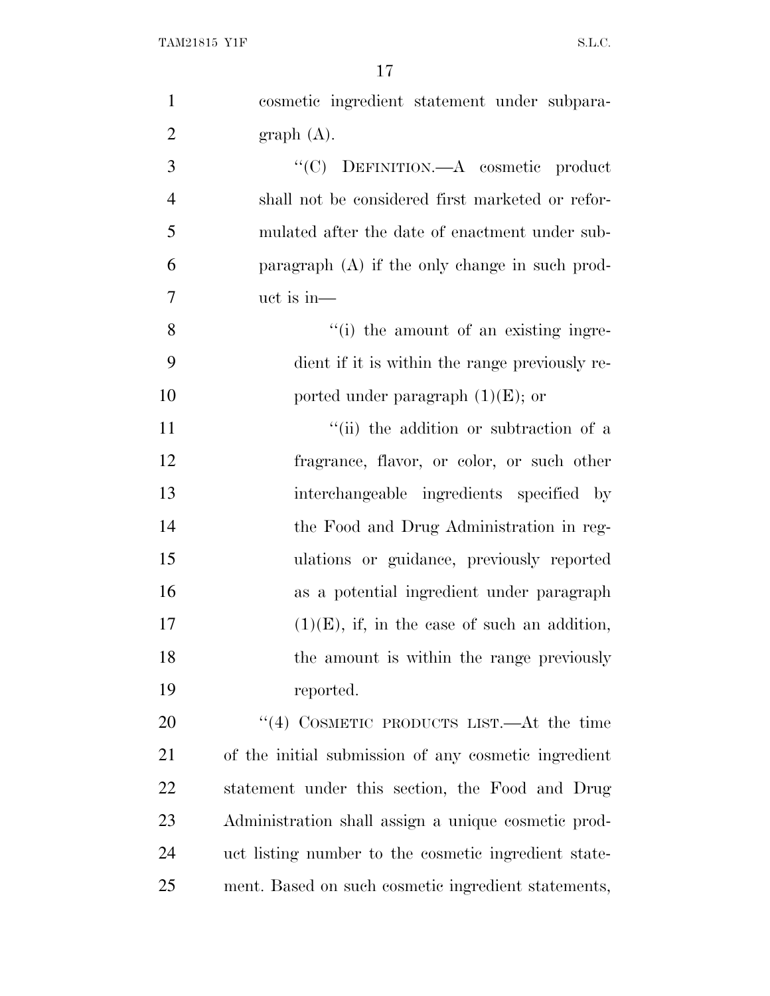| $\mathbf{1}$   | cosmetic ingredient statement under subpara-         |
|----------------|------------------------------------------------------|
| $\overline{2}$ | graph(A).                                            |
| 3              | "(C) DEFINITION.—A cosmetic product                  |
| $\overline{4}$ | shall not be considered first marketed or refor-     |
| 5              | mulated after the date of enactment under sub-       |
| 6              | paragraph $(A)$ if the only change in such prod-     |
| 7              | $uct$ is in-                                         |
| 8              | "(i) the amount of an existing ingre-                |
| 9              | dient if it is within the range previously re-       |
| 10             | ported under paragraph $(1)(E)$ ; or                 |
| 11             | "(ii) the addition or subtraction of a               |
| 12             | fragrance, flavor, or color, or such other           |
| 13             | interchangeable ingredients specified by             |
| 14             | the Food and Drug Administration in reg-             |
| 15             | ulations or guidance, previously reported            |
| 16             | as a potential ingredient under paragraph            |
| 17             | $(1)(E)$ , if, in the case of such an addition,      |
| 18             | the amount is within the range previously            |
| 19             | reported.                                            |
| 20             | "(4) COSMETIC PRODUCTS LIST.—At the time             |
| 21             | of the initial submission of any cosmetic ingredient |
| 22             | statement under this section, the Food and Drug      |
| 23             | Administration shall assign a unique cosmetic prod-  |
| 24             | uct listing number to the cosmetic ingredient state- |
| 25             | ment. Based on such cosmetic ingredient statements,  |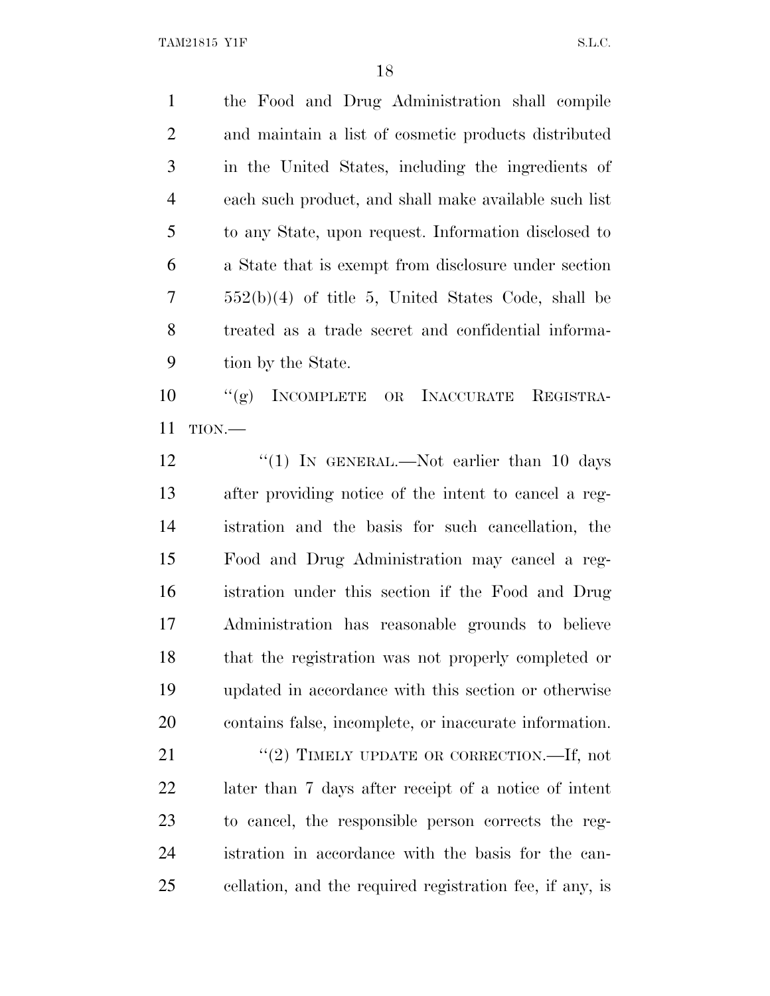the Food and Drug Administration shall compile and maintain a list of cosmetic products distributed in the United States, including the ingredients of each such product, and shall make available such list to any State, upon request. Information disclosed to a State that is exempt from disclosure under section 552(b)(4) of title 5, United States Code, shall be treated as a trade secret and confidential informa-tion by the State.

 ''(g) INCOMPLETE OR INACCURATE REGISTRA-TION.—

12 "(1) In GENERAL.—Not earlier than 10 days after providing notice of the intent to cancel a reg- istration and the basis for such cancellation, the Food and Drug Administration may cancel a reg- istration under this section if the Food and Drug Administration has reasonable grounds to believe that the registration was not properly completed or updated in accordance with this section or otherwise contains false, incomplete, or inaccurate information.

21 "(2) TIMELY UPDATE OR CORRECTION.—If, not later than 7 days after receipt of a notice of intent to cancel, the responsible person corrects the reg- istration in accordance with the basis for the can-cellation, and the required registration fee, if any, is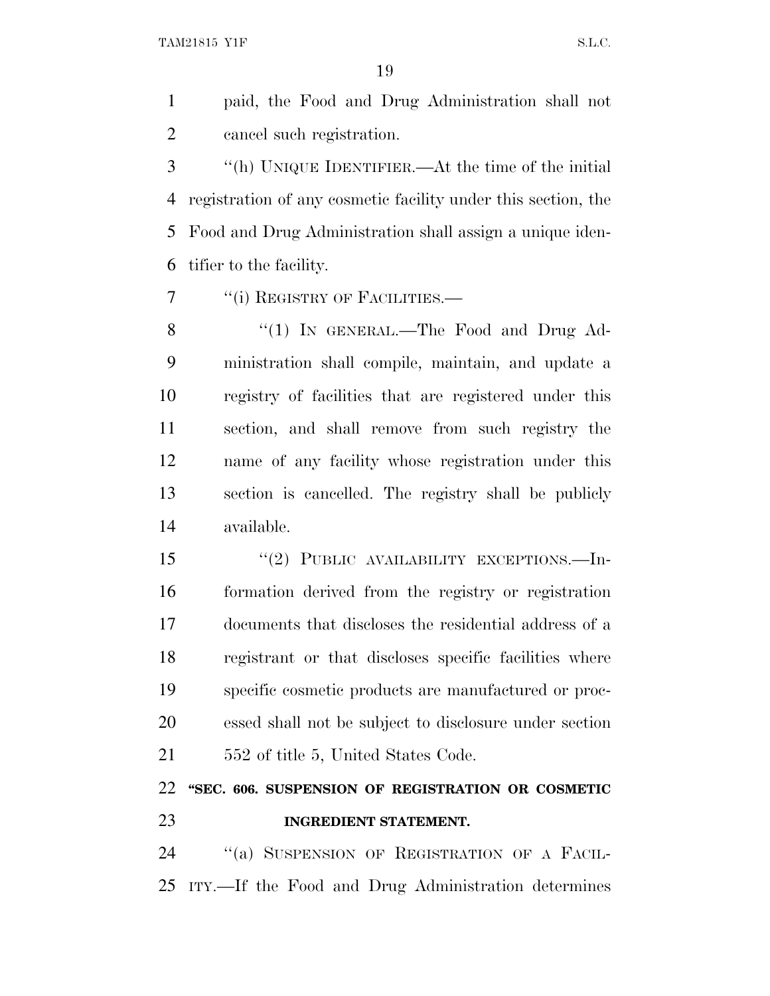paid, the Food and Drug Administration shall not cancel such registration.

 ''(h) UNIQUE IDENTIFIER.—At the time of the initial registration of any cosmetic facility under this section, the Food and Drug Administration shall assign a unique iden-tifier to the facility.

7 "(i) REGISTRY OF FACILITIES.—

8 "(1) IN GENERAL.—The Food and Drug Ad- ministration shall compile, maintain, and update a registry of facilities that are registered under this section, and shall remove from such registry the name of any facility whose registration under this section is cancelled. The registry shall be publicly available.

15 "(2) PUBLIC AVAILABILITY EXCEPTIONS.—In- formation derived from the registry or registration documents that discloses the residential address of a registrant or that discloses specific facilities where specific cosmetic products are manufactured or proc- essed shall not be subject to disclosure under section 21 552 of title 5, United States Code.

## **''SEC. 606. SUSPENSION OF REGISTRATION OR COSMETIC INGREDIENT STATEMENT.**

 ''(a) SUSPENSION OF REGISTRATION OF A FACIL-ITY.—If the Food and Drug Administration determines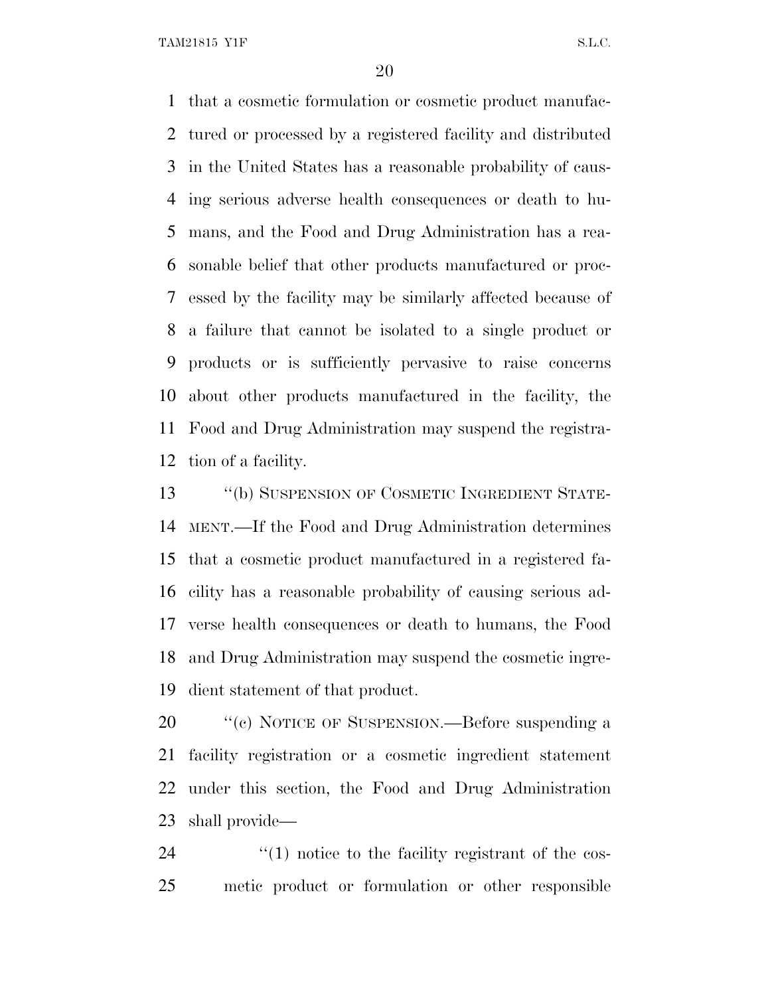that a cosmetic formulation or cosmetic product manufac- tured or processed by a registered facility and distributed in the United States has a reasonable probability of caus- ing serious adverse health consequences or death to hu- mans, and the Food and Drug Administration has a rea- sonable belief that other products manufactured or proc- essed by the facility may be similarly affected because of a failure that cannot be isolated to a single product or products or is sufficiently pervasive to raise concerns about other products manufactured in the facility, the Food and Drug Administration may suspend the registra-tion of a facility.

 ''(b) SUSPENSION OF COSMETIC INGREDIENT STATE- MENT.—If the Food and Drug Administration determines that a cosmetic product manufactured in a registered fa- cility has a reasonable probability of causing serious ad- verse health consequences or death to humans, the Food and Drug Administration may suspend the cosmetic ingre-dient statement of that product.

20 "(c) NOTICE OF SUSPENSION.—Before suspending a facility registration or a cosmetic ingredient statement under this section, the Food and Drug Administration shall provide—

24  $(1)$  notice to the facility registrant of the cos-metic product or formulation or other responsible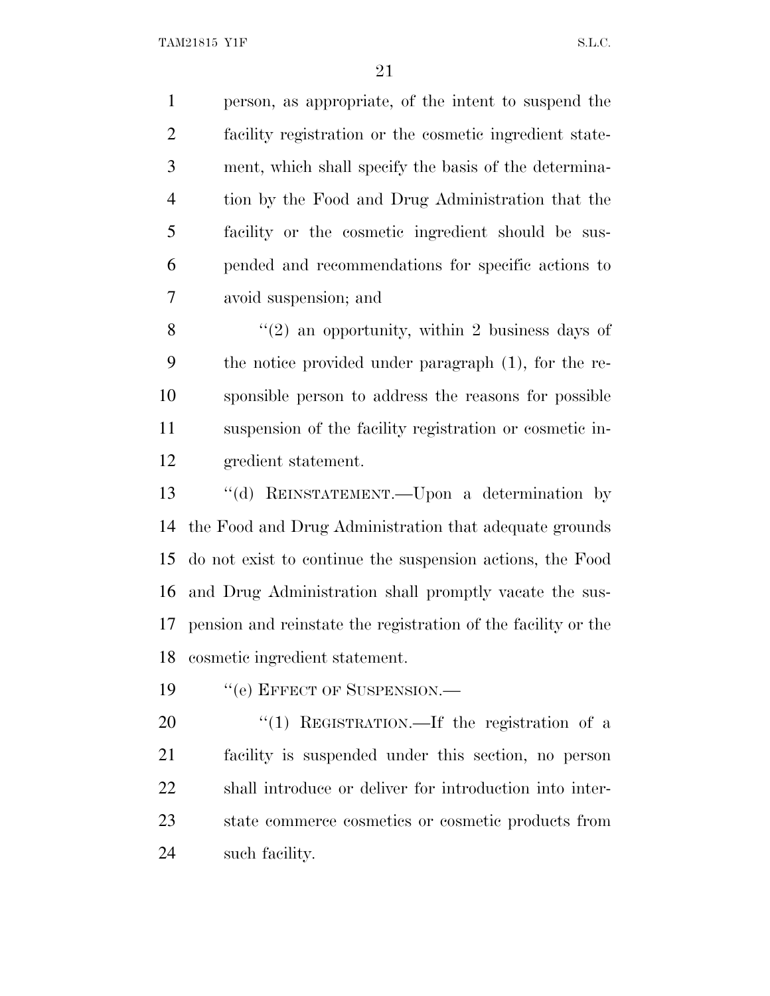person, as appropriate, of the intent to suspend the facility registration or the cosmetic ingredient state- ment, which shall specify the basis of the determina- tion by the Food and Drug Administration that the facility or the cosmetic ingredient should be sus- pended and recommendations for specific actions to avoid suspension; and

 $\frac{8}{2}$  ''(2) an opportunity, within 2 business days of the notice provided under paragraph (1), for the re- sponsible person to address the reasons for possible suspension of the facility registration or cosmetic in-gredient statement.

 ''(d) REINSTATEMENT.—Upon a determination by the Food and Drug Administration that adequate grounds do not exist to continue the suspension actions, the Food and Drug Administration shall promptly vacate the sus- pension and reinstate the registration of the facility or the cosmetic ingredient statement.

19 "(e) EFFECT OF SUSPENSION.—

20 "(1) REGISTRATION.—If the registration of a facility is suspended under this section, no person shall introduce or deliver for introduction into inter- state commerce cosmetics or cosmetic products from such facility.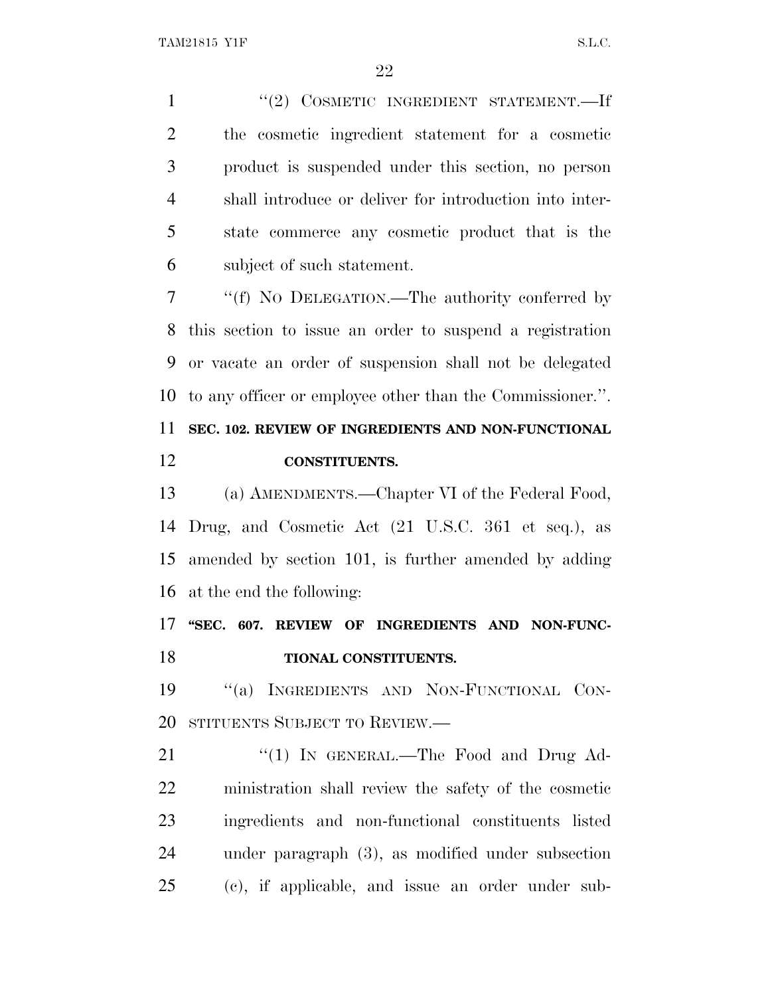1 ''(2) COSMETIC INGREDIENT STATEMENT.—If the cosmetic ingredient statement for a cosmetic product is suspended under this section, no person shall introduce or deliver for introduction into inter- state commerce any cosmetic product that is the subject of such statement.

 ''(f) N<sup>O</sup> DELEGATION.—The authority conferred by this section to issue an order to suspend a registration or vacate an order of suspension shall not be delegated to any officer or employee other than the Commissioner.''.

### **SEC. 102. REVIEW OF INGREDIENTS AND NON-FUNCTIONAL CONSTITUENTS.**

 (a) AMENDMENTS.—Chapter VI of the Federal Food, Drug, and Cosmetic Act (21 U.S.C. 361 et seq.), as amended by section 101, is further amended by adding at the end the following:

 **''SEC. 607. REVIEW OF INGREDIENTS AND NON-FUNC-TIONAL CONSTITUENTS.**

 ''(a) INGREDIENTS AND NON-FUNCTIONAL CON-STITUENTS SUBJECT TO REVIEW.—

21 "(1) In GENERAL.—The Food and Drug Ad- ministration shall review the safety of the cosmetic ingredients and non-functional constituents listed under paragraph (3), as modified under subsection (c), if applicable, and issue an order under sub-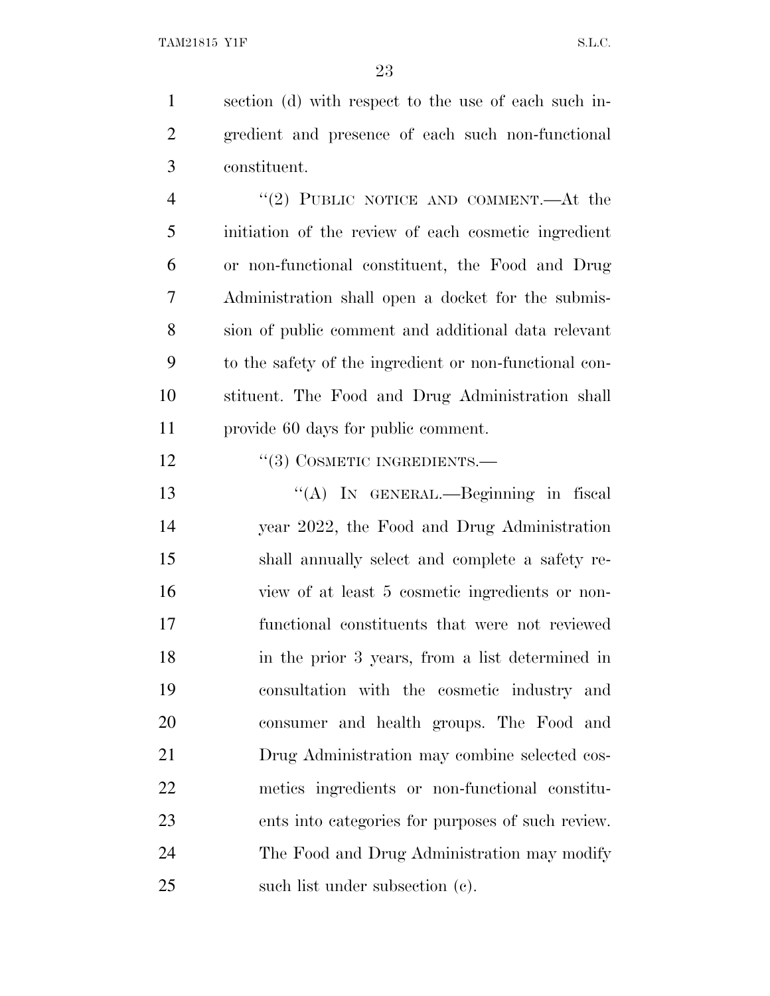section (d) with respect to the use of each such in- gredient and presence of each such non-functional constituent.

4 "(2) PUBLIC NOTICE AND COMMENT.—At the initiation of the review of each cosmetic ingredient or non-functional constituent, the Food and Drug Administration shall open a docket for the submis- sion of public comment and additional data relevant to the safety of the ingredient or non-functional con- stituent. The Food and Drug Administration shall provide 60 days for public comment.

''(3) COSMETIC INGREDIENTS.—

13 "(A) In GENERAL.—Beginning in fiscal year 2022, the Food and Drug Administration shall annually select and complete a safety re- view of at least 5 cosmetic ingredients or non- functional constituents that were not reviewed in the prior 3 years, from a list determined in consultation with the cosmetic industry and consumer and health groups. The Food and Drug Administration may combine selected cos- metics ingredients or non-functional constitu- ents into categories for purposes of such review. The Food and Drug Administration may modify such list under subsection (c).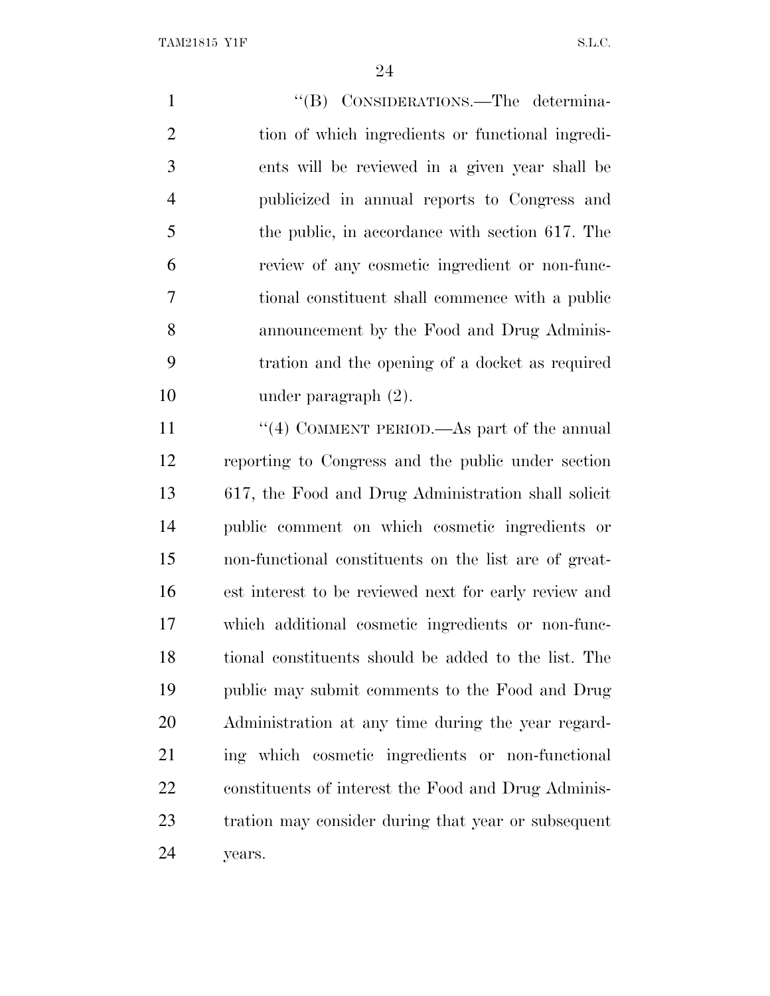1 ''(B) CONSIDERATIONS.—The determina- tion of which ingredients or functional ingredi- ents will be reviewed in a given year shall be publicized in annual reports to Congress and the public, in accordance with section 617. The review of any cosmetic ingredient or non-func- tional constituent shall commence with a public announcement by the Food and Drug Adminis- tration and the opening of a docket as required under paragraph (2). 11 ''(4) COMMENT PERIOD.—As part of the annual reporting to Congress and the public under section 617, the Food and Drug Administration shall solicit public comment on which cosmetic ingredients or non-functional constituents on the list are of great- est interest to be reviewed next for early review and which additional cosmetic ingredients or non-func- tional constituents should be added to the list. The public may submit comments to the Food and Drug Administration at any time during the year regard- ing which cosmetic ingredients or non-functional constituents of interest the Food and Drug Adminis-

tration may consider during that year or subsequent

years.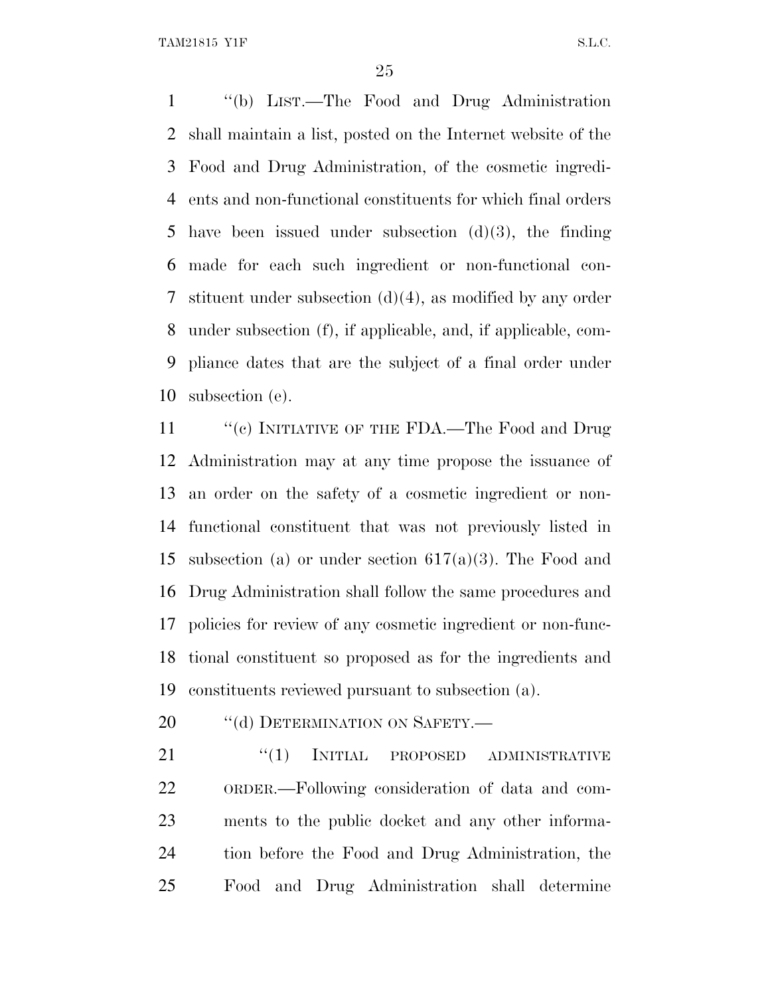''(b) LIST.—The Food and Drug Administration shall maintain a list, posted on the Internet website of the Food and Drug Administration, of the cosmetic ingredi- ents and non-functional constituents for which final orders have been issued under subsection (d)(3), the finding made for each such ingredient or non-functional con- stituent under subsection (d)(4), as modified by any order under subsection (f), if applicable, and, if applicable, com- pliance dates that are the subject of a final order under subsection (e).

11 "(c) INITIATIVE OF THE FDA.—The Food and Drug Administration may at any time propose the issuance of an order on the safety of a cosmetic ingredient or non- functional constituent that was not previously listed in 15 subsection (a) or under section  $617(a)(3)$ . The Food and Drug Administration shall follow the same procedures and policies for review of any cosmetic ingredient or non-func- tional constituent so proposed as for the ingredients and constituents reviewed pursuant to subsection (a).

20 "(d) DETERMINATION ON SAFETY.—

21 "(1) INITIAL PROPOSED ADMINISTRATIVE ORDER.—Following consideration of data and com- ments to the public docket and any other informa- tion before the Food and Drug Administration, the Food and Drug Administration shall determine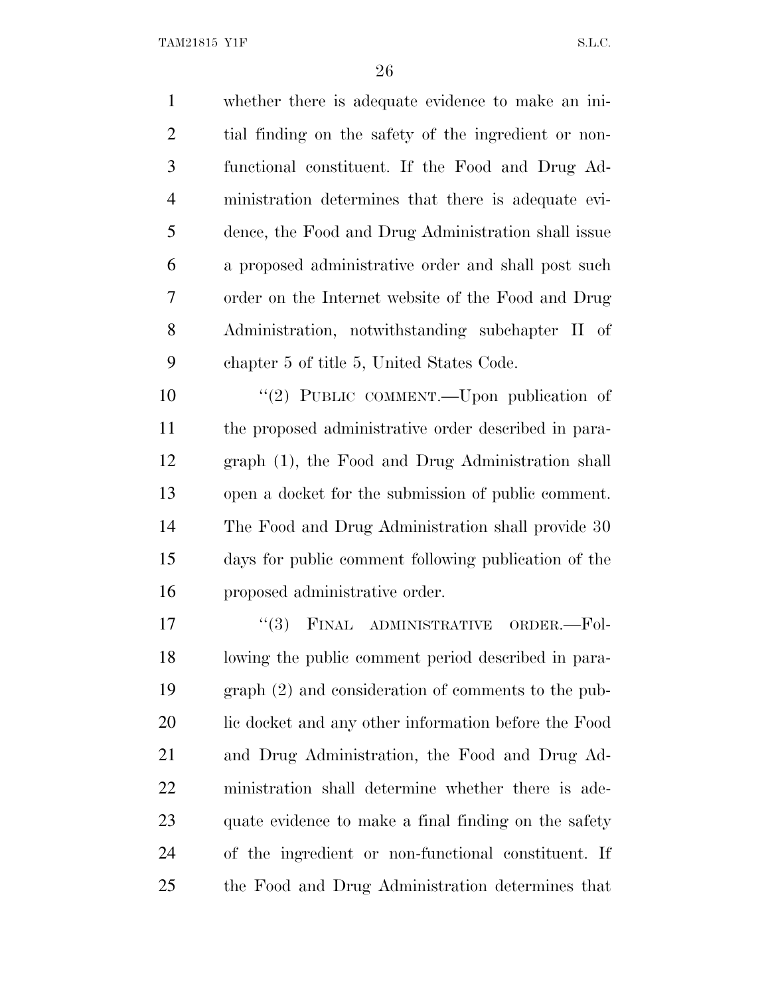whether there is adequate evidence to make an ini- tial finding on the safety of the ingredient or non- functional constituent. If the Food and Drug Ad- ministration determines that there is adequate evi- dence, the Food and Drug Administration shall issue a proposed administrative order and shall post such order on the Internet website of the Food and Drug Administration, notwithstanding subchapter II of chapter 5 of title 5, United States Code. 10 "(2) PUBLIC COMMENT.—Upon publication of the proposed administrative order described in para- graph (1), the Food and Drug Administration shall open a docket for the submission of public comment. The Food and Drug Administration shall provide 30 days for public comment following publication of the proposed administrative order. 17 "(3) FINAL ADMINISTRATIVE ORDER.-Fol- lowing the public comment period described in para- graph (2) and consideration of comments to the pub-20 lic docket and any other information before the Food and Drug Administration, the Food and Drug Ad- ministration shall determine whether there is ade- quate evidence to make a final finding on the safety of the ingredient or non-functional constituent. If the Food and Drug Administration determines that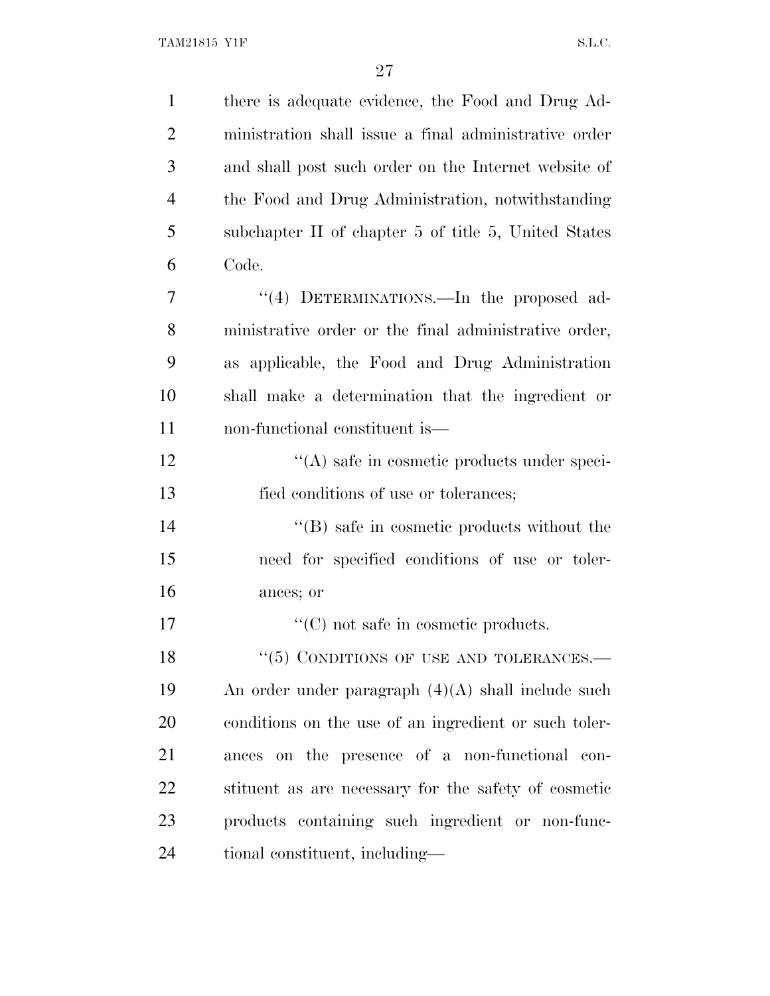| $\mathbf{1}$   | there is adequate evidence, the Food and Drug Ad-     |
|----------------|-------------------------------------------------------|
| $\overline{2}$ | ministration shall issue a final administrative order |
| 3              | and shall post such order on the Internet website of  |
| $\overline{4}$ | the Food and Drug Administration, notwithstanding     |
| 5              | subchapter II of chapter 5 of title 5, United States  |
| 6              | Code.                                                 |
| 7              | "(4) DETERMINATIONS.—In the proposed ad-              |
| 8              | ministrative order or the final administrative order, |
| 9              | as applicable, the Food and Drug Administration       |
| 10             | shall make a determination that the ingredient or     |
| 11             | non-functional constituent is—                        |
| 12             | $\lq\lq$ safe in cosmetic products under speci-       |
| 13             | fied conditions of use or tolerances;                 |
| 14             | $\lq\lq (B)$ safe in cosmetic products without the    |
| 15             | need for specified conditions of use or toler-        |
| 16             | ances; or                                             |
| 17             | $\lq\lq$ (C) not safe in cosmetic products.           |
| 18             | $\lq(5)$ CONDITIONS OF USE AND TOLERANCES.—           |
| 19             | An order under paragraph $(4)(A)$ shall include such  |
| 20             | conditions on the use of an ingredient or such toler- |
| 21             | ances on the presence of a non-functional con-        |
| 22             | stituent as are necessary for the safety of cosmetic  |
| 23             | products containing such ingredient or non-func-      |
| 24             | tional constituent, including—                        |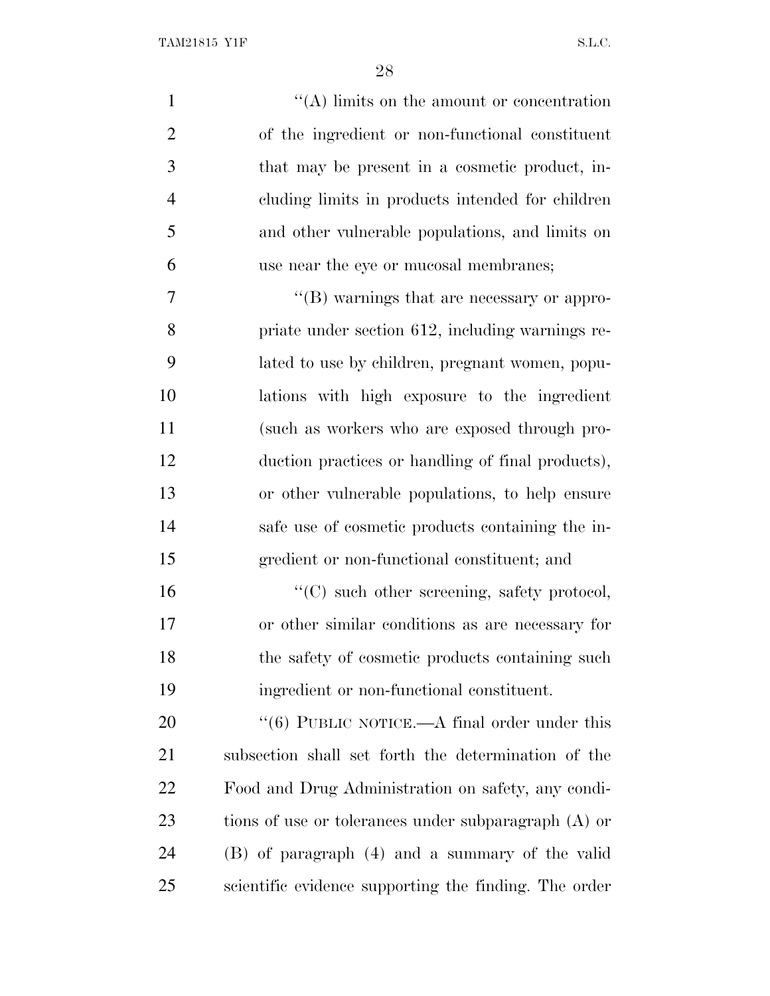| $\mathbf{1}$   | $\lq\lq$ . In its on the amount or concentration      |
|----------------|-------------------------------------------------------|
| $\overline{2}$ | of the ingredient or non-functional constituent       |
| 3              | that may be present in a cosmetic product, in-        |
| $\overline{4}$ | cluding limits in products intended for children      |
| 5              | and other vulnerable populations, and limits on       |
| 6              | use near the eye or mucosal membranes;                |
| 7              | "(B) warnings that are necessary or appro-            |
| 8              | priate under section 612, including warnings re-      |
| 9              | lated to use by children, pregnant women, popu-       |
| 10             | lations with high exposure to the ingredient          |
| 11             | (such as workers who are exposed through pro-         |
| 12             | duction practices or handling of final products),     |
| 13             | or other vulnerable populations, to help ensure       |
| 14             | safe use of cosmetic products containing the in-      |
| 15             | gredient or non-functional constituent; and           |
| 16             | "(C) such other screening, safety protocol,           |
| 17             | or other similar conditions as are necessary for      |
| 18             | the safety of cosmetic products containing such       |
| 19             | ingredient or non-functional constituent.             |
| 20             | " $(6)$ PUBLIC NOTICE.—A final order under this       |
| 21             | subsection shall set forth the determination of the   |
| 22             | Food and Drug Administration on safety, any condi-    |
| 23             | tions of use or tolerances under subparagraph (A) or  |
| 24             | (B) of paragraph (4) and a summary of the valid       |
| 25             | scientific evidence supporting the finding. The order |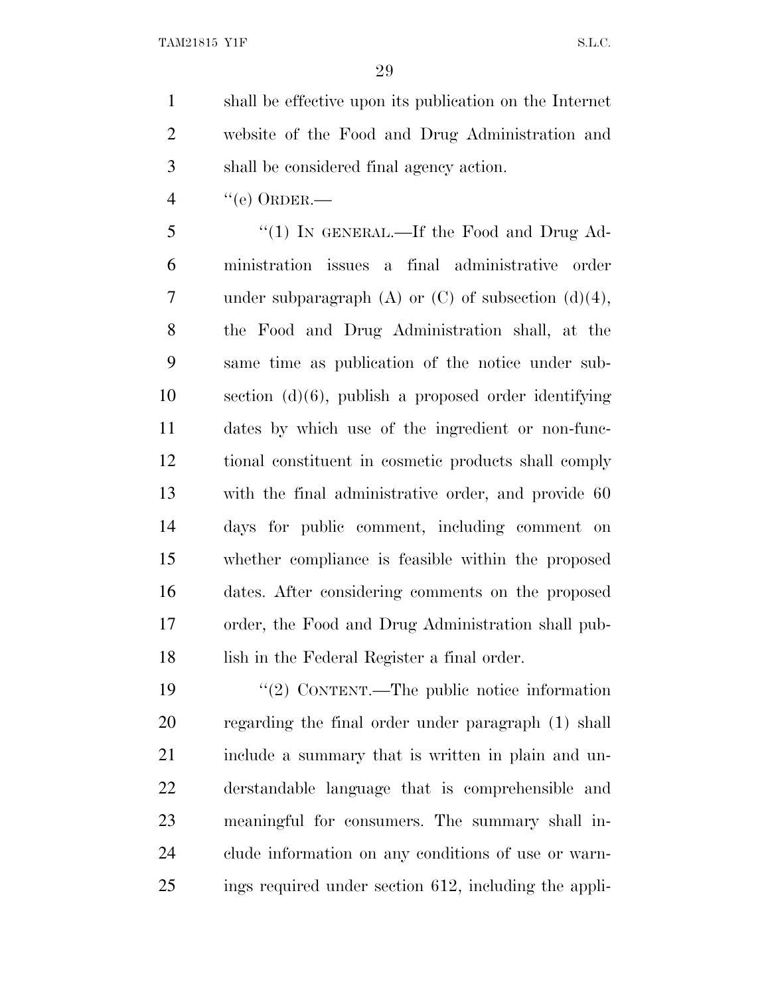shall be effective upon its publication on the Internet website of the Food and Drug Administration and shall be considered final agency action.

"(e) ORDER.—

 ''(1) IN GENERAL.—If the Food and Drug Ad- ministration issues a final administrative order 7 under subparagraph  $(A)$  or  $(C)$  of subsection  $(d)(4)$ , the Food and Drug Administration shall, at the same time as publication of the notice under sub- section (d)(6), publish a proposed order identifying dates by which use of the ingredient or non-func- tional constituent in cosmetic products shall comply with the final administrative order, and provide 60 days for public comment, including comment on whether compliance is feasible within the proposed dates. After considering comments on the proposed order, the Food and Drug Administration shall pub-lish in the Federal Register a final order.

 $\frac{1}{2}$  CONTENT.—The public notice information regarding the final order under paragraph (1) shall include a summary that is written in plain and un- derstandable language that is comprehensible and meaningful for consumers. The summary shall in- clude information on any conditions of use or warn-ings required under section 612, including the appli-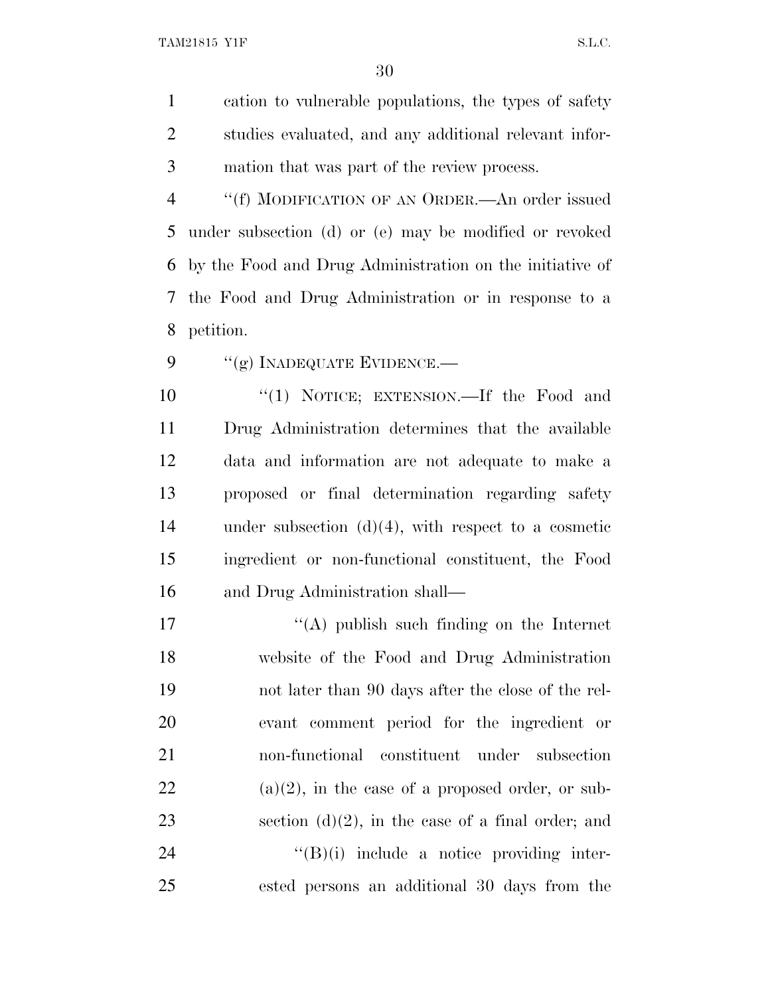cation to vulnerable populations, the types of safety studies evaluated, and any additional relevant infor-mation that was part of the review process.

 ''(f) MODIFICATION OF AN ORDER.—An order issued under subsection (d) or (e) may be modified or revoked by the Food and Drug Administration on the initiative of the Food and Drug Administration or in response to a petition.

9 "(g) INADEQUATE EVIDENCE.—

 ''(1) NOTICE; EXTENSION.—If the Food and Drug Administration determines that the available data and information are not adequate to make a proposed or final determination regarding safety under subsection (d)(4), with respect to a cosmetic ingredient or non-functional constituent, the Food and Drug Administration shall—

17 ''(A) publish such finding on the Internet website of the Food and Drug Administration not later than 90 days after the close of the rel- evant comment period for the ingredient or non-functional constituent under subsection (a)(2), in the case of a proposed order, or sub-23 section  $(d)(2)$ , in the case of a final order; and "(B)(i) include a notice providing inter-ested persons an additional 30 days from the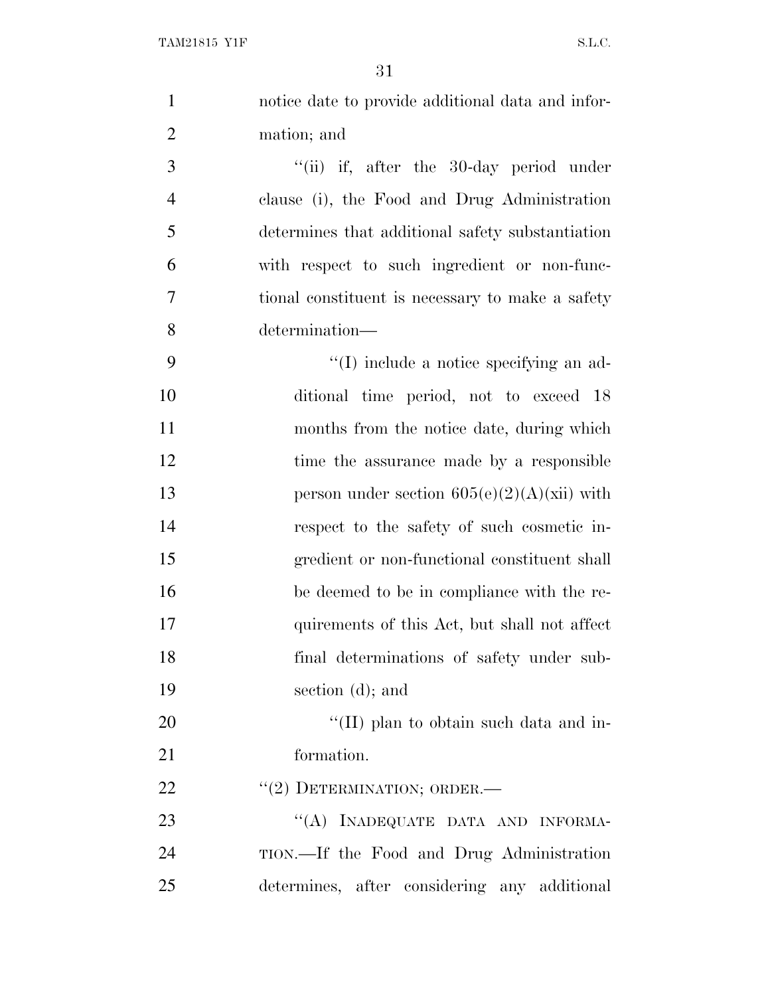| $\mathbf{1}$   | notice date to provide additional data and infor- |
|----------------|---------------------------------------------------|
| $\overline{2}$ | mation; and                                       |
| 3              | "(ii) if, after the 30-day period under           |
| $\overline{4}$ | clause (i), the Food and Drug Administration      |
| 5              | determines that additional safety substantiation  |
| 6              | with respect to such ingredient or non-func-      |
| $\overline{7}$ | tional constituent is necessary to make a safety  |
| 8              | determination-                                    |
| 9              | $\lq\lq$ (I) include a notice specifying an ad-   |
| 10             | ditional time period, not to exceed 18            |
| 11             | months from the notice date, during which         |
| 12             | time the assurance made by a responsible          |
| 13             | person under section $605(e)(2)(A)(xii)$ with     |
| 14             | respect to the safety of such cosmetic in-        |
| 15             | gredient or non-functional constituent shall      |
| 16             | be deemed to be in compliance with the re-        |
| 17             | quirements of this Act, but shall not affect      |
| 18             | final determinations of safety under sub-         |
| 19             | section (d); and                                  |
| 20             | "(II) plan to obtain such data and in-            |
| 21             | formation.                                        |
| 22             | "(2) DETERMINATION; ORDER.—                       |
| 23             | "(A) INADEQUATE DATA AND INFORMA-                 |
| 24             | TION.—If the Food and Drug Administration         |
| 25             | determines, after considering any additional      |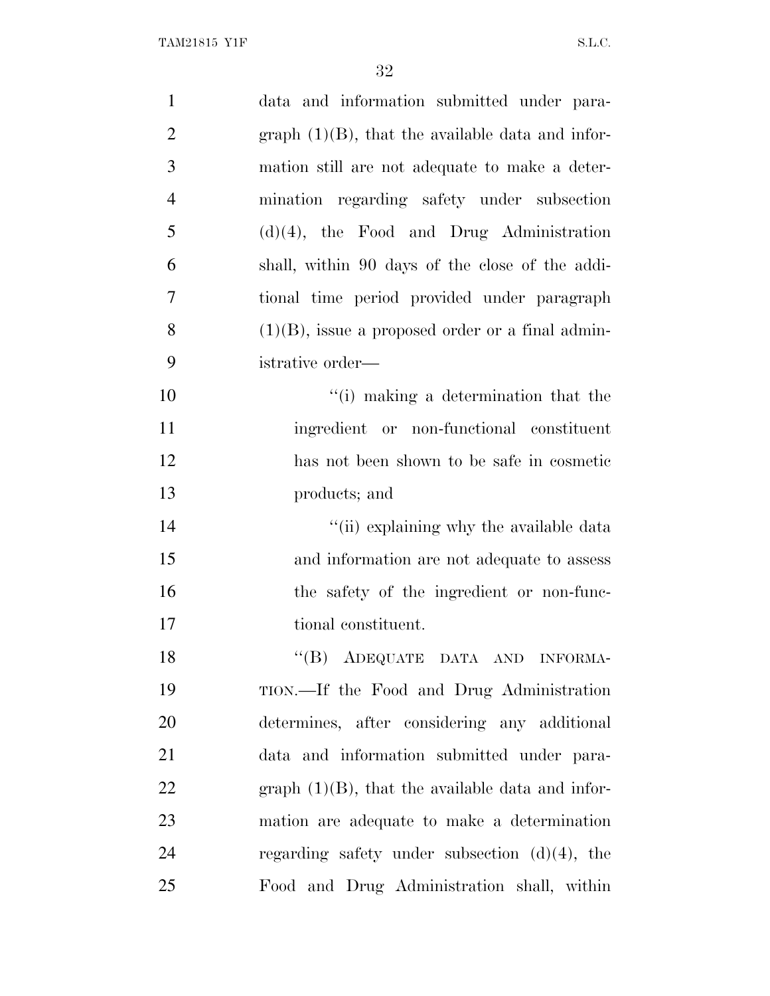| $\mathbf{1}$   | data and information submitted under para-          |
|----------------|-----------------------------------------------------|
| $\overline{2}$ | graph $(1)(B)$ , that the available data and infor- |
| 3              | mation still are not adequate to make a deter-      |
| $\overline{4}$ | mination regarding safety under subsection          |
| 5              | $(d)(4)$ , the Food and Drug Administration         |
| 6              | shall, within 90 days of the close of the addi-     |
| 7              | tional time period provided under paragraph         |
| 8              | $(1)(B)$ , issue a proposed order or a final admin- |
| 9              | istrative order—                                    |
| 10             | "(i) making a determination that the                |
| 11             | ingredient or non-functional constituent            |
| 12             | has not been shown to be safe in cosmetic           |
| 13             | products; and                                       |
| 14             | "(ii) explaining why the available data             |
| 15             | and information are not adequate to assess          |
| 16             | the safety of the ingredient or non-func-           |
| 17             | tional constituent.                                 |
| 18             | ``(B)<br>ADEQUATE DATA AND INFORMA-                 |
| 19             | TION.—If the Food and Drug Administration           |
| 20             | determines, after considering any additional        |
| 21             | data and information submitted under para-          |
| 22             | graph $(1)(B)$ , that the available data and infor- |
| 23             | mation are adequate to make a determination         |
| 24             | regarding safety under subsection $(d)(4)$ , the    |
| 25             | Food and Drug Administration shall, within          |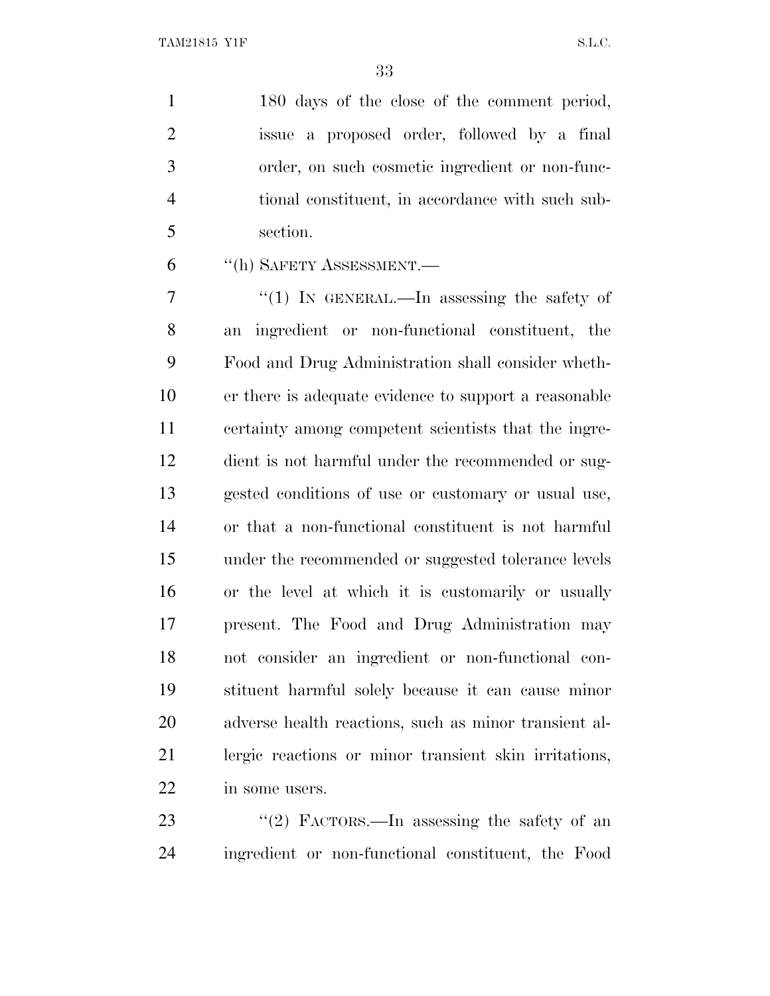1 180 days of the close of the comment period, issue a proposed order, followed by a final order, on such cosmetic ingredient or non-func- tional constituent, in accordance with such sub-section.

''(h) SAFETY ASSESSMENT.—

 ''(1) IN GENERAL.—In assessing the safety of an ingredient or non-functional constituent, the Food and Drug Administration shall consider wheth- er there is adequate evidence to support a reasonable certainty among competent scientists that the ingre- dient is not harmful under the recommended or sug- gested conditions of use or customary or usual use, or that a non-functional constituent is not harmful under the recommended or suggested tolerance levels or the level at which it is customarily or usually present. The Food and Drug Administration may not consider an ingredient or non-functional con- stituent harmful solely because it can cause minor adverse health reactions, such as minor transient al- lergic reactions or minor transient skin irritations, in some users.

23 "(2) FACTORS.—In assessing the safety of an ingredient or non-functional constituent, the Food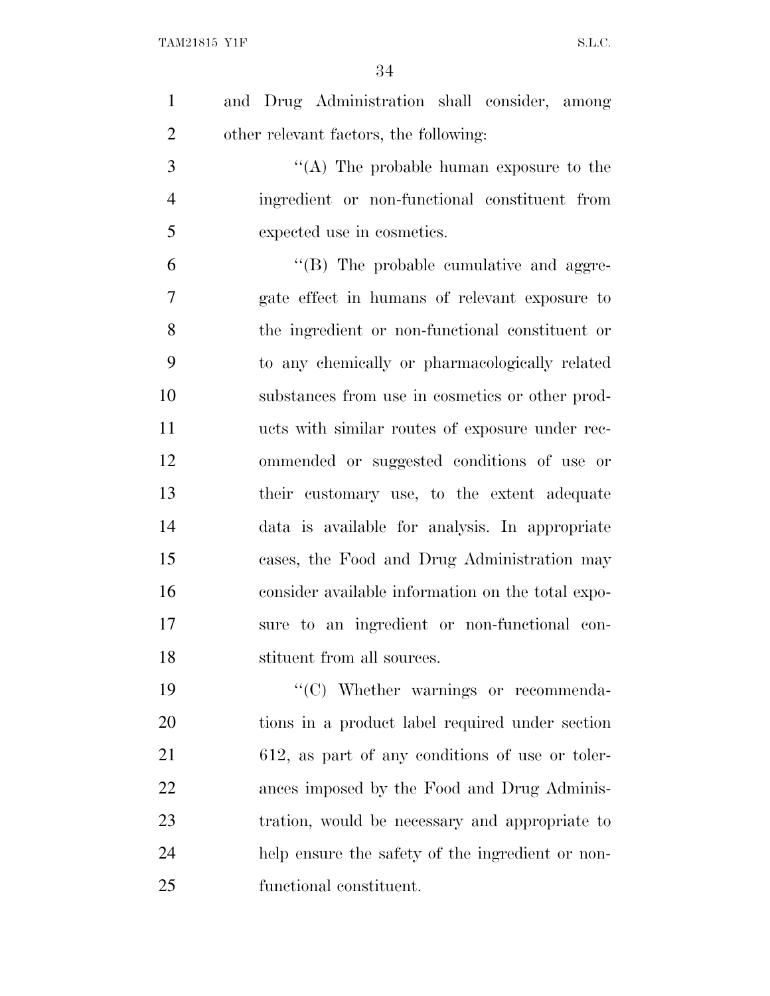| $\mathbf{1}$   | and Drug Administration shall consider, among     |
|----------------|---------------------------------------------------|
| $\overline{2}$ | other relevant factors, the following:            |
| 3              | "(A) The probable human exposure to the           |
| $\overline{4}$ | ingredient or non-functional constituent from     |
| 5              | expected use in cosmetics.                        |
| 6              | $\lq\lq$ (B) The probable cumulative and aggre-   |
| 7              | gate effect in humans of relevant exposure to     |
| 8              | the ingredient or non-functional constituent or   |
| 9              | to any chemically or pharmacologically related    |
| 10             | substances from use in cosmetics or other prod-   |
| 11             | ucts with similar routes of exposure under rec-   |
| 12             | ommended or suggested conditions of use or        |
| 13             | their customary use, to the extent adequate       |
| 14             | data is available for analysis. In appropriate    |
| 15             | cases, the Food and Drug Administration may       |
| 16             | consider available information on the total expo- |
| 17             | sure to an ingredient or non-functional con-      |
| 18             | stituent from all sources.                        |
| 19             | "(C) Whether warnings or recommenda-              |
| 20             | tions in a product label required under section   |
| 21             | 612, as part of any conditions of use or toler-   |
| 22             | ances imposed by the Food and Drug Adminis-       |
| 23             | tration, would be necessary and appropriate to    |
| 24             | help ensure the safety of the ingredient or non-  |
| 25             | functional constituent.                           |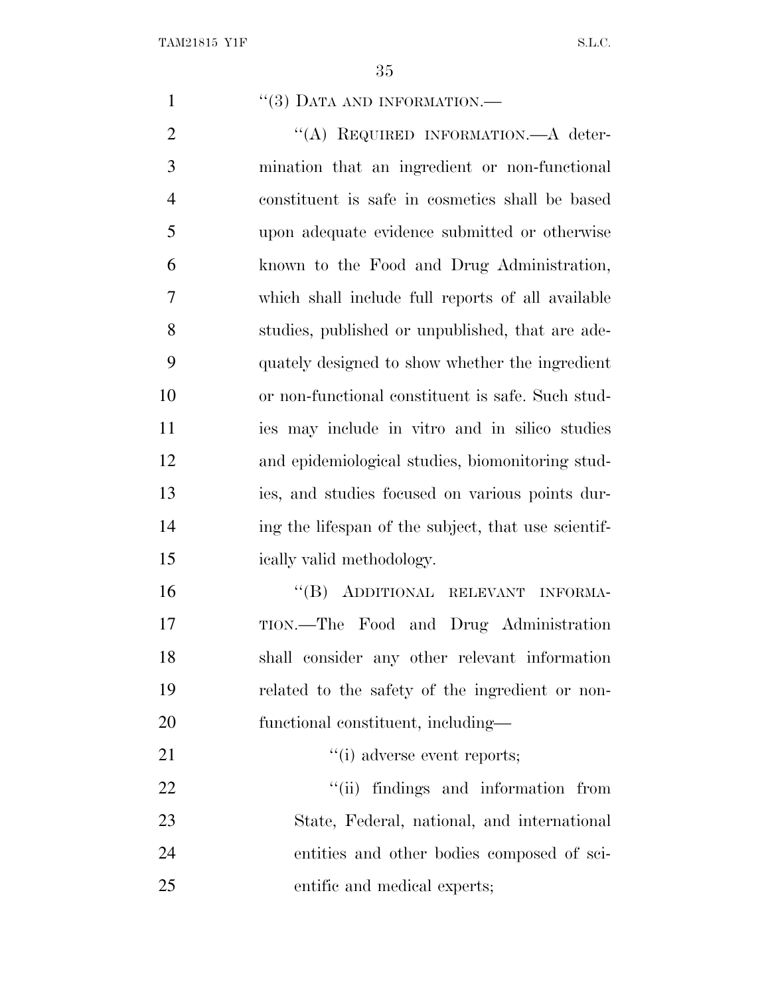1 ''(3) DATA AND INFORMATION.—

2 "(A) REQUIRED INFORMATION.—A deter- mination that an ingredient or non-functional constituent is safe in cosmetics shall be based upon adequate evidence submitted or otherwise known to the Food and Drug Administration, which shall include full reports of all available studies, published or unpublished, that are ade- quately designed to show whether the ingredient or non-functional constituent is safe. Such stud- ies may include in vitro and in silico studies and epidemiological studies, biomonitoring stud- ies, and studies focused on various points dur-14 ing the lifespan of the subject, that use scientif-ically valid methodology.

 ''(B) ADDITIONAL RELEVANT INFORMA- TION.—The Food and Drug Administration shall consider any other relevant information related to the safety of the ingredient or non-functional constituent, including—

21  $\frac{1}{2}$  adverse event reports;

 $\frac{1}{1}$  findings and information from State, Federal, national, and international entities and other bodies composed of sci-entific and medical experts;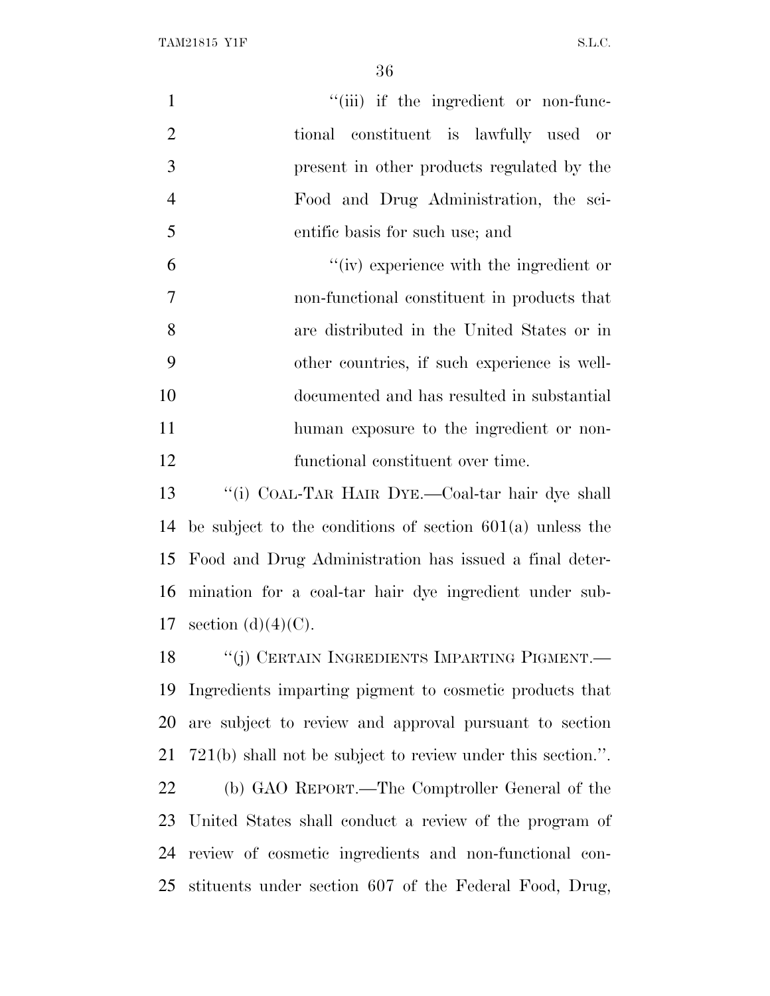| $\mathbf{1}$   | "(iii) if the ingredient or non-func-                         |
|----------------|---------------------------------------------------------------|
| $\overline{2}$ | tional constituent is lawfully used or                        |
| 3              | present in other products regulated by the                    |
| $\overline{4}$ | Food and Drug Administration, the sci-                        |
| 5              | entific basis for such use; and                               |
| 6              | "(iv) experience with the ingredient or                       |
| $\tau$         | non-functional constituent in products that                   |
| $8\,$          | are distributed in the United States or in                    |
| 9              | other countries, if such experience is well-                  |
| 10             | documented and has resulted in substantial                    |
| 11             | human exposure to the ingredient or non-                      |
| 12             | functional constituent over time.                             |
| 13             | "(i) COAL-TAR HAIR DYE.-Coal-tar hair dye shall               |
| 14             | be subject to the conditions of section $601(a)$ unless the   |
| 15             | Food and Drug Administration has issued a final deter-        |
|                | 16 mination for a coal-tar hair dye ingredient under sub-     |
|                | 17 section $(d)(4)(C)$ .                                      |
| 18             | "(j) CERTAIN INGREDIENTS IMPARTING PIGMENT.—                  |
| 19             | Ingredients imparting pigment to cosmetic products that       |
| 20             | are subject to review and approval pursuant to section        |
| 21             | $721(b)$ shall not be subject to review under this section.". |
| 22             | (b) GAO REPORT.—The Comptroller General of the                |
| 23             | United States shall conduct a review of the program of        |
| 24             | review of cosmetic ingredients and non-functional con-        |
| 25             | stituents under section 607 of the Federal Food, Drug,        |
|                |                                                               |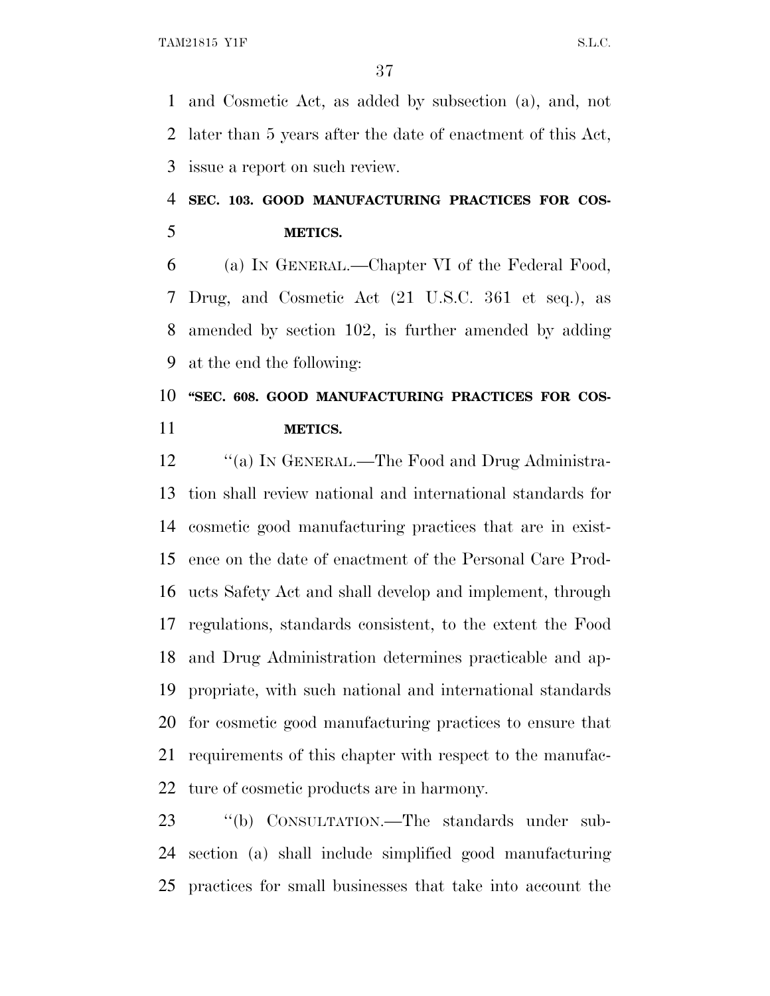and Cosmetic Act, as added by subsection (a), and, not later than 5 years after the date of enactment of this Act, issue a report on such review.

# **SEC. 103. GOOD MANUFACTURING PRACTICES FOR COS-METICS.**

 (a) I<sup>N</sup> GENERAL.—Chapter VI of the Federal Food, Drug, and Cosmetic Act (21 U.S.C. 361 et seq.), as amended by section 102, is further amended by adding at the end the following:

# **''SEC. 608. GOOD MANUFACTURING PRACTICES FOR COS-METICS.**

12 "(a) IN GENERAL.—The Food and Drug Administra- tion shall review national and international standards for cosmetic good manufacturing practices that are in exist- ence on the date of enactment of the Personal Care Prod- ucts Safety Act and shall develop and implement, through regulations, standards consistent, to the extent the Food and Drug Administration determines practicable and ap- propriate, with such national and international standards for cosmetic good manufacturing practices to ensure that requirements of this chapter with respect to the manufac-ture of cosmetic products are in harmony.

 ''(b) CONSULTATION.—The standards under sub- section (a) shall include simplified good manufacturing practices for small businesses that take into account the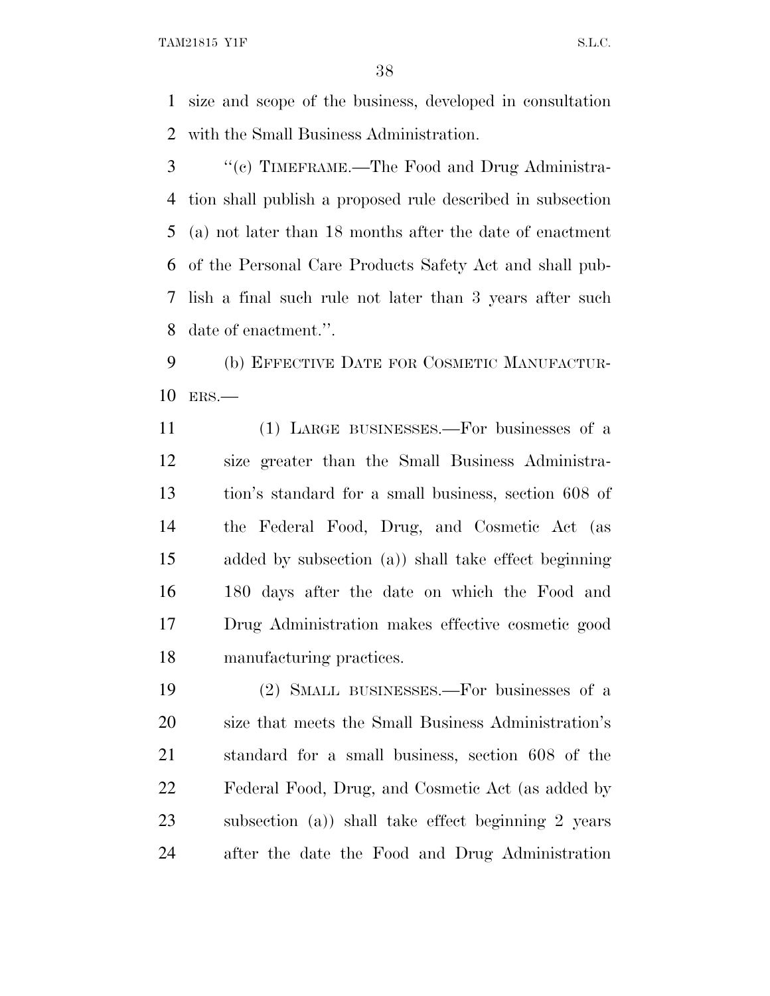TAM21815 Y1F S.L.C.

 size and scope of the business, developed in consultation with the Small Business Administration.

 ''(c) TIMEFRAME.—The Food and Drug Administra- tion shall publish a proposed rule described in subsection (a) not later than 18 months after the date of enactment of the Personal Care Products Safety Act and shall pub- lish a final such rule not later than 3 years after such date of enactment.''.

 (b) EFFECTIVE DATE FOR COSMETIC MANUFACTUR-ERS.—

 (1) LARGE BUSINESSES.—For businesses of a size greater than the Small Business Administra- tion's standard for a small business, section 608 of the Federal Food, Drug, and Cosmetic Act (as added by subsection (a)) shall take effect beginning 180 days after the date on which the Food and Drug Administration makes effective cosmetic good manufacturing practices.

 (2) SMALL BUSINESSES.—For businesses of a size that meets the Small Business Administration's standard for a small business, section 608 of the Federal Food, Drug, and Cosmetic Act (as added by subsection (a)) shall take effect beginning 2 years after the date the Food and Drug Administration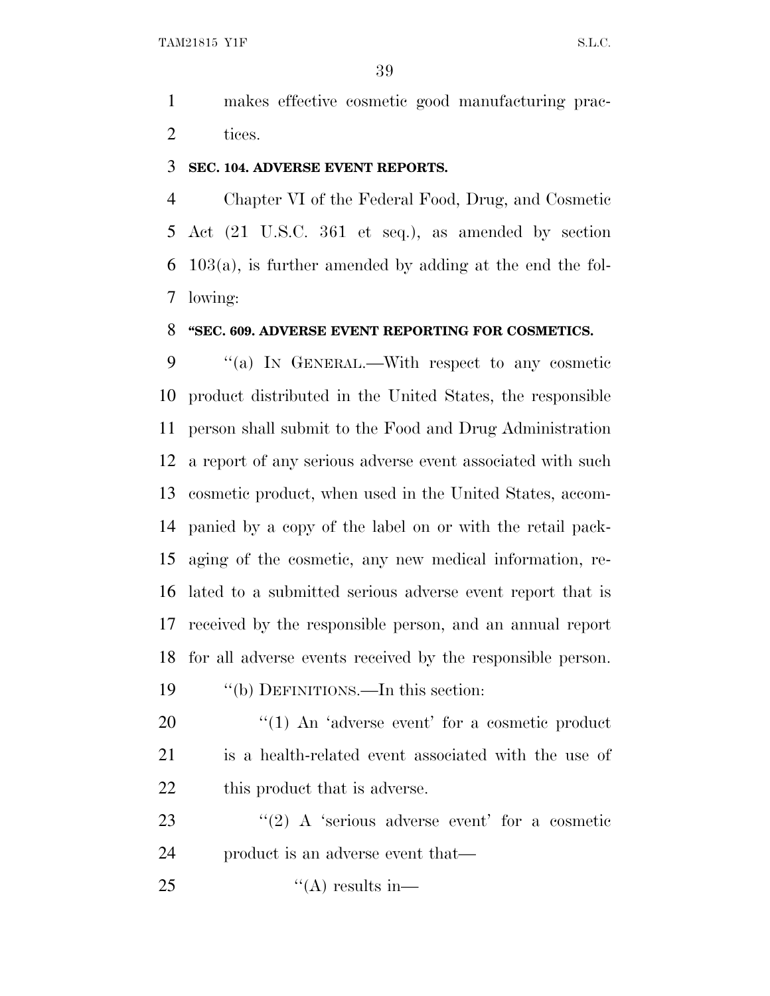makes effective cosmetic good manufacturing prac-tices.

#### **SEC. 104. ADVERSE EVENT REPORTS.**

 Chapter VI of the Federal Food, Drug, and Cosmetic Act (21 U.S.C. 361 et seq.), as amended by section 103(a), is further amended by adding at the end the fol-lowing:

#### **''SEC. 609. ADVERSE EVENT REPORTING FOR COSMETICS.**

 ''(a) I<sup>N</sup> GENERAL.—With respect to any cosmetic product distributed in the United States, the responsible person shall submit to the Food and Drug Administration a report of any serious adverse event associated with such cosmetic product, when used in the United States, accom- panied by a copy of the label on or with the retail pack- aging of the cosmetic, any new medical information, re- lated to a submitted serious adverse event report that is received by the responsible person, and an annual report for all adverse events received by the responsible person. ''(b) DEFINITIONS.—In this section:

20 "(1) An 'adverse event' for a cosmetic product is a health-related event associated with the use of 22 this product that is adverse.

23  $\langle (2) \rangle$  A 'serious adverse event' for a cosmetic product is an adverse event that—

25  $"({\rm A})$  results in—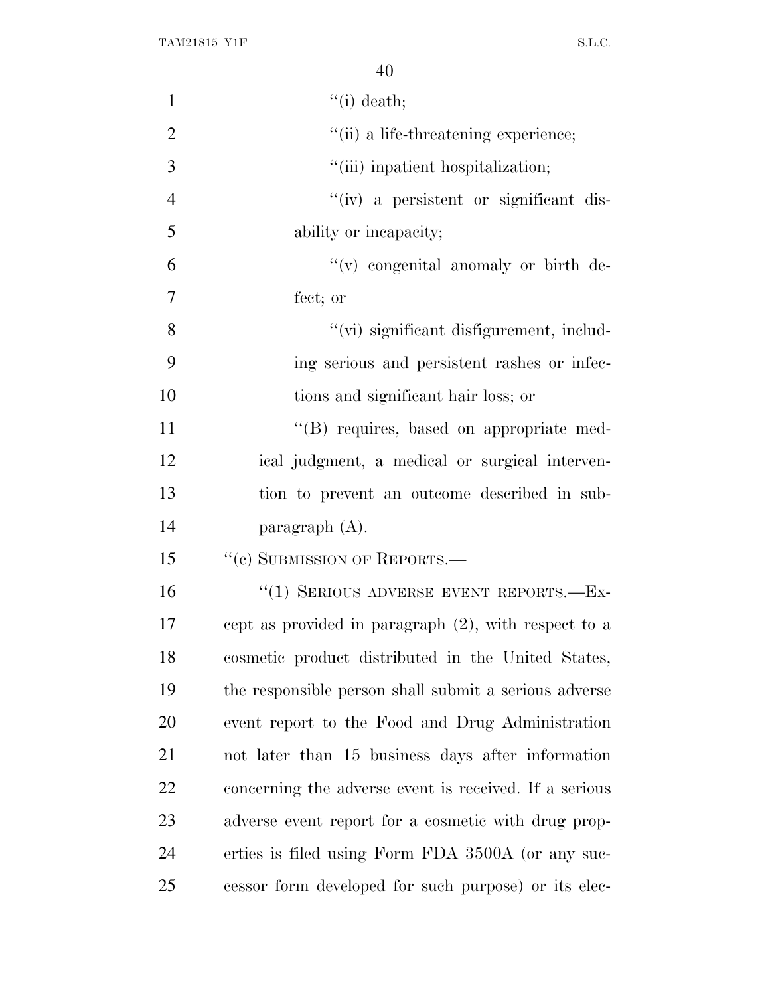| $\mathbf{1}$   | $\lq\lq$ (i) death;                                     |
|----------------|---------------------------------------------------------|
| $\overline{2}$ | "(ii) a life-threatening experience;                    |
| 3              | "(iii) inpatient hospitalization;                       |
| $\overline{4}$ | "(iv) a persistent or significant dis-                  |
| 5              | ability or incapacity;                                  |
| 6              | $\lq\lq$ congenital anomaly or birth de-                |
| $\overline{7}$ | fect; or                                                |
| 8              | "(vi) significant disfigurement, includ-                |
| 9              | ing serious and persistent rashes or infec-             |
| 10             | tions and significant hair loss; or                     |
| 11             | "(B) requires, based on appropriate med-                |
| 12             | ical judgment, a medical or surgical interven-          |
| 13             | tion to prevent an outcome described in sub-            |
| 14             | paragraph $(A)$ .                                       |
| 15             | "(c) SUBMISSION OF REPORTS.—                            |
| 16             | "(1) SERIOUS ADVERSE EVENT REPORTS.-Ex-                 |
| 17             | cept as provided in paragraph $(2)$ , with respect to a |
| 18             | cosmetic product distributed in the United States,      |
| 19             | the responsible person shall submit a serious adverse   |
| 20             | event report to the Food and Drug Administration        |
| 21             | not later than 15 business days after information       |
| 22             | concerning the adverse event is received. If a serious  |
| 23             | adverse event report for a cosmetic with drug prop-     |
| 24             | erties is filed using Form FDA 3500A (or any suc-       |
| 25             | cessor form developed for such purpose) or its elec-    |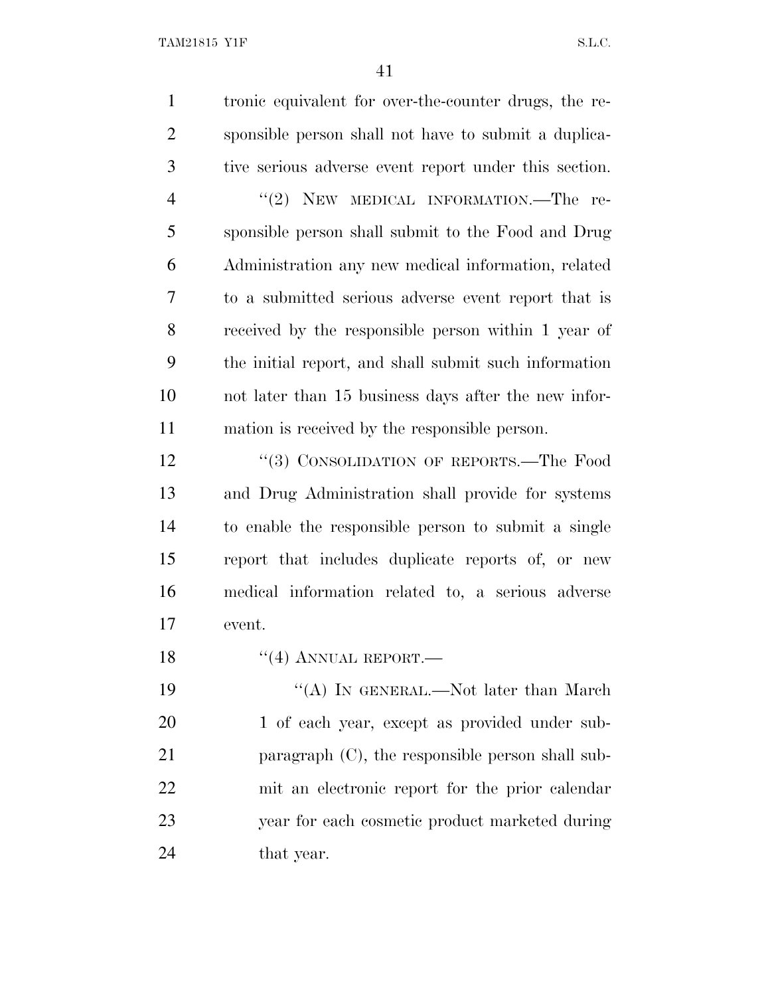| $\overline{2}$<br>3<br>$\overline{4}$<br>5<br>6<br>7<br>8<br>9<br>10<br>11<br>mation is received by the responsible person.<br>12<br>13<br>14<br>15<br>16<br>17<br>event.<br>18<br>$``(4)$ ANNUAL REPORT.—<br>19<br>20<br>21<br><u>22</u><br>23<br>24<br>that year. | $\mathbf{1}$ | tronic equivalent for over-the-counter drugs, the re- |
|---------------------------------------------------------------------------------------------------------------------------------------------------------------------------------------------------------------------------------------------------------------------|--------------|-------------------------------------------------------|
|                                                                                                                                                                                                                                                                     |              | sponsible person shall not have to submit a duplica-  |
|                                                                                                                                                                                                                                                                     |              | tive serious adverse event report under this section. |
|                                                                                                                                                                                                                                                                     |              | "(2) NEW MEDICAL INFORMATION.—The re-                 |
|                                                                                                                                                                                                                                                                     |              | sponsible person shall submit to the Food and Drug    |
|                                                                                                                                                                                                                                                                     |              | Administration any new medical information, related   |
|                                                                                                                                                                                                                                                                     |              | to a submitted serious adverse event report that is   |
|                                                                                                                                                                                                                                                                     |              | received by the responsible person within 1 year of   |
|                                                                                                                                                                                                                                                                     |              | the initial report, and shall submit such information |
|                                                                                                                                                                                                                                                                     |              | not later than 15 business days after the new infor-  |
|                                                                                                                                                                                                                                                                     |              |                                                       |
|                                                                                                                                                                                                                                                                     |              | "(3) CONSOLIDATION OF REPORTS.—The Food               |
|                                                                                                                                                                                                                                                                     |              | and Drug Administration shall provide for systems     |
|                                                                                                                                                                                                                                                                     |              | to enable the responsible person to submit a single   |
|                                                                                                                                                                                                                                                                     |              | report that includes duplicate reports of, or new     |
|                                                                                                                                                                                                                                                                     |              | medical information related to, a serious adverse     |
|                                                                                                                                                                                                                                                                     |              |                                                       |
|                                                                                                                                                                                                                                                                     |              |                                                       |
|                                                                                                                                                                                                                                                                     |              | "(A) IN GENERAL.—Not later than March                 |
|                                                                                                                                                                                                                                                                     |              | 1 of each year, except as provided under sub-         |
|                                                                                                                                                                                                                                                                     |              | paragraph $(C)$ , the responsible person shall sub-   |
|                                                                                                                                                                                                                                                                     |              | mit an electronic report for the prior calendar       |
|                                                                                                                                                                                                                                                                     |              | year for each cosmetic product marketed during        |
|                                                                                                                                                                                                                                                                     |              |                                                       |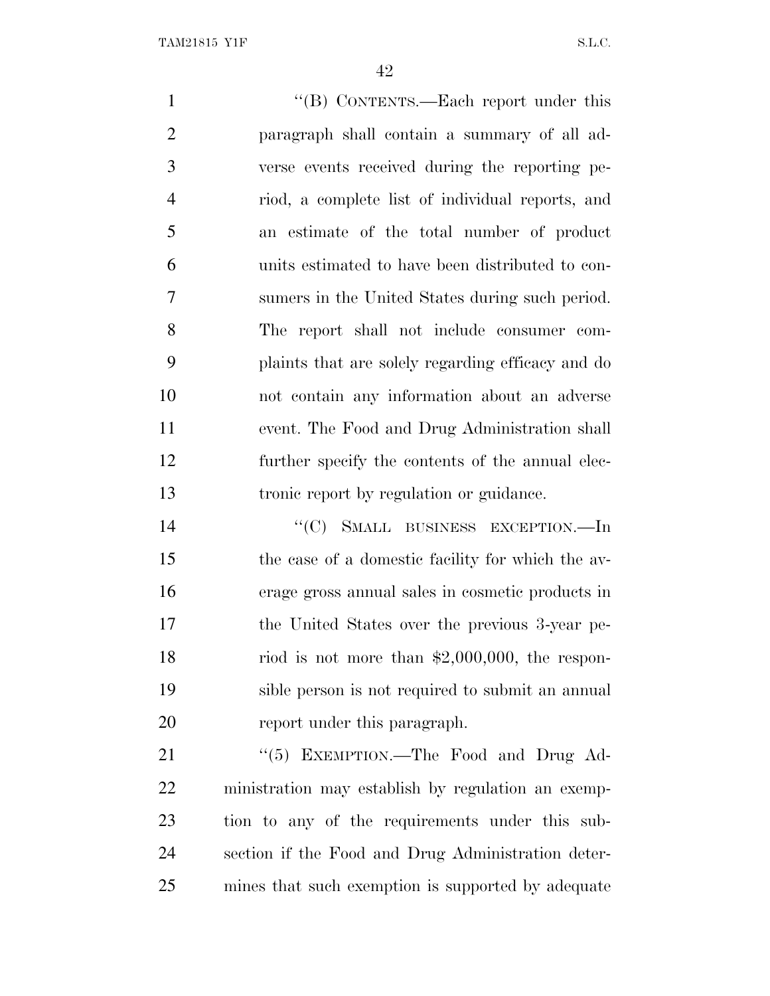1 ''(B) CONTENTS.—Each report under this paragraph shall contain a summary of all ad- verse events received during the reporting pe- riod, a complete list of individual reports, and an estimate of the total number of product units estimated to have been distributed to con- sumers in the United States during such period. The report shall not include consumer com- plaints that are solely regarding efficacy and do not contain any information about an adverse event. The Food and Drug Administration shall further specify the contents of the annual elec- tronic report by regulation or guidance. 14 "(C) SMALL BUSINESS EXCEPTION.—In the case of a domestic facility for which the av-

 erage gross annual sales in cosmetic products in the United States over the previous 3-year pe-18 riod is not more than \$2,000,000, the respon- sible person is not required to submit an annual report under this paragraph.

21 "(5) EXEMPTION.—The Food and Drug Ad- ministration may establish by regulation an exemp- tion to any of the requirements under this sub- section if the Food and Drug Administration deter-mines that such exemption is supported by adequate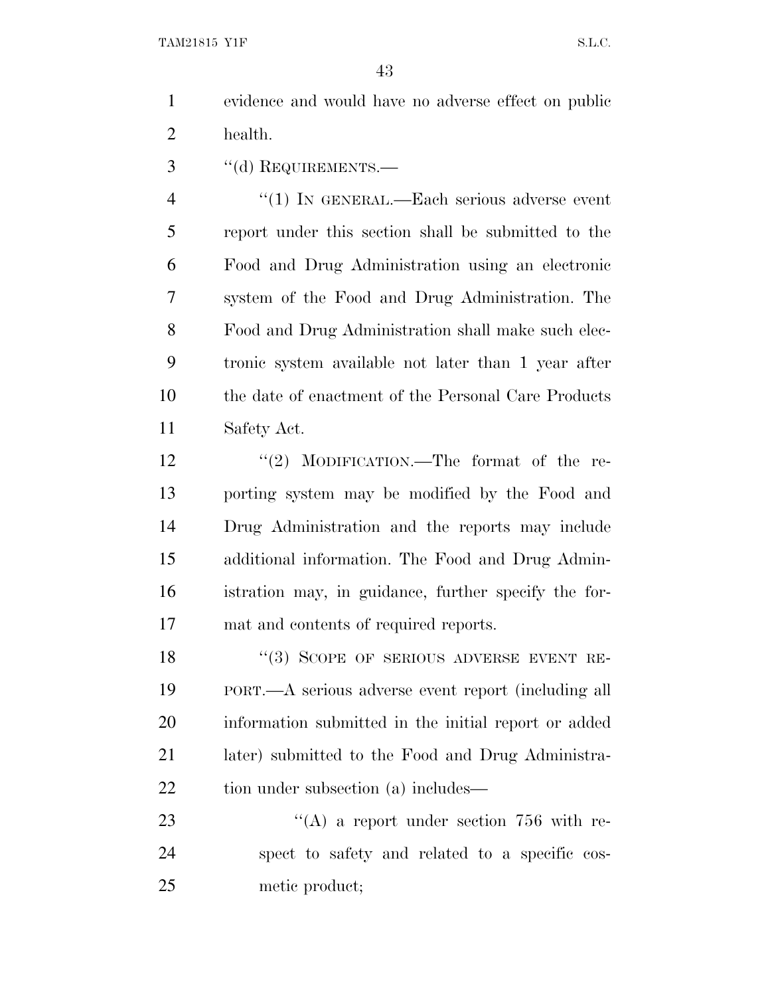- evidence and would have no adverse effect on public health.
- ''(d) REQUIREMENTS.—

4 "(1) IN GENERAL.—Each serious adverse event report under this section shall be submitted to the Food and Drug Administration using an electronic system of the Food and Drug Administration. The Food and Drug Administration shall make such elec- tronic system available not later than 1 year after the date of enactment of the Personal Care Products Safety Act.

12 ''(2) MODIFICATION.—The format of the re- porting system may be modified by the Food and Drug Administration and the reports may include additional information. The Food and Drug Admin- istration may, in guidance, further specify the for-mat and contents of required reports.

18 "(3) SCOPE OF SERIOUS ADVERSE EVENT RE- PORT.—A serious adverse event report (including all information submitted in the initial report or added later) submitted to the Food and Drug Administra-22 tion under subsection (a) includes—

23 "(A) a report under section 756 with re- spect to safety and related to a specific cos-metic product;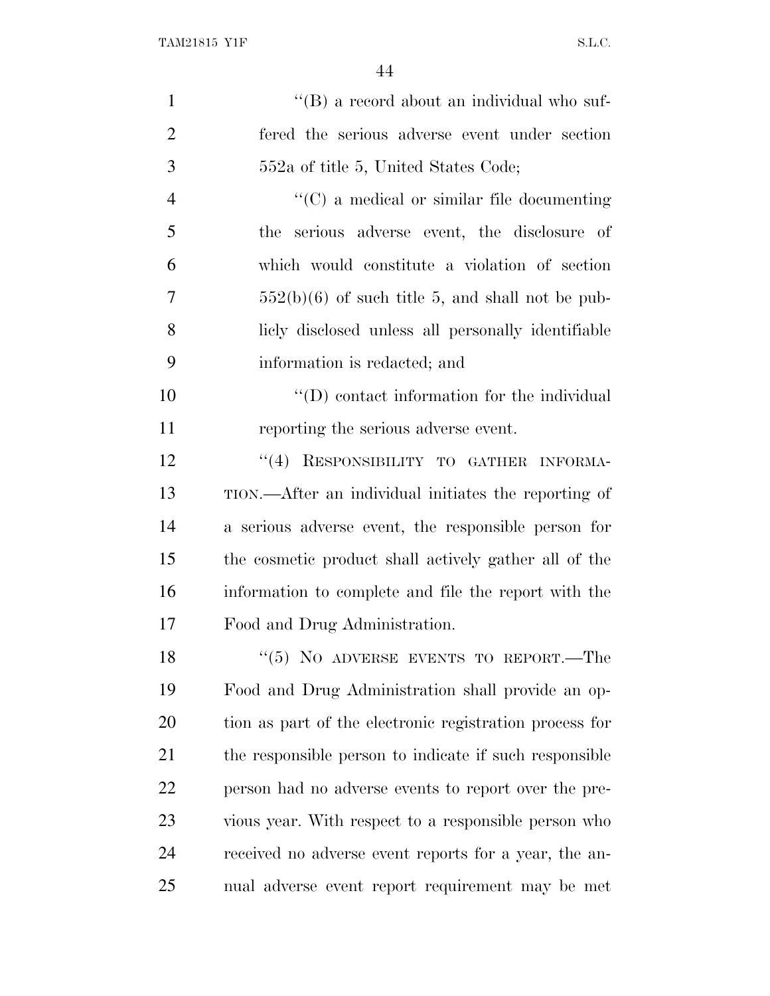| $\mathbf{1}$   | $\lq\lq (B)$ a record about an individual who suf-      |
|----------------|---------------------------------------------------------|
| $\overline{2}$ | fered the serious adverse event under section           |
| 3              | 552a of title 5, United States Code;                    |
| $\overline{4}$ | $\lq\lq$ (C) a medical or similar file documenting      |
| 5              | the serious adverse event, the disclosure of            |
| 6              | which would constitute a violation of section           |
| 7              | $552(b)(6)$ of such title 5, and shall not be pub-      |
| 8              | liely disclosed unless all personally identifiable      |
| 9              | information is redacted; and                            |
| 10             | $\lq\lq$ contact information for the individual         |
| 11             | reporting the serious adverse event.                    |
| 12             | "(4) RESPONSIBILITY TO GATHER INFORMA-                  |
| 13             | TION.—After an individual initiates the reporting of    |
| 14             | a serious adverse event, the responsible person for     |
| 15             | the cosmetic product shall actively gather all of the   |
| 16             | information to complete and file the report with the    |
| 17             | Food and Drug Administration.                           |
| 18             | " $(5)$ NO ADVERSE EVENTS TO REPORT.—The                |
| 19             | Food and Drug Administration shall provide an op-       |
| 20             | tion as part of the electronic registration process for |
| 21             | the responsible person to indicate if such responsible  |
| 22             | person had no adverse events to report over the pre-    |
| 23             | vious year. With respect to a responsible person who    |
| 24             | received no adverse event reports for a year, the an-   |
| 25             | nual adverse event report requirement may be met        |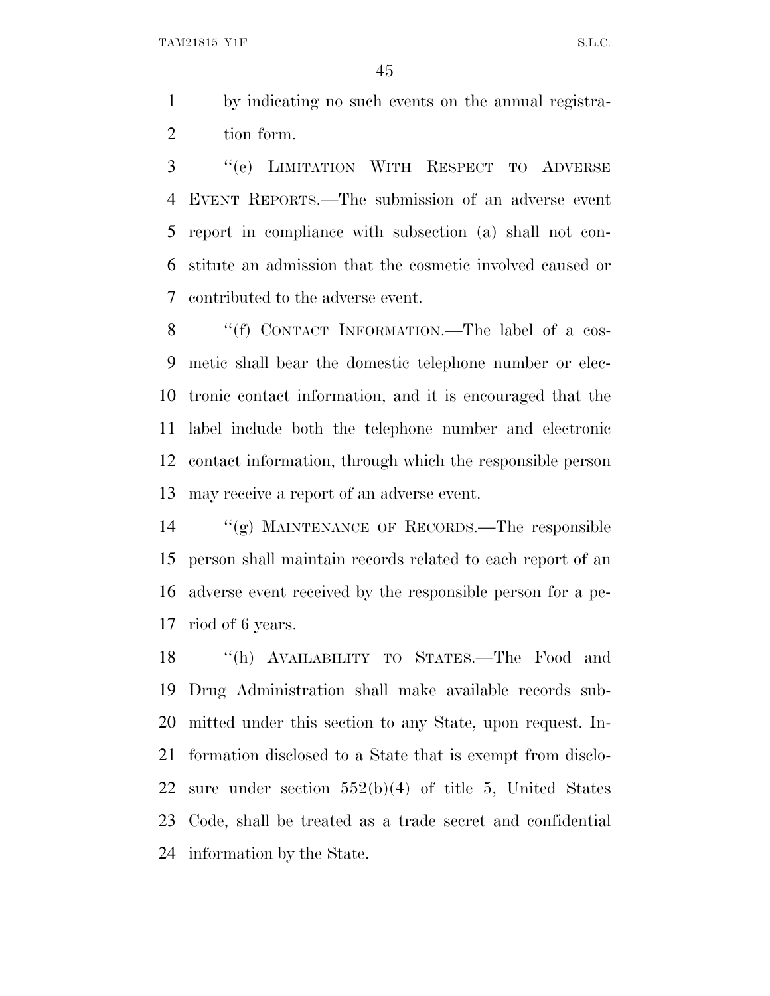by indicating no such events on the annual registra-tion form.

 ''(e) LIMITATION WITH RESPECT TO ADVERSE EVENT REPORTS.—The submission of an adverse event report in compliance with subsection (a) shall not con- stitute an admission that the cosmetic involved caused or contributed to the adverse event.

8 "(f) CONTACT INFORMATION.—The label of a cos- metic shall bear the domestic telephone number or elec- tronic contact information, and it is encouraged that the label include both the telephone number and electronic contact information, through which the responsible person may receive a report of an adverse event.

 ''(g) MAINTENANCE OF RECORDS.—The responsible person shall maintain records related to each report of an adverse event received by the responsible person for a pe-riod of 6 years.

 ''(h) AVAILABILITY TO STATES.—The Food and Drug Administration shall make available records sub- mitted under this section to any State, upon request. In- formation disclosed to a State that is exempt from disclo- sure under section 552(b)(4) of title 5, United States Code, shall be treated as a trade secret and confidential information by the State.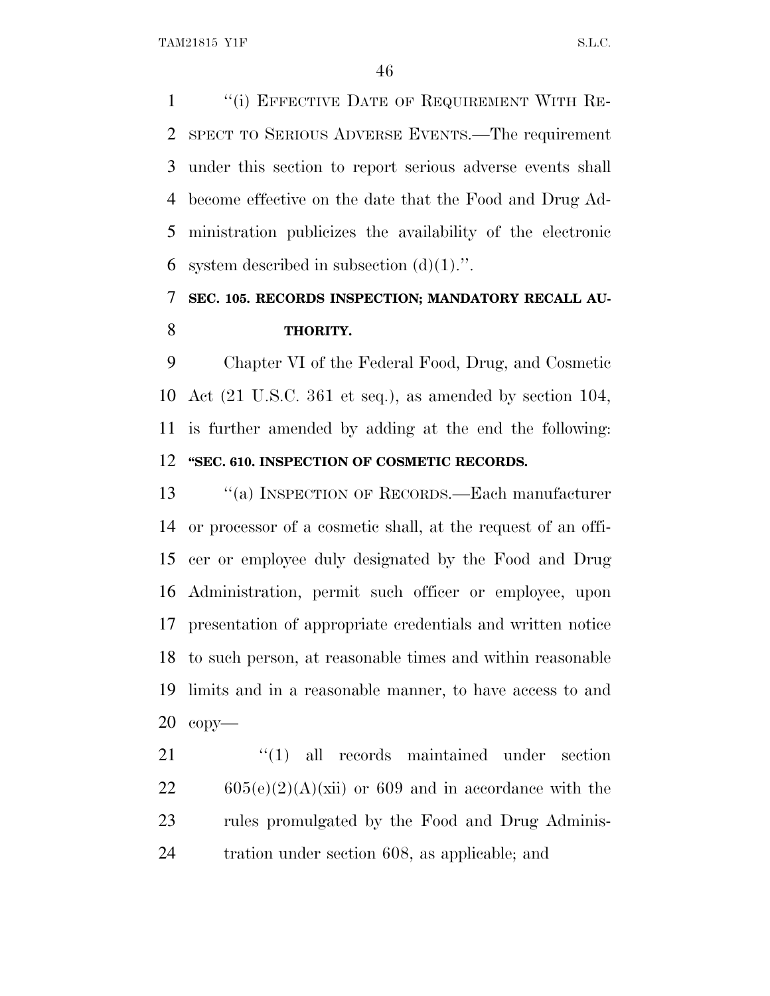1 "(i) EFFECTIVE DATE OF REQUIREMENT WITH RE- SPECT TO SERIOUS ADVERSE EVENTS.—The requirement under this section to report serious adverse events shall become effective on the date that the Food and Drug Ad- ministration publicizes the availability of the electronic 6 system described in subsection  $(d)(1)$ .".

# **SEC. 105. RECORDS INSPECTION; MANDATORY RECALL AU-THORITY.**

 Chapter VI of the Federal Food, Drug, and Cosmetic Act (21 U.S.C. 361 et seq.), as amended by section 104, is further amended by adding at the end the following: **''SEC. 610. INSPECTION OF COSMETIC RECORDS.**

 ''(a) INSPECTION OF RECORDS.—Each manufacturer or processor of a cosmetic shall, at the request of an offi- cer or employee duly designated by the Food and Drug Administration, permit such officer or employee, upon presentation of appropriate credentials and written notice to such person, at reasonable times and within reasonable limits and in a reasonable manner, to have access to and copy—

21 ''(1) all records maintained under section 605(e)(2)(A)(xii) or 609 and in accordance with the 23 rules promulgated by the Food and Drug Adminis-tration under section 608, as applicable; and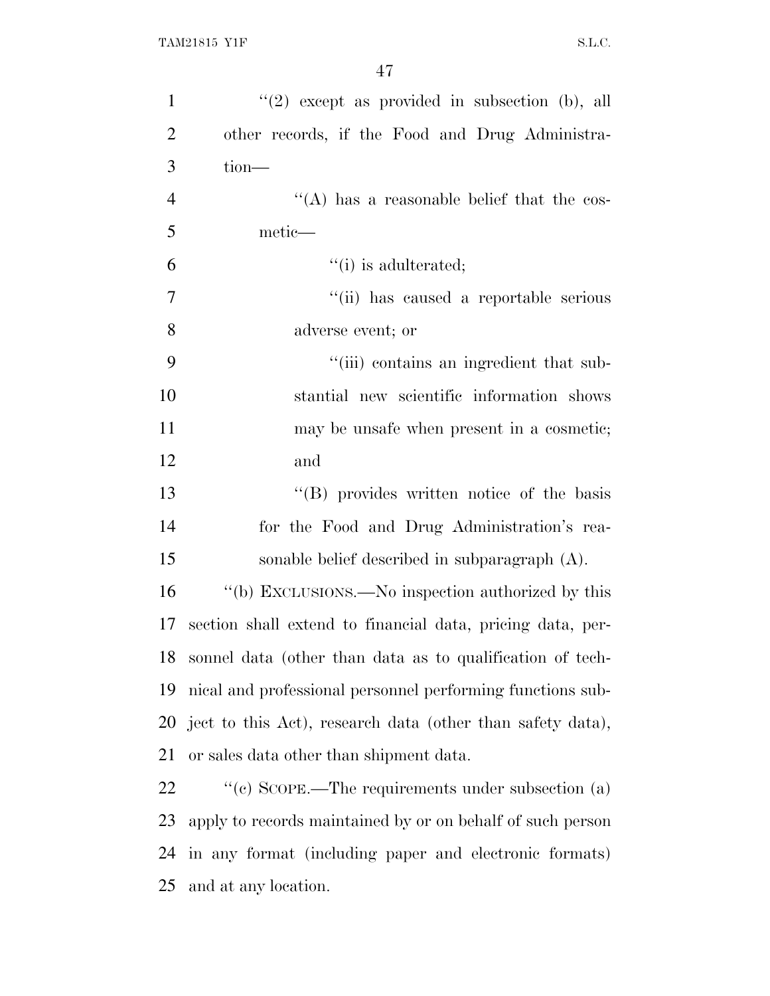| $\mathbf{1}$   | $(2)$ except as provided in subsection (b), all            |
|----------------|------------------------------------------------------------|
| $\overline{2}$ | other records, if the Food and Drug Administra-            |
| 3              | tion-                                                      |
| $\overline{4}$ | "(A) has a reasonable belief that the cos-                 |
| 5              | metic—                                                     |
| 6              | $"(i)$ is adulterated;                                     |
| $\tau$         | "(ii) has caused a reportable serious                      |
| 8              | adverse event; or                                          |
| 9              | "(iii) contains an ingredient that sub-                    |
| 10             | stantial new scientific information shows                  |
| 11             | may be unsafe when present in a cosmetic;                  |
| 12             | and                                                        |
| 13             | "(B) provides written notice of the basis                  |
| 14             | for the Food and Drug Administration's rea-                |
| 15             | sonable belief described in subparagraph $(A)$ .           |
| 16             | "(b) EXCLUSIONS.—No inspection authorized by this          |
| 17             | section shall extend to financial data, pricing data, per- |
| 18             | sonnel data (other than data as to qualification of tech-  |
| 19             | nical and professional personnel performing functions sub- |
| 20             | ject to this Act), research data (other than safety data), |
| 21             | or sales data other than shipment data.                    |
| 22             | "(c) SCOPE.—The requirements under subsection $(a)$        |
| 23             | apply to records maintained by or on behalf of such person |
| 24             | in any format (including paper and electronic formats)     |
|                |                                                            |

and at any location.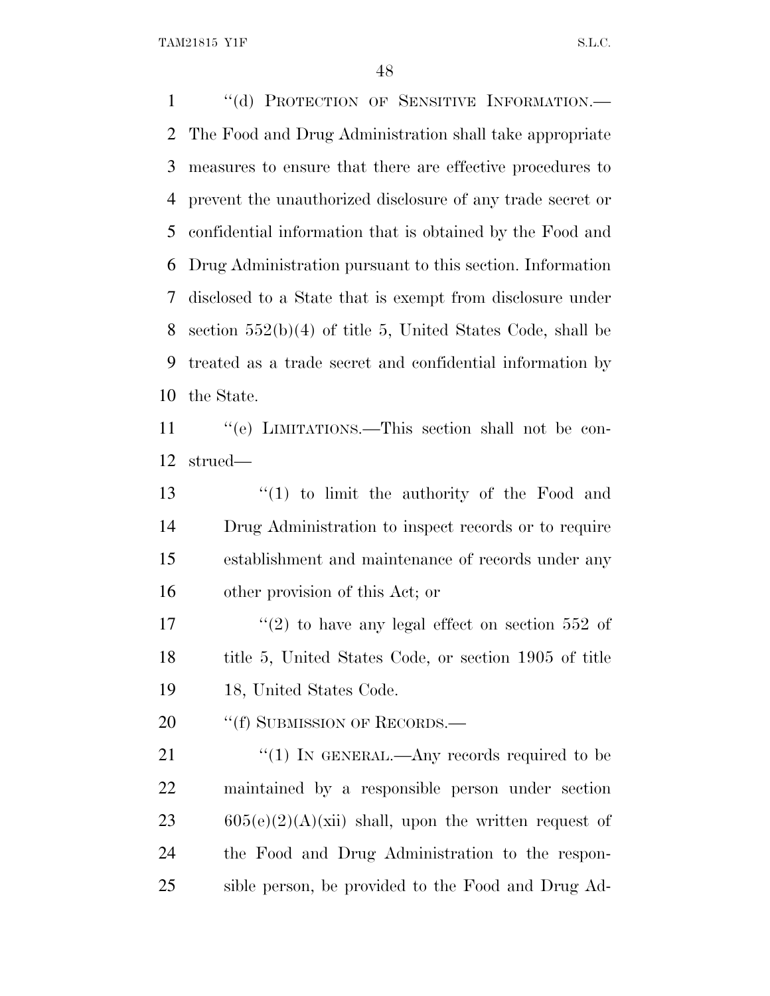TAM21815 Y1F S.L.C.

1 "(d) PROTECTION OF SENSITIVE INFORMATION.— The Food and Drug Administration shall take appropriate measures to ensure that there are effective procedures to prevent the unauthorized disclosure of any trade secret or confidential information that is obtained by the Food and Drug Administration pursuant to this section. Information disclosed to a State that is exempt from disclosure under section 552(b)(4) of title 5, United States Code, shall be treated as a trade secret and confidential information by the State. ''(e) LIMITATIONS.—This section shall not be con- strued— ''(1) to limit the authority of the Food and Drug Administration to inspect records or to require establishment and maintenance of records under any other provision of this Act; or

17  $\frac{17}{20}$  to have any legal effect on section 552 of 18 title 5, United States Code, or section 1905 of title 18, United States Code.

20 "(f) SUBMISSION OF RECORDS.—

 $\frac{1}{2}$  (1) In GENERAL.—Any records required to be maintained by a responsible person under section 23 605(e)(2)(A)(xii) shall, upon the written request of the Food and Drug Administration to the respon-sible person, be provided to the Food and Drug Ad-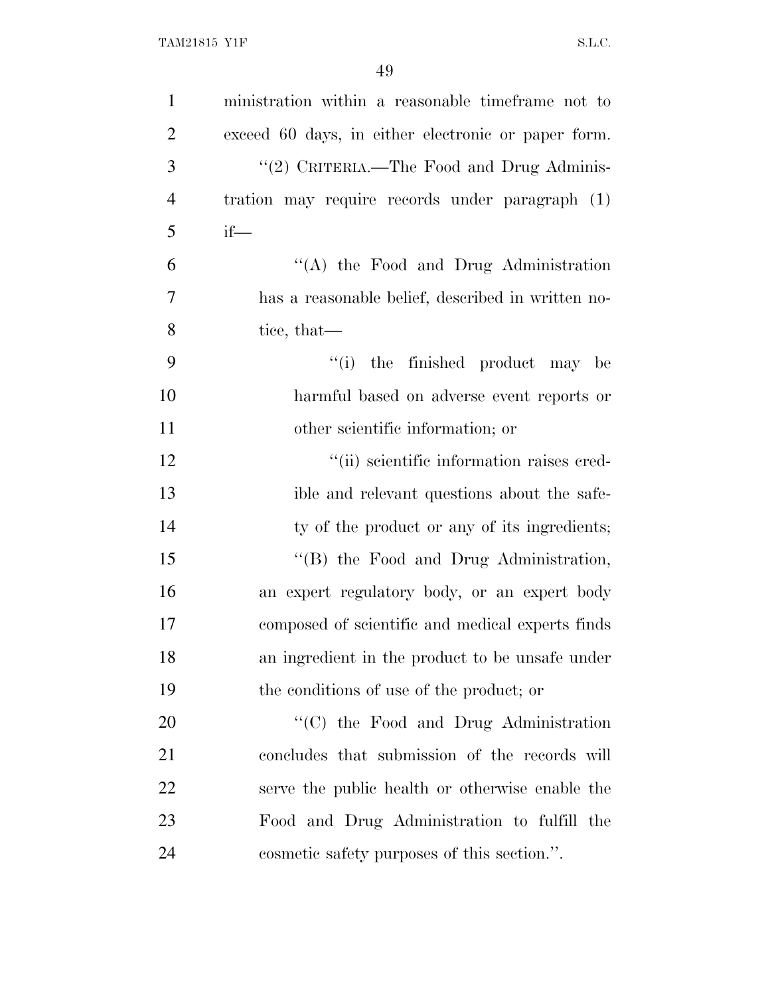| $\mathbf{1}$   | ministration within a reasonable timeframe not to   |
|----------------|-----------------------------------------------------|
| $\overline{2}$ | exceed 60 days, in either electronic or paper form. |
| 3              | "(2) CRITERIA.—The Food and Drug Adminis-           |
| $\overline{4}$ | tration may require records under paragraph (1)     |
| 5              | $if$ —                                              |
| 6              | "(A) the Food and Drug Administration               |
| $\tau$         | has a reasonable belief, described in written no-   |
| 8              | tice, that—                                         |
| 9              | ``(i)<br>the finished product may be                |
| 10             | harmful based on adverse event reports or           |
| 11             | other scientific information; or                    |
| 12             | "(ii) scientific information raises cred-           |
| 13             | ible and relevant questions about the safe-         |
| 14             | ty of the product or any of its ingredients;        |
| 15             | "(B) the Food and Drug Administration,              |
| 16             | an expert regulatory body, or an expert body        |
| 17             | composed of scientific and medical experts finds    |
| 18             | an ingredient in the product to be unsafe under     |
| 19             | the conditions of use of the product; or            |
| 20             | "(C) the Food and Drug Administration               |
| 21             | concludes that submission of the records will       |
| 22             | serve the public health or otherwise enable the     |
| 23             | Food and Drug Administration to fulfill the         |
| 24             | cosmetic safety purposes of this section.".         |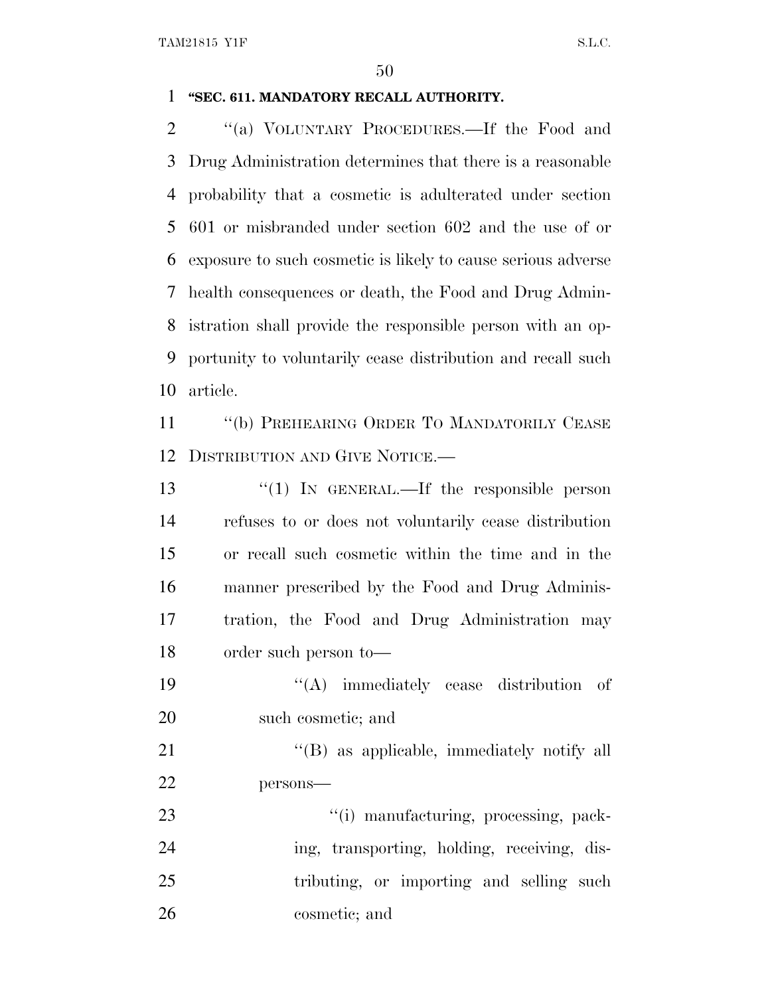#### **''SEC. 611. MANDATORY RECALL AUTHORITY.**

 ''(a) VOLUNTARY PROCEDURES.—If the Food and Drug Administration determines that there is a reasonable probability that a cosmetic is adulterated under section 601 or misbranded under section 602 and the use of or exposure to such cosmetic is likely to cause serious adverse health consequences or death, the Food and Drug Admin- istration shall provide the responsible person with an op- portunity to voluntarily cease distribution and recall such article.

11 "(b) PREHEARING ORDER TO MANDATORILY CEASE DISTRIBUTION AND GIVE NOTICE.—

13 "(1) In GENERAL.—If the responsible person refuses to or does not voluntarily cease distribution or recall such cosmetic within the time and in the manner prescribed by the Food and Drug Adminis- tration, the Food and Drug Administration may order such person to—

 ''(A) immediately cease distribution of such cosmetic; and

21 ''(B) as applicable, immediately notify all persons—

23  $\frac{1}{2}$   $\frac{1}{2}$  manufacturing, processing, pack-24 ing, transporting, holding, receiving, dis-25 tributing, or importing and selling such cosmetic; and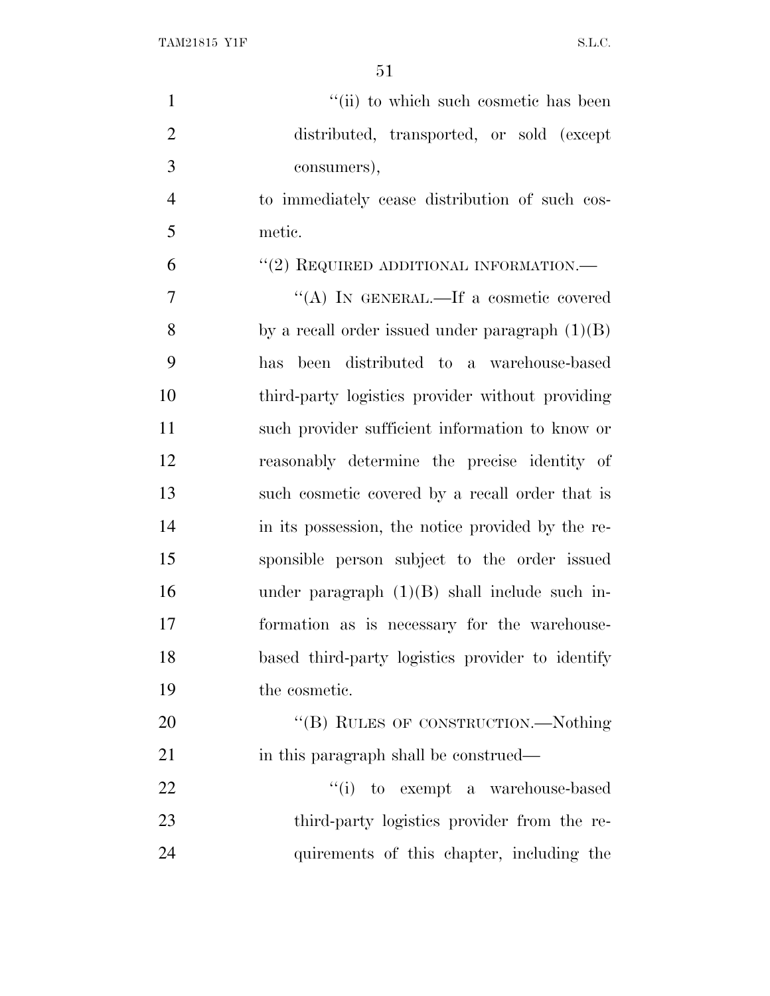| $\mathbf{1}$   | "(ii) to which such cosmetic has been             |
|----------------|---------------------------------------------------|
| $\overline{2}$ | distributed, transported, or sold (except         |
| 3              | consumers),                                       |
| $\overline{4}$ | to immediately cease distribution of such cos-    |
| 5              | metic.                                            |
| 6              | "(2) REQUIRED ADDITIONAL INFORMATION.—            |
| 7              | "(A) IN GENERAL.—If a cosmetic covered            |
| 8              | by a recall order issued under paragraph $(1)(B)$ |
| 9              | been distributed to a warehouse-based<br>has      |
| 10             | third-party logistics provider without providing  |
| 11             | such provider sufficient information to know or   |
| 12             | reasonably determine the precise identity of      |
| 13             | such cosmetic covered by a recall order that is   |
| 14             | in its possession, the notice provided by the re- |
| 15             | sponsible person subject to the order issued      |
| 16             | under paragraph $(1)(B)$ shall include such in-   |
| 17             | formation as is necessary for the warehouse-      |
| 18             | based third-party logistics provider to identify  |
| 19             | the cosmetic.                                     |
| 20             | "(B) RULES OF CONSTRUCTION.—Nothing               |
| 21             | in this paragraph shall be construed—             |
| 22             | "(i) to exempt a warehouse-based                  |
| 23             | third-party logistics provider from the re-       |
| 24             | quirements of this chapter, including the         |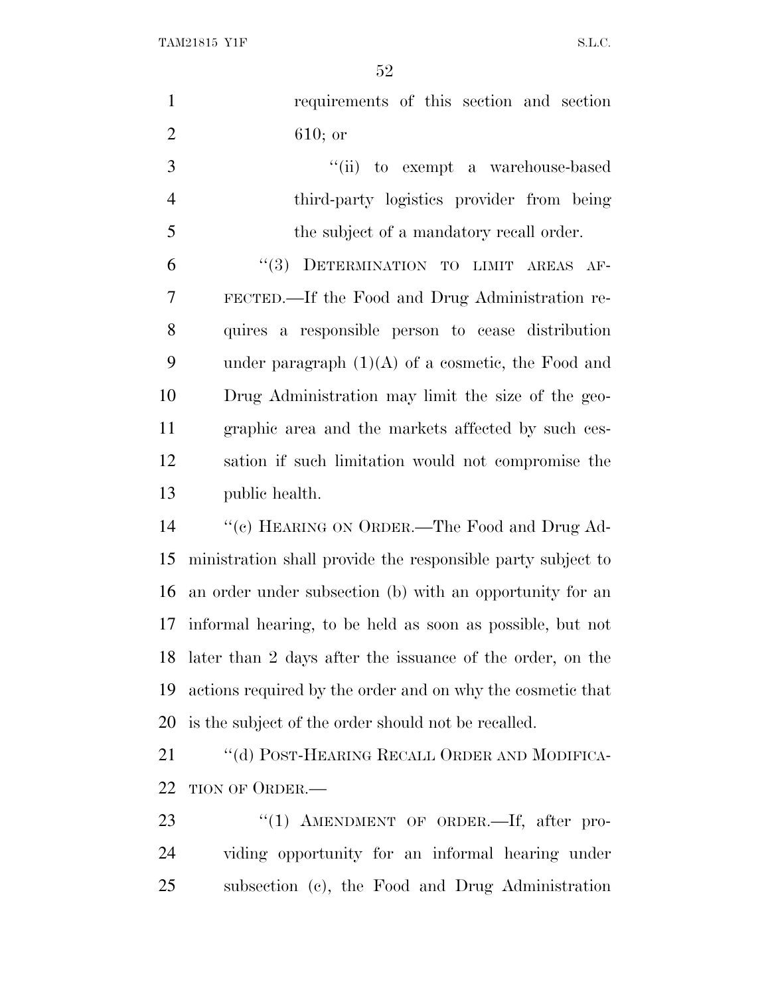TAM21815 Y1F S.L.C.

| $\mathbf{1}$   | requirements of this section and section                     |
|----------------|--------------------------------------------------------------|
| $\overline{2}$ | $610;$ or                                                    |
| 3              | "(ii) to exempt a warehouse-based                            |
| $\overline{4}$ | third-party logistics provider from being                    |
| 5              | the subject of a mandatory recall order.                     |
| 6              | DETERMINATION TO LIMIT AREAS AF-<br>(3)                      |
| 7              | FECTED.—If the Food and Drug Administration re-              |
| 8              | quires a responsible person to cease distribution            |
| 9              | under paragraph $(1)(A)$ of a cosmetic, the Food and         |
| 10             | Drug Administration may limit the size of the geo-           |
| 11             | graphic area and the markets affected by such ces-           |
| 12             | sation if such limitation would not compromise the           |
| 13             | public health.                                               |
| 14             | "(c) HEARING ON ORDER.—The Food and Drug Ad-                 |
| 15             | ministration shall provide the responsible party subject to  |
| 16             | an order under subsection (b) with an opportunity for an     |
| 17             | informal hearing, to be held as soon as possible, but not    |
|                | 18 later than 2 days after the issuance of the order, on the |
| 19             | actions required by the order and on why the cosmetic that   |
| 20             | is the subject of the order should not be recalled.          |
| 21             | "(d) POST-HEARING RECALL ORDER AND MODIFICA-                 |
| 22             | TION OF ORDER.—                                              |
| 23             | " $(1)$ AMENDMENT OF ORDER.—If, after pro-                   |
| 24             | viding opportunity for an informal hearing under             |
| 25             | subsection (c), the Food and Drug Administration             |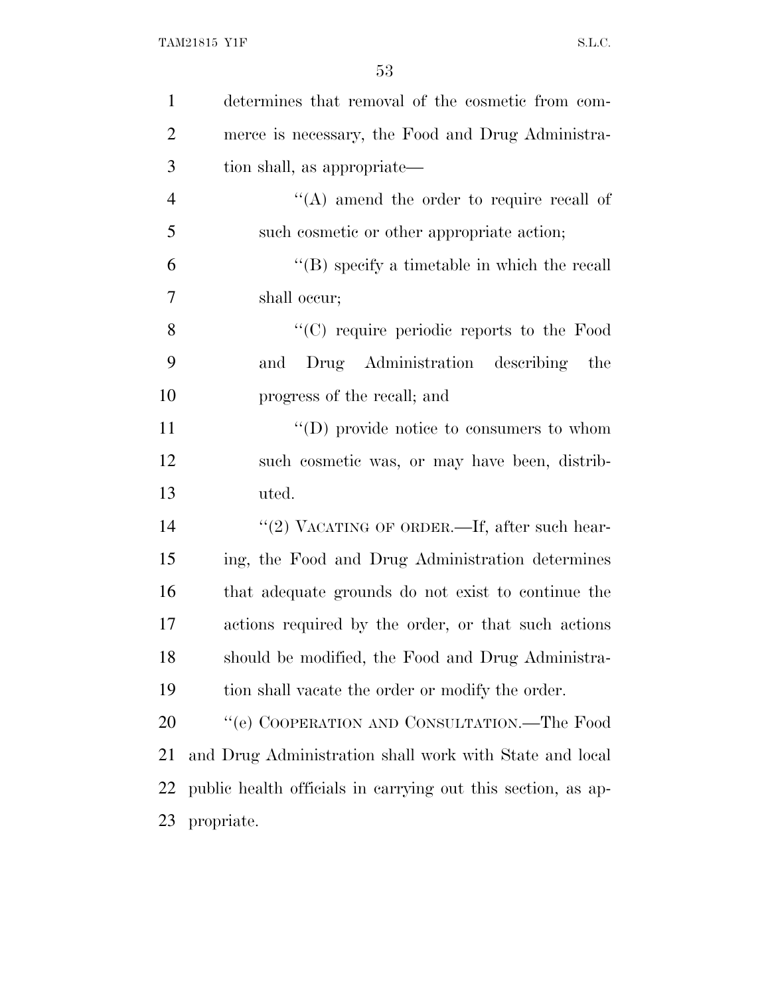| $\mathbf{1}$   | determines that removal of the cosmetic from com-            |
|----------------|--------------------------------------------------------------|
| $\overline{2}$ | merce is necessary, the Food and Drug Administra-            |
| 3              | tion shall, as appropriate—                                  |
| $\overline{4}$ | $\lq\lq$ amend the order to require recall of                |
| 5              | such cosmetic or other appropriate action;                   |
| 6              | $\lq\lq$ specify a timetable in which the recall             |
| 7              | shall occur;                                                 |
| 8              | $\lq\lq$ require periodic reports to the Food                |
| 9              | Drug Administration describing<br>the<br>and                 |
| 10             | progress of the recall; and                                  |
| 11             | $\lq\lq$ (D) provide notice to consumers to whom             |
| 12             | such cosmetic was, or may have been, distrib-                |
| 13             | uted.                                                        |
| 14             | "(2) VACATING OF ORDER.—If, after such hear-                 |
| 15             | ing, the Food and Drug Administration determines             |
| 16             | that adequate grounds do not exist to continue the           |
| 17             | actions required by the order, or that such actions          |
| 18             | should be modified, the Food and Drug Administra-            |
| 19             | tion shall vacate the order or modify the order.             |
| 20             | "(e) COOPERATION AND CONSULTATION.—The Food                  |
| 21             | and Drug Administration shall work with State and local      |
| 22             | public health officials in carrying out this section, as ap- |
| 23             | propriate.                                                   |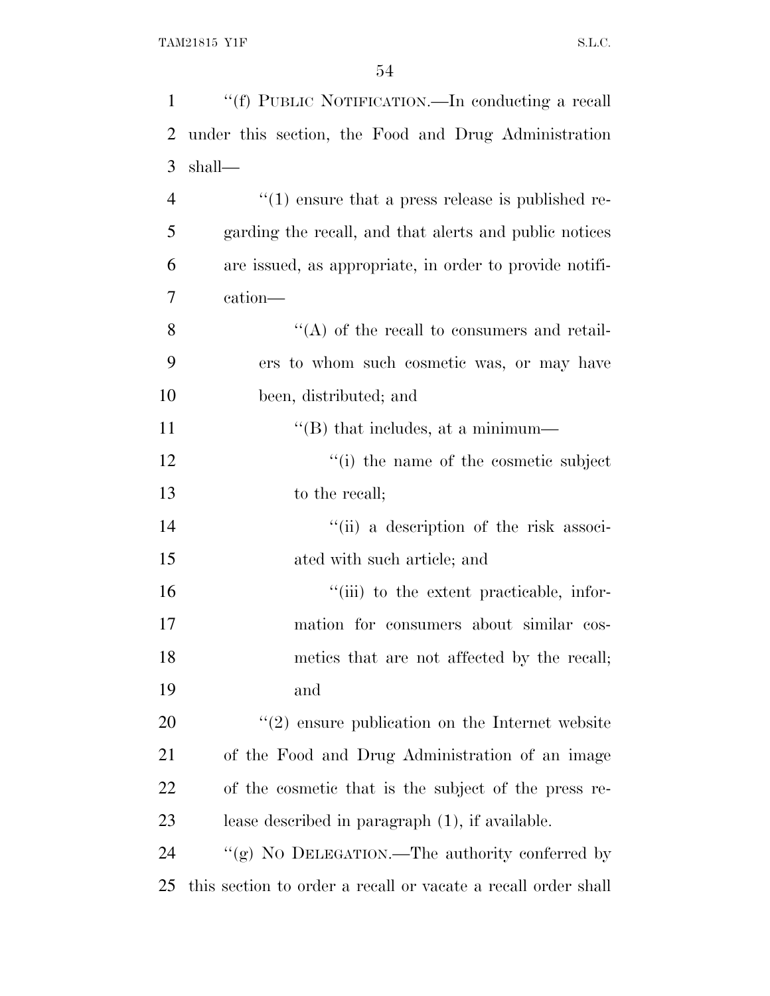| $\mathbf{1}$   | "(f) PUBLIC NOTIFICATION.—In conducting a recall                  |
|----------------|-------------------------------------------------------------------|
| $\overline{2}$ | under this section, the Food and Drug Administration              |
| 3              | shall—                                                            |
| $\overline{4}$ | $\cdot\cdot\cdot(1)$ ensure that a press release is published re- |
| 5              | garding the recall, and that alerts and public notices            |
| 6              | are issued, as appropriate, in order to provide notifi-           |
| 7              | cation—                                                           |
| 8              | $\lq\lq$ of the recall to consumers and retail-                   |
| 9              | ers to whom such cosmetic was, or may have                        |
| 10             | been, distributed; and                                            |
| 11             | "(B) that includes, at a minimum—                                 |
| 12             | $f'(i)$ the name of the cosmetic subject                          |
| 13             | to the recall;                                                    |
| 14             | "(ii) a description of the risk associ-                           |
| 15             | ated with such article; and                                       |
| 16             | "(iii) to the extent practicable, infor-                          |
| 17             | mation for consumers about similar cos-                           |
| 18             | metics that are not affected by the recall;                       |
| 19             | and                                                               |
| 20             | $\lq(2)$ ensure publication on the Internet website               |
| 21             | of the Food and Drug Administration of an image                   |
| 22             | of the cosmetic that is the subject of the press re-              |
| 23             | lease described in paragraph $(1)$ , if available.                |
| 24             | "(g) NO DELEGATION.—The authority conferred by                    |
| 25             | this section to order a recall or vacate a recall order shall     |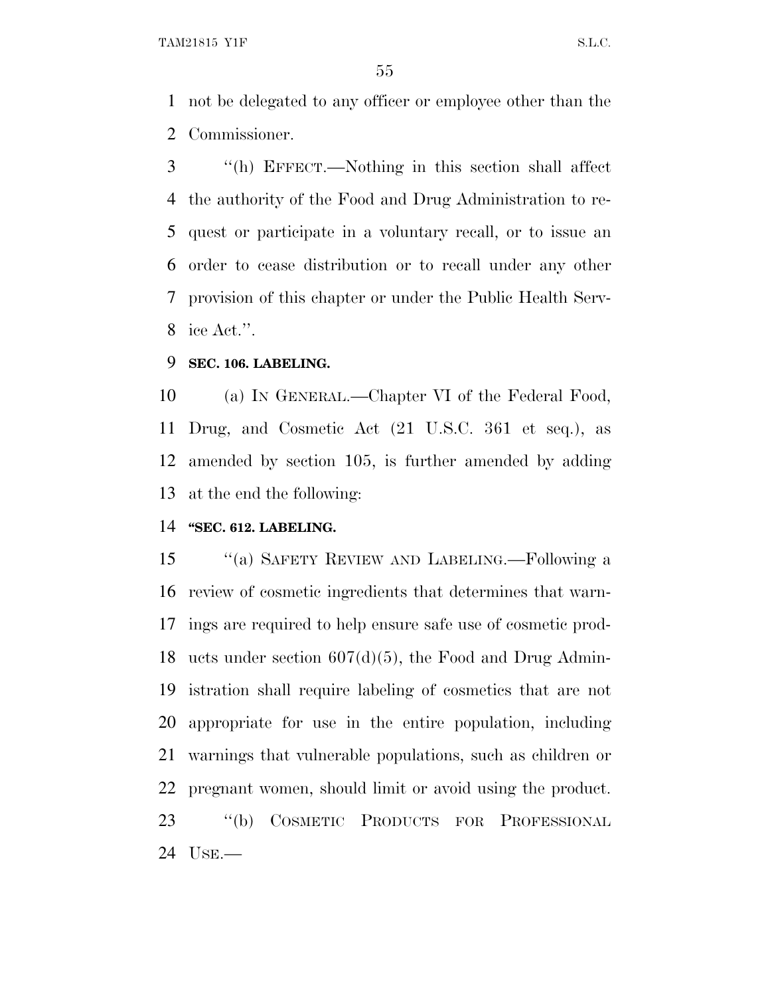not be delegated to any officer or employee other than the Commissioner.

 ''(h) EFFECT.—Nothing in this section shall affect the authority of the Food and Drug Administration to re- quest or participate in a voluntary recall, or to issue an order to cease distribution or to recall under any other provision of this chapter or under the Public Health Serv-ice Act.''.

## **SEC. 106. LABELING.**

 (a) I<sup>N</sup> GENERAL.—Chapter VI of the Federal Food, Drug, and Cosmetic Act (21 U.S.C. 361 et seq.), as amended by section 105, is further amended by adding at the end the following:

## **''SEC. 612. LABELING.**

 ''(a) SAFETY REVIEW AND LABELING.—Following a review of cosmetic ingredients that determines that warn- ings are required to help ensure safe use of cosmetic prod- ucts under section 607(d)(5), the Food and Drug Admin- istration shall require labeling of cosmetics that are not appropriate for use in the entire population, including warnings that vulnerable populations, such as children or pregnant women, should limit or avoid using the product. ''(b) COSMETIC PRODUCTS FOR PROFESSIONAL USE.—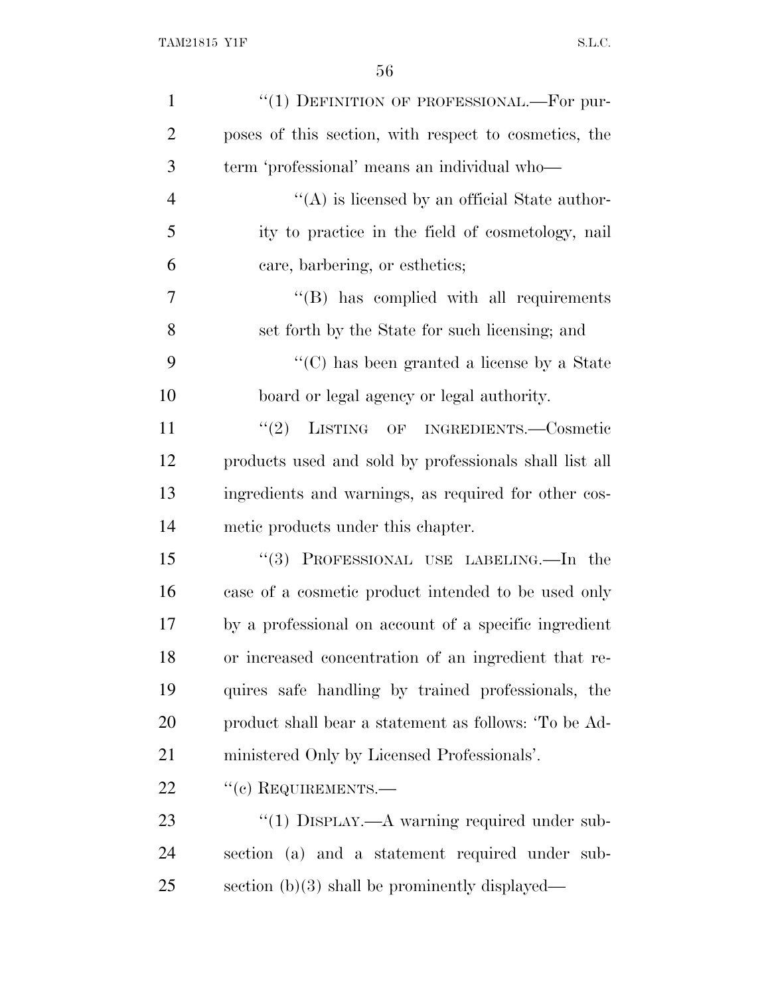| $\mathbf{1}$   | "(1) DEFINITION OF PROFESSIONAL.—For pur-              |
|----------------|--------------------------------------------------------|
| $\overline{2}$ | poses of this section, with respect to cosmetics, the  |
| 3              | term 'professional' means an individual who-           |
| $\overline{4}$ | $\lq\lq$ is licensed by an official State author-      |
| 5              | ity to practice in the field of cosmetology, nail      |
| 6              | care, barbering, or esthetics;                         |
| 7              | $\lq\lq$ has complied with all requirements            |
| 8              | set forth by the State for such licensing; and         |
| 9              | $\lq\lq$ (C) has been granted a license by a State     |
| 10             | board or legal agency or legal authority.              |
| 11             | (2)<br>LISTING OF INGREDIENTS.-Cosmetic                |
| 12             | products used and sold by professionals shall list all |
| 13             | ingredients and warnings, as required for other cos-   |
| 14             | metic products under this chapter.                     |
| 15             | "(3) PROFESSIONAL USE LABELING.—In the                 |
| 16             | case of a cosmetic product intended to be used only    |
| 17             | by a professional on account of a specific ingredient  |
| 18             | or increased concentration of an ingredient that re-   |
| 19             | quires safe handling by trained professionals, the     |
| 20             | product shall bear a statement as follows: 'To be Ad-  |
| 21             | ministered Only by Licensed Professionals'.            |
| 22             | $``(e)$ REQUIREMENTS.—                                 |
| 23             | "(1) $D$ ISPLAY.—A warning required under sub-         |
| 24             | section (a) and a statement required under sub-        |
| 25             | section $(b)(3)$ shall be prominently displayed—       |
|                |                                                        |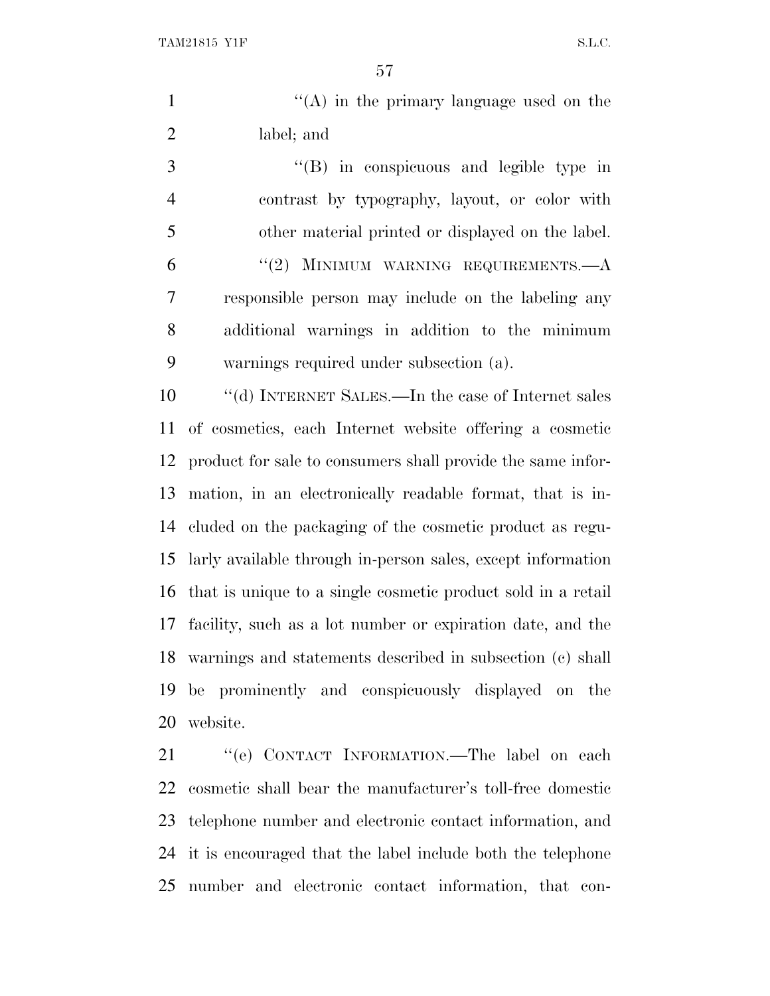TAM21815 Y1F S.L.C.

1 ''(A) in the primary language used on the label; and

 ''(B) in conspicuous and legible type in contrast by typography, layout, or color with other material printed or displayed on the label. ''(2) MINIMUM WARNING REQUIREMENTS.—A responsible person may include on the labeling any additional warnings in addition to the minimum warnings required under subsection (a).

 ''(d) INTERNET SALES.—In the case of Internet sales of cosmetics, each Internet website offering a cosmetic product for sale to consumers shall provide the same infor- mation, in an electronically readable format, that is in- cluded on the packaging of the cosmetic product as regu- larly available through in-person sales, except information that is unique to a single cosmetic product sold in a retail facility, such as a lot number or expiration date, and the warnings and statements described in subsection (c) shall be prominently and conspicuously displayed on the website.

21 "'(e) CONTACT INFORMATION.—The label on each cosmetic shall bear the manufacturer's toll-free domestic telephone number and electronic contact information, and it is encouraged that the label include both the telephone number and electronic contact information, that con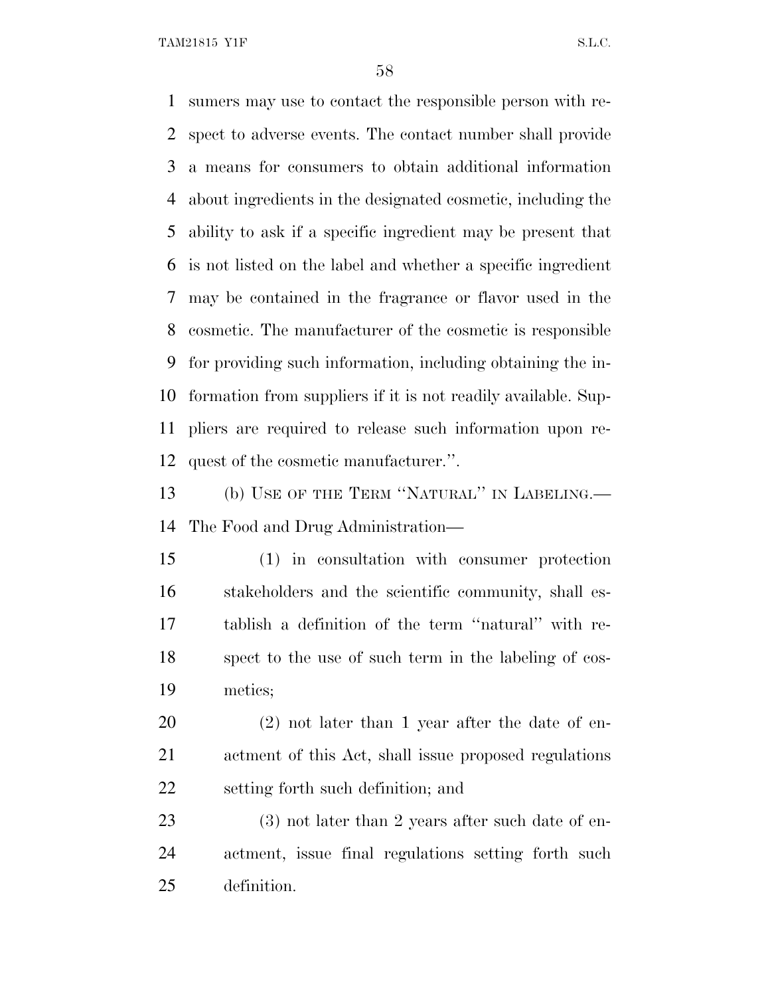TAM21815 Y1F S.L.C.

 sumers may use to contact the responsible person with re- spect to adverse events. The contact number shall provide a means for consumers to obtain additional information about ingredients in the designated cosmetic, including the ability to ask if a specific ingredient may be present that is not listed on the label and whether a specific ingredient may be contained in the fragrance or flavor used in the cosmetic. The manufacturer of the cosmetic is responsible for providing such information, including obtaining the in- formation from suppliers if it is not readily available. Sup- pliers are required to release such information upon re- quest of the cosmetic manufacturer.''. 13 (b) USE OF THE TERM "NATURAL" IN LABELING.—

The Food and Drug Administration—

 (1) in consultation with consumer protection stakeholders and the scientific community, shall es- tablish a definition of the term ''natural'' with re- spect to the use of such term in the labeling of cos-metics;

 (2) not later than 1 year after the date of en- actment of this Act, shall issue proposed regulations setting forth such definition; and

23 (3) not later than 2 years after such date of en- actment, issue final regulations setting forth such definition.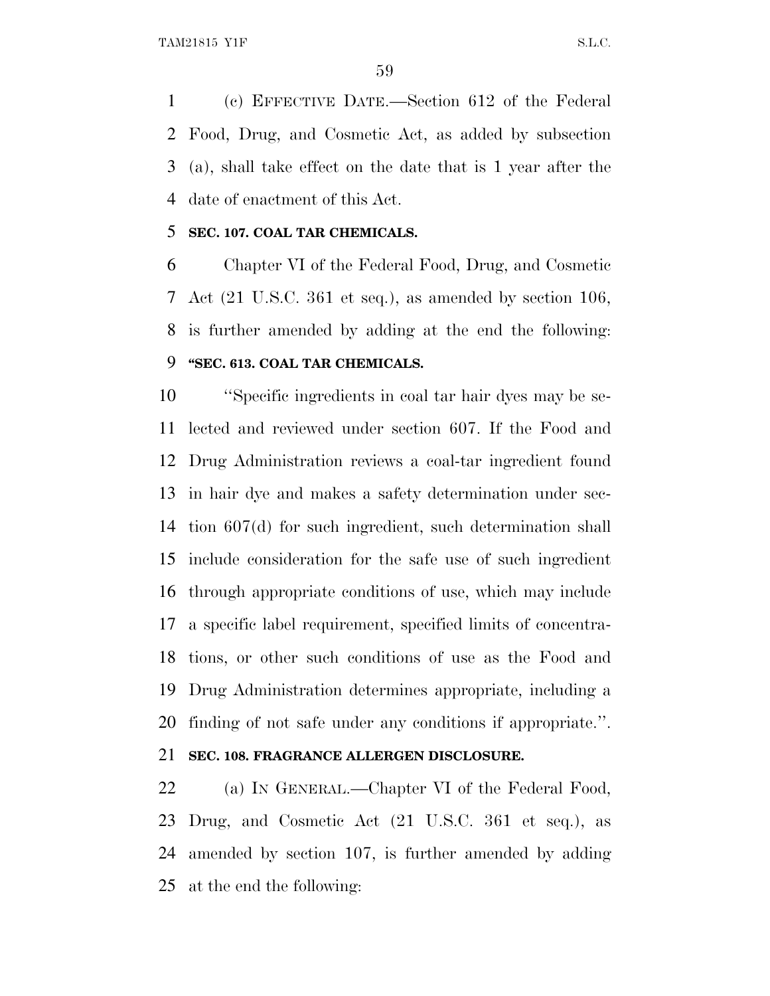(c) EFFECTIVE DATE.—Section 612 of the Federal Food, Drug, and Cosmetic Act, as added by subsection (a), shall take effect on the date that is 1 year after the date of enactment of this Act.

#### **SEC. 107. COAL TAR CHEMICALS.**

 Chapter VI of the Federal Food, Drug, and Cosmetic Act (21 U.S.C. 361 et seq.), as amended by section 106, is further amended by adding at the end the following: **''SEC. 613. COAL TAR CHEMICALS.**

 ''Specific ingredients in coal tar hair dyes may be se- lected and reviewed under section 607. If the Food and Drug Administration reviews a coal-tar ingredient found in hair dye and makes a safety determination under sec- tion 607(d) for such ingredient, such determination shall include consideration for the safe use of such ingredient through appropriate conditions of use, which may include a specific label requirement, specified limits of concentra- tions, or other such conditions of use as the Food and Drug Administration determines appropriate, including a finding of not safe under any conditions if appropriate.''.

# **SEC. 108. FRAGRANCE ALLERGEN DISCLOSURE.**

22 (a) IN GENERAL.—Chapter VI of the Federal Food, Drug, and Cosmetic Act (21 U.S.C. 361 et seq.), as amended by section 107, is further amended by adding at the end the following: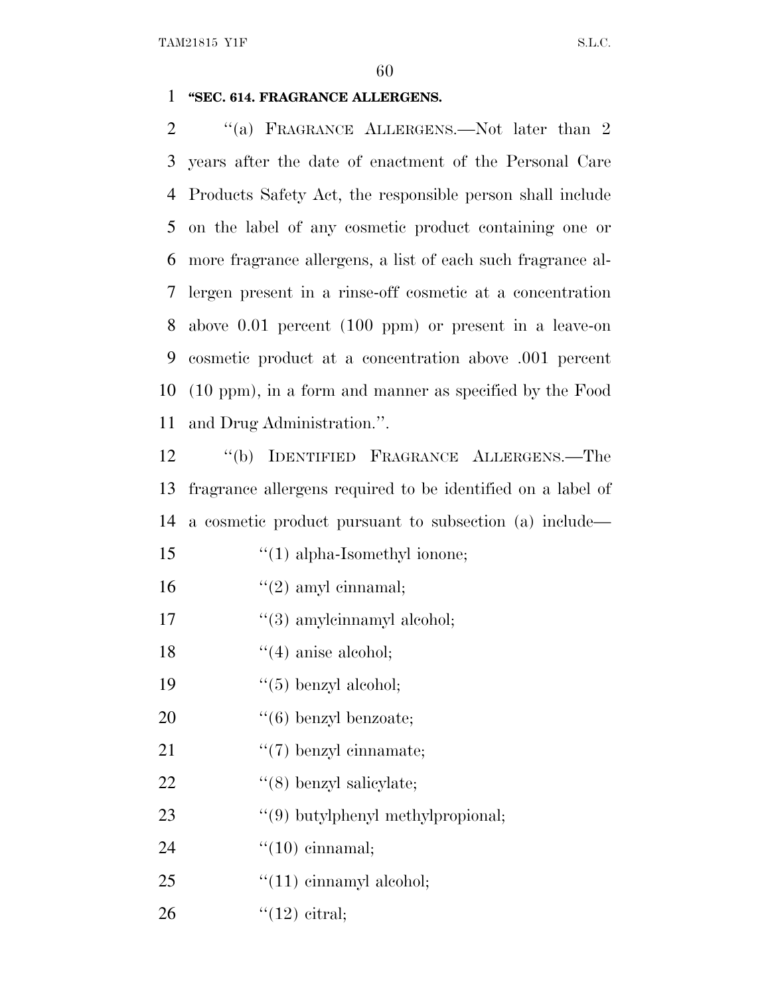## **''SEC. 614. FRAGRANCE ALLERGENS.**

2 "(a) FRAGRANCE ALLERGENS.—Not later than 2 years after the date of enactment of the Personal Care Products Safety Act, the responsible person shall include on the label of any cosmetic product containing one or more fragrance allergens, a list of each such fragrance al- lergen present in a rinse-off cosmetic at a concentration above 0.01 percent (100 ppm) or present in a leave-on cosmetic product at a concentration above .001 percent (10 ppm), in a form and manner as specified by the Food and Drug Administration.''.

 ''(b) IDENTIFIED FRAGRANCE ALLERGENS.—The fragrance allergens required to be identified on a label of a cosmetic product pursuant to subsection (a) include—

- ''(1) alpha-Isomethyl ionone;
- 16  $"(2)$  amyl cinnamal;
- 17  $\frac{1}{3}$  amylcinnamyl alcohol;
- 18  $\frac{1}{2}$  (4) anise alcohol;
- 19  $"(5)$  benzyl alcohol;
- 20  $\cdot$  (6) benzyl benzoate;
- 21  $\frac{((7) \text{ benzyl cinnamate}}{((7) \text{benzyl cinnamate)}}$
- 22  $\frac{1}{8}$  benzyl salicylate;
- 23 "(9) butylphenyl methylpropional;
- ''(10) cinnamal;
- 25 "(11) cinnamyl alcohol;
- ''(12) citral;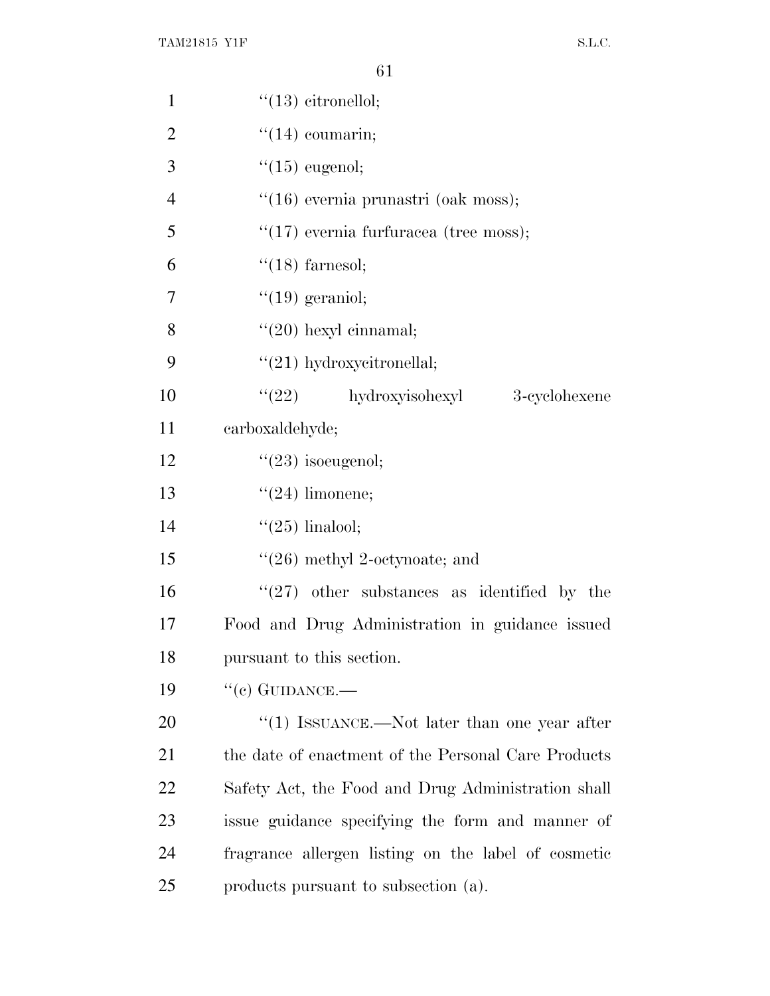| $\mathbf{1}$   | $"(13)$ citronellol;                                   |
|----------------|--------------------------------------------------------|
| $\overline{2}$ | $\lq(14)$ coumarin;                                    |
| 3              | $\degree$ (15) eugenol;                                |
| $\overline{4}$ | "(16) evernia prunastri (oak moss);                    |
| 5              | " $(17)$ evernia furfuracea (tree moss);               |
| 6              | $"(18)$ farnesol;                                      |
| 7              | $"(19)$ geraniol;                                      |
| 8              | $\lq(20)$ hexyl cinnamal;                              |
| 9              | $"(21)$ hydroxycitronellal;                            |
| 10             | $\lq(22)$ hydroxyisohexyl<br>3-cyclohexene             |
| 11             | carboxaldehyde;                                        |
| 12             | $"(23)$ isoeugenol;                                    |
| 13             | $\lq(24)$ limonene;                                    |
| 14             | " $(25)$ linalool;                                     |
| 15             | $\lq(26)$ methyl 2-octynoate; and                      |
| 16             | $\cdot\cdot(27)$ other substances as identified by the |
| 17             | Food and Drug Administration in guidance issued        |
| 18             | pursuant to this section.                              |
| 19             | $``(c)$ GUIDANCE.—                                     |
| 20             | $\lq(1)$ ISSUANCE.—Not later than one year after       |
| 21             | the date of enactment of the Personal Care Products    |
| 22             | Safety Act, the Food and Drug Administration shall     |
| 23             | issue guidance specifying the form and manner of       |
| 24             | fragrance allergen listing on the label of cosmetic    |
| 25             | products pursuant to subsection (a).                   |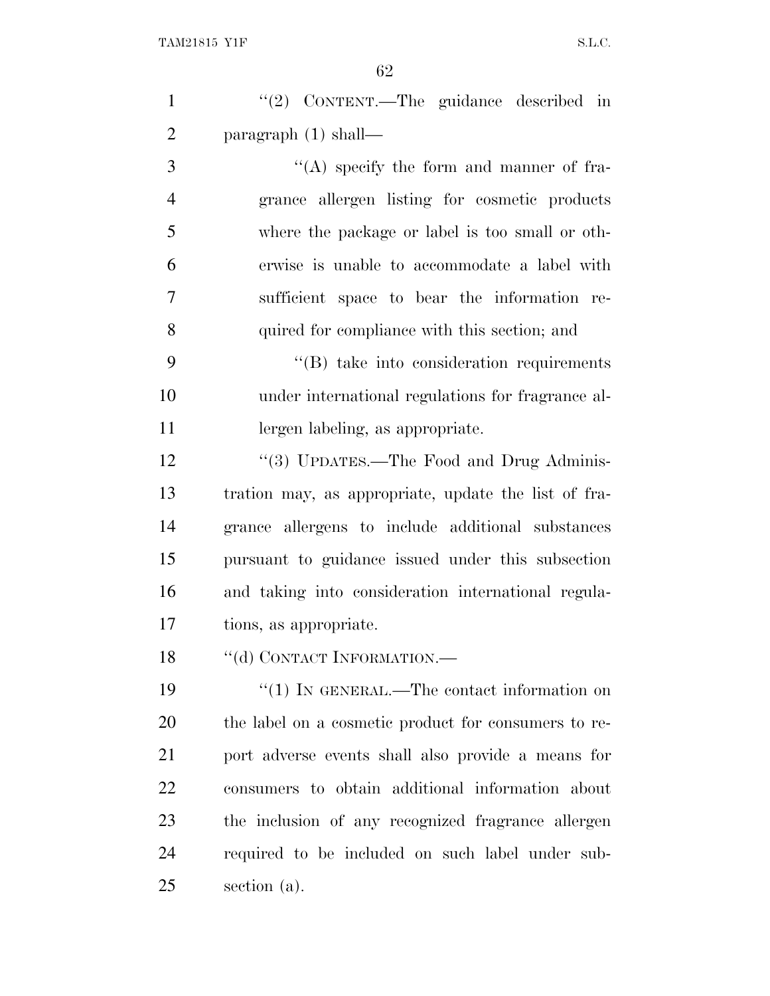| $\mathbf{1}$   | "(2) CONTENT.—The guidance described in              |
|----------------|------------------------------------------------------|
| $\overline{2}$ | paragraph $(1)$ shall—                               |
| 3              | $\lq\lq$ specify the form and manner of fra-         |
| $\overline{4}$ | grance allergen listing for cosmetic products        |
| 5              | where the package or label is too small or oth-      |
| 6              | erwise is unable to accommodate a label with         |
| $\overline{7}$ | sufficient space to bear the information re-         |
| 8              | quired for compliance with this section; and         |
| 9              | $\lq\lq$ take into consideration requirements        |
| 10             | under international regulations for fragrance al-    |
| 11             | lergen labeling, as appropriate.                     |
| 12             | "(3) UPDATES.—The Food and Drug Adminis-             |
| 13             | tration may, as appropriate, update the list of fra- |
| 14             | grance allergens to include additional substances    |
| 15             | pursuant to guidance issued under this subsection    |
| 16             | and taking into consideration international regula-  |
| 17             | tions, as appropriate.                               |
| 18             | "(d) CONTACT INFORMATION.-                           |
| 19             | $``(1)$ IN GENERAL.—The contact information on       |
| 20             | the label on a cosmetic product for consumers to re- |
| 21             | port adverse events shall also provide a means for   |
| 22             | consumers to obtain additional information about     |
| 23             | the inclusion of any recognized fragrance allergen   |
| 24             | required to be included on such label under sub-     |
| 25             | section (a).                                         |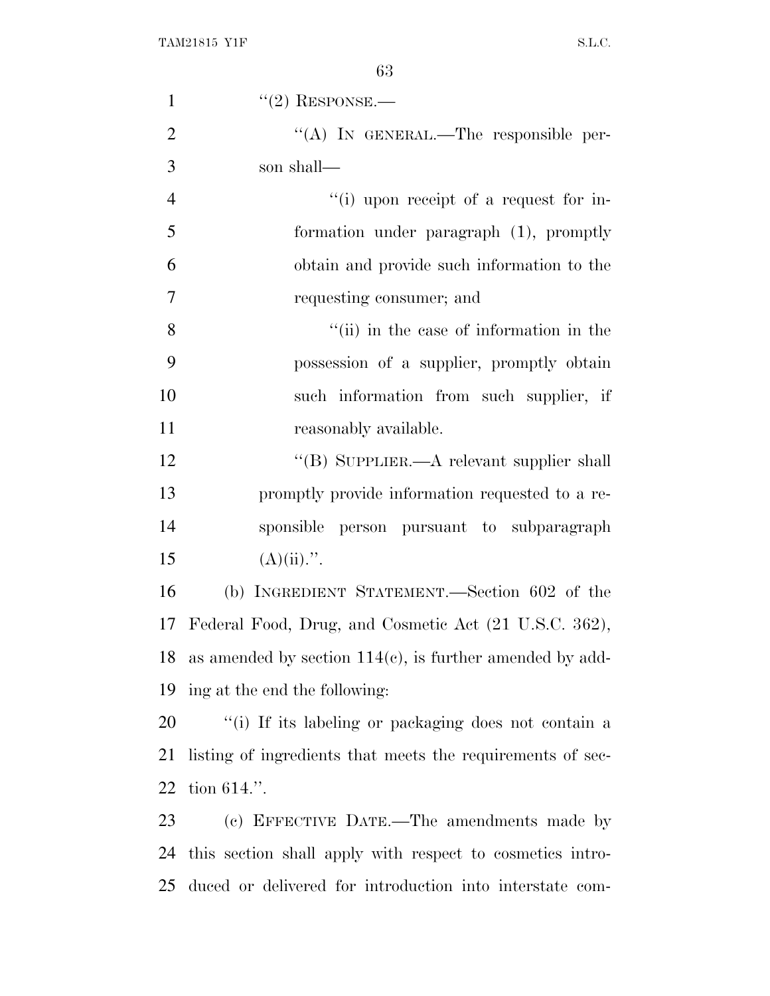| $\mathbf{1}$   | $"(2)$ RESPONSE.—                                              |
|----------------|----------------------------------------------------------------|
| $\overline{2}$ | "(A) IN GENERAL.—The responsible per-                          |
| 3              | son shall—                                                     |
| $\overline{4}$ | "(i) upon receipt of a request for in-                         |
| 5              | formation under paragraph (1), promptly                        |
| 6              | obtain and provide such information to the                     |
| 7              | requesting consumer; and                                       |
| 8              | "(ii) in the case of information in the                        |
| 9              | possession of a supplier, promptly obtain                      |
| 10             | such information from such supplier, if                        |
| 11             | reasonably available.                                          |
| 12             | "(B) SUPPLIER.—A relevant supplier shall                       |
| 13             | promptly provide information requested to a re-                |
| 14             | sponsible person pursuant to subparagraph                      |
| 15             | $(A)(ii)$ .".                                                  |
| 16             | (b) INGREDIENT STATEMENT.—Section 602 of the                   |
|                | 17 Federal Food, Drug, and Cosmetic Act (21 U.S.C. 362),       |
|                | 18 as amended by section $114(c)$ , is further amended by add- |
| 19             | ing at the end the following:                                  |
| 20             | "(i) If its labeling or packaging does not contain a           |
| 21             | listing of ingredients that meets the requirements of sec-     |
| 22             | tion $614$ .".                                                 |
| 23             | (c) EFFECTIVE DATE.—The amendments made by                     |
| 24             | this section shall apply with respect to cosmetics intro-      |
| 25             | duced or delivered for introduction into interstate com-       |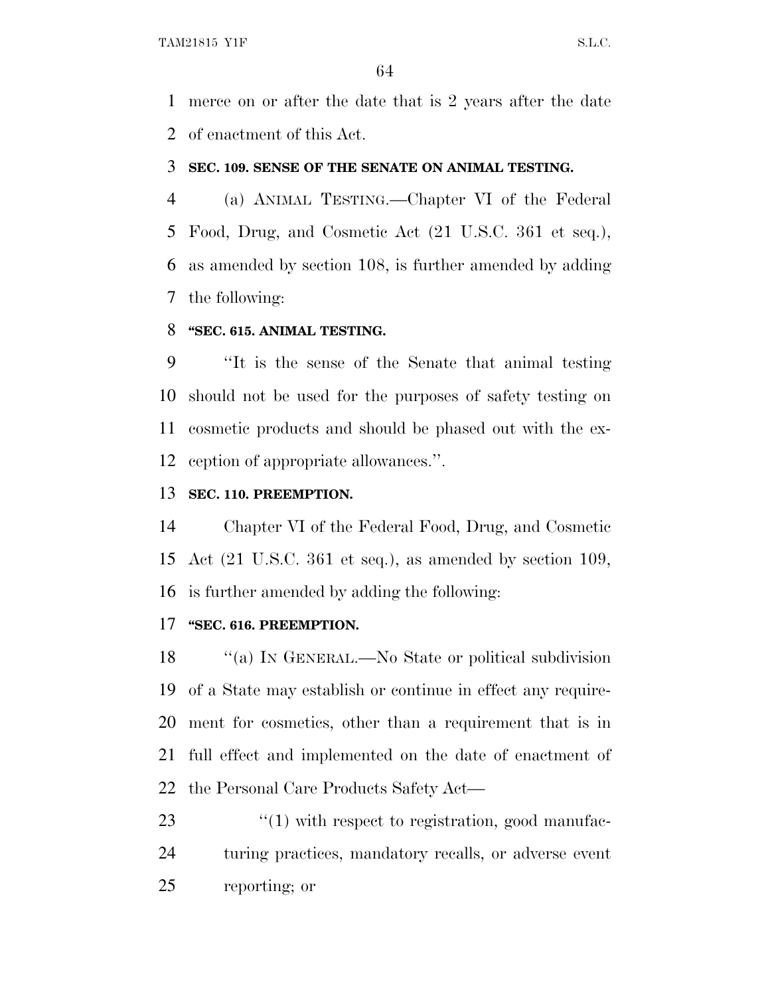merce on or after the date that is 2 years after the date of enactment of this Act.

#### **SEC. 109. SENSE OF THE SENATE ON ANIMAL TESTING.**

 (a) ANIMAL TESTING.—Chapter VI of the Federal Food, Drug, and Cosmetic Act (21 U.S.C. 361 et seq.), as amended by section 108, is further amended by adding the following:

### **''SEC. 615. ANIMAL TESTING.**

 ''It is the sense of the Senate that animal testing should not be used for the purposes of safety testing on cosmetic products and should be phased out with the ex-ception of appropriate allowances.''.

## **SEC. 110. PREEMPTION.**

 Chapter VI of the Federal Food, Drug, and Cosmetic Act (21 U.S.C. 361 et seq.), as amended by section 109, is further amended by adding the following:

# **''SEC. 616. PREEMPTION.**

18 "(a) In GENERAL.—No State or political subdivision of a State may establish or continue in effect any require- ment for cosmetics, other than a requirement that is in full effect and implemented on the date of enactment of the Personal Care Products Safety Act—

23  $\frac{1}{2}$  (1) with respect to registration, good manufac- turing practices, mandatory recalls, or adverse event reporting; or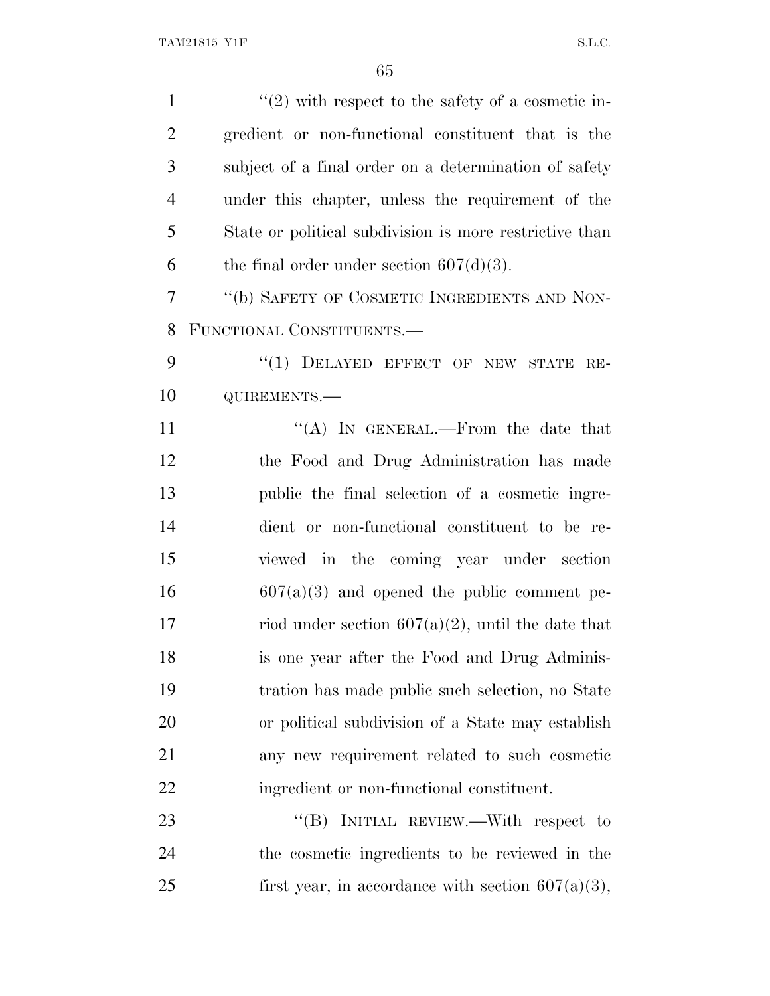| $\mathbf{1}$   | $\lq(2)$ with respect to the safety of a cosmetic in-   |
|----------------|---------------------------------------------------------|
| $\overline{2}$ | gredient or non-functional constituent that is the      |
| 3              | subject of a final order on a determination of safety   |
| $\overline{4}$ | under this chapter, unless the requirement of the       |
| 5              | State or political subdivision is more restrictive than |
| 6              | the final order under section $607(d)(3)$ .             |
| 7              | "(b) SAFETY OF COSMETIC INGREDIENTS AND NON-            |
| 8              | FUNCTIONAL CONSTITUENTS.-                               |
| 9              | "(1) DELAYED EFFECT OF NEW STATE RE-                    |
| 10             | QUIREMENTS.-                                            |
| 11             | "(A) IN GENERAL.—From the date that                     |
| 12             | the Food and Drug Administration has made               |
| 13             | public the final selection of a cosmetic ingre-         |
| 14             | dient or non-functional constituent to be re-           |
| 15             | viewed in the coming year under section                 |
| 16             | $607(a)(3)$ and opened the public comment pe-           |
| 17             | riod under section $607(a)(2)$ , until the date that    |
| 18             | is one year after the Food and Drug Adminis-            |
| 19             | tration has made public such selection, no State        |
| 20             | or political subdivision of a State may establish       |
| 21             | any new requirement related to such cosmetic            |
| 22             | ingredient or non-functional constituent.               |
| 23             | "(B) INITIAL REVIEW.—With respect to                    |
| 24             | the cosmetic ingredients to be reviewed in the          |
| 25             | first year, in accordance with section $607(a)(3)$ ,    |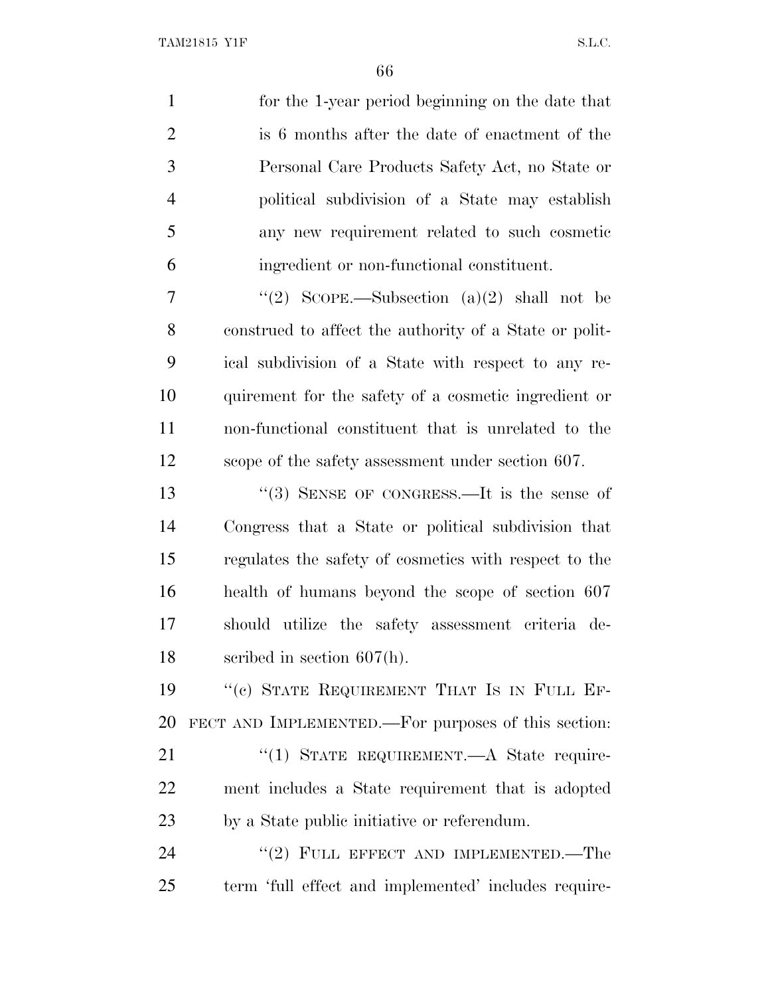| $\mathbf{1}$   | for the 1-year period beginning on the date that       |
|----------------|--------------------------------------------------------|
| $\overline{2}$ | is 6 months after the date of enactment of the         |
| 3              | Personal Care Products Safety Act, no State or         |
| $\overline{4}$ | political subdivision of a State may establish         |
| 5              | any new requirement related to such cosmetic           |
| 6              | ingredient or non-functional constituent.              |
| 7              | "(2) SCOPE.—Subsection $(a)(2)$ shall not be           |
| 8              | construed to affect the authority of a State or polit- |
| 9              | ical subdivision of a State with respect to any re-    |
| 10             | quirement for the safety of a cosmetic ingredient or   |
| 11             | non-functional constituent that is unrelated to the    |
| 12             | scope of the safety assessment under section 607.      |
| 13             | "(3) SENSE OF CONGRESS.—It is the sense of             |
| 14             | Congress that a State or political subdivision that    |
| 15             | regulates the safety of cosmetics with respect to the  |
| 16             | health of humans beyond the scope of section 607       |
| 17             | should utilize the safety assessment criteria de-      |
| 18             | scribed in section $607(h)$ .                          |
| 19             | "(c) STATE REQUIREMENT THAT IS IN FULL EF-             |
| 20             | FECT AND IMPLEMENTED.—For purposes of this section:    |
| 21             | "(1) STATE REQUIREMENT. A State require-               |
| 22             | ment includes a State requirement that is adopted      |
| 23             | by a State public initiative or referendum.            |

24 "(2) FULL EFFECT AND IMPLEMENTED.—The term 'full effect and implemented' includes require-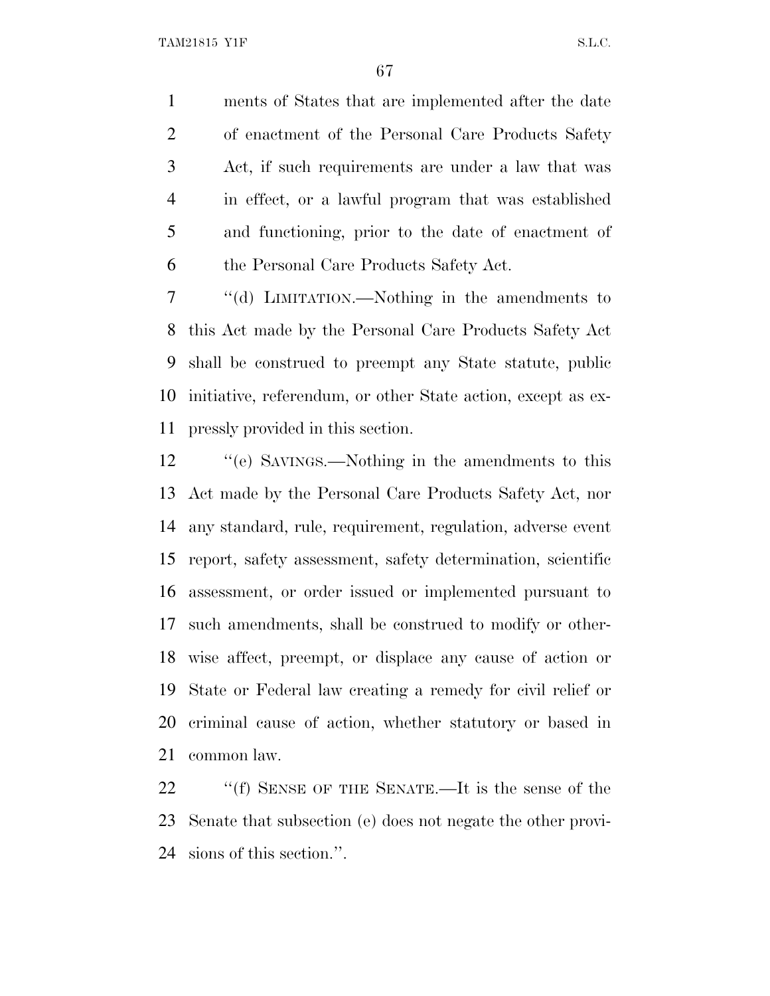ments of States that are implemented after the date of enactment of the Personal Care Products Safety Act, if such requirements are under a law that was in effect, or a lawful program that was established and functioning, prior to the date of enactment of the Personal Care Products Safety Act.

 ''(d) LIMITATION.—Nothing in the amendments to this Act made by the Personal Care Products Safety Act shall be construed to preempt any State statute, public initiative, referendum, or other State action, except as ex-pressly provided in this section.

 ''(e) SAVINGS.—Nothing in the amendments to this Act made by the Personal Care Products Safety Act, nor any standard, rule, requirement, regulation, adverse event report, safety assessment, safety determination, scientific assessment, or order issued or implemented pursuant to such amendments, shall be construed to modify or other- wise affect, preempt, or displace any cause of action or State or Federal law creating a remedy for civil relief or criminal cause of action, whether statutory or based in common law.

 ''(f) SENSE OF THE SENATE.—It is the sense of the Senate that subsection (e) does not negate the other provi-sions of this section.''.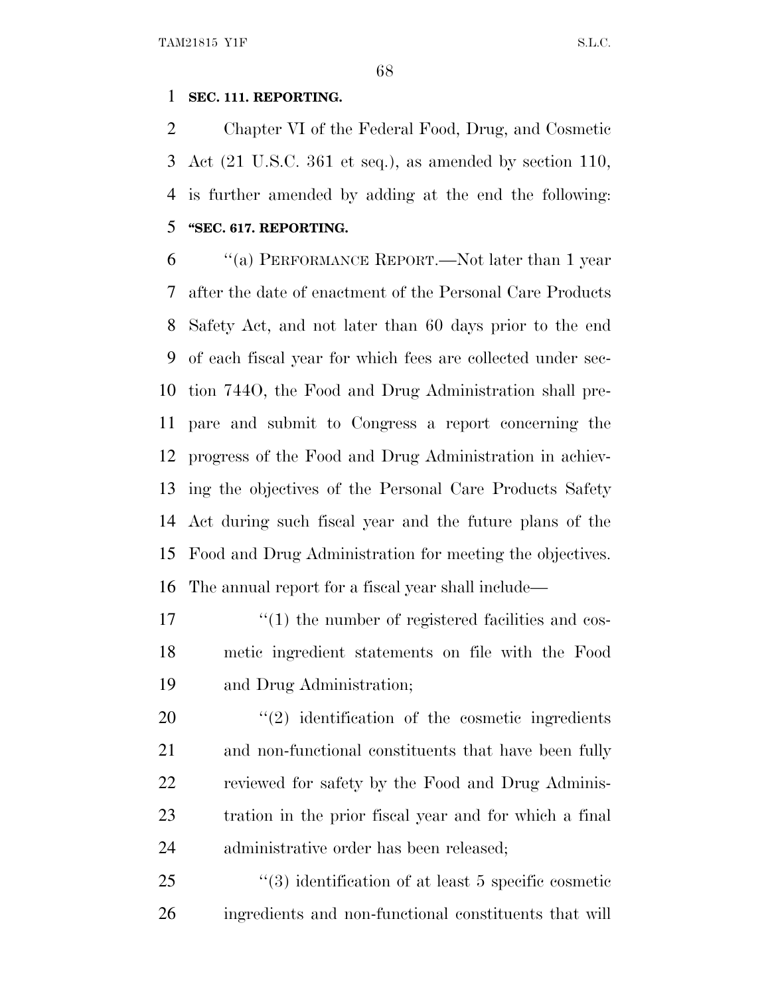## **SEC. 111. REPORTING.**

 Chapter VI of the Federal Food, Drug, and Cosmetic Act (21 U.S.C. 361 et seq.), as amended by section 110, is further amended by adding at the end the following: **''SEC. 617. REPORTING.**

 ''(a) PERFORMANCE REPORT.—Not later than 1 year after the date of enactment of the Personal Care Products Safety Act, and not later than 60 days prior to the end of each fiscal year for which fees are collected under sec- tion 744O, the Food and Drug Administration shall pre- pare and submit to Congress a report concerning the progress of the Food and Drug Administration in achiev- ing the objectives of the Personal Care Products Safety Act during such fiscal year and the future plans of the Food and Drug Administration for meeting the objectives. The annual report for a fiscal year shall include—

17  $\frac{17}{2}$  (1) the number of registered facilities and cos- metic ingredient statements on file with the Food and Drug Administration;

 $\frac{1}{2}$  identification of the cosmetic ingredients and non-functional constituents that have been fully reviewed for safety by the Food and Drug Adminis- tration in the prior fiscal year and for which a final administrative order has been released;

25 ''(3) identification of at least 5 specific cosmetic ingredients and non-functional constituents that will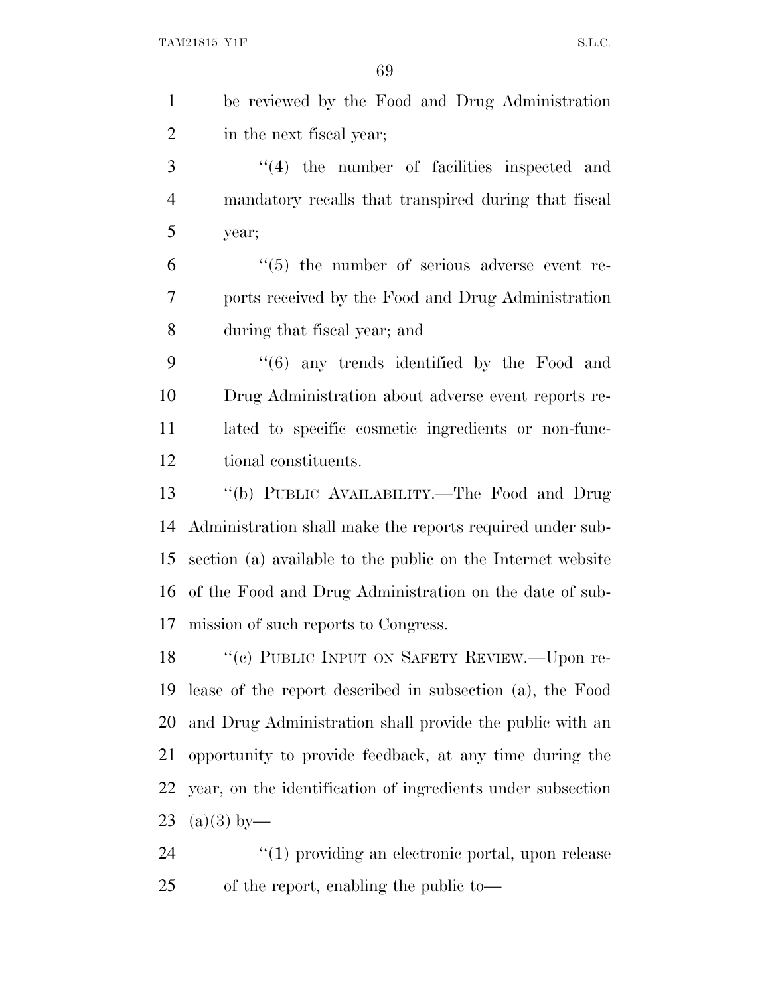| $\mathbf{1}$   | be reviewed by the Food and Drug Administration             |
|----------------|-------------------------------------------------------------|
| $\overline{2}$ | in the next fiscal year;                                    |
| 3              | $\lq(4)$ the number of facilities inspected and             |
| $\overline{4}$ | mandatory recalls that transpired during that fiscal        |
| 5              | year;                                                       |
| 6              | $\cdot\cdot$ (5) the number of serious adverse event re-    |
| 7              | ports received by the Food and Drug Administration          |
| 8              | during that fiscal year; and                                |
| 9              | "(6) any trends identified by the Food and                  |
| 10             | Drug Administration about adverse event reports re-         |
| 11             | lated to specific cosmetic ingredients or non-func-         |
| 12             | tional constituents.                                        |
| 13             | "(b) PUBLIC AVAILABILITY.-The Food and Drug                 |
| 14             | Administration shall make the reports required under sub-   |
| 15             | section (a) available to the public on the Internet website |
| 16             | of the Food and Drug Administration on the date of sub-     |
| 17             | mission of such reports to Congress.                        |
| 18             | "(c) PUBLIC INPUT ON SAFETY REVIEW.—Upon re-                |
| 19             | lease of the report described in subsection (a), the Food   |
| 20             | and Drug Administration shall provide the public with an    |
| 21             | opportunity to provide feedback, at any time during the     |
| 22             | year, on the identification of ingredients under subsection |
| 23             | $(a)(3)$ by—                                                |
| 24             | "(1) providing an electronic portal, upon release           |
| 25             | of the report, enabling the public to-                      |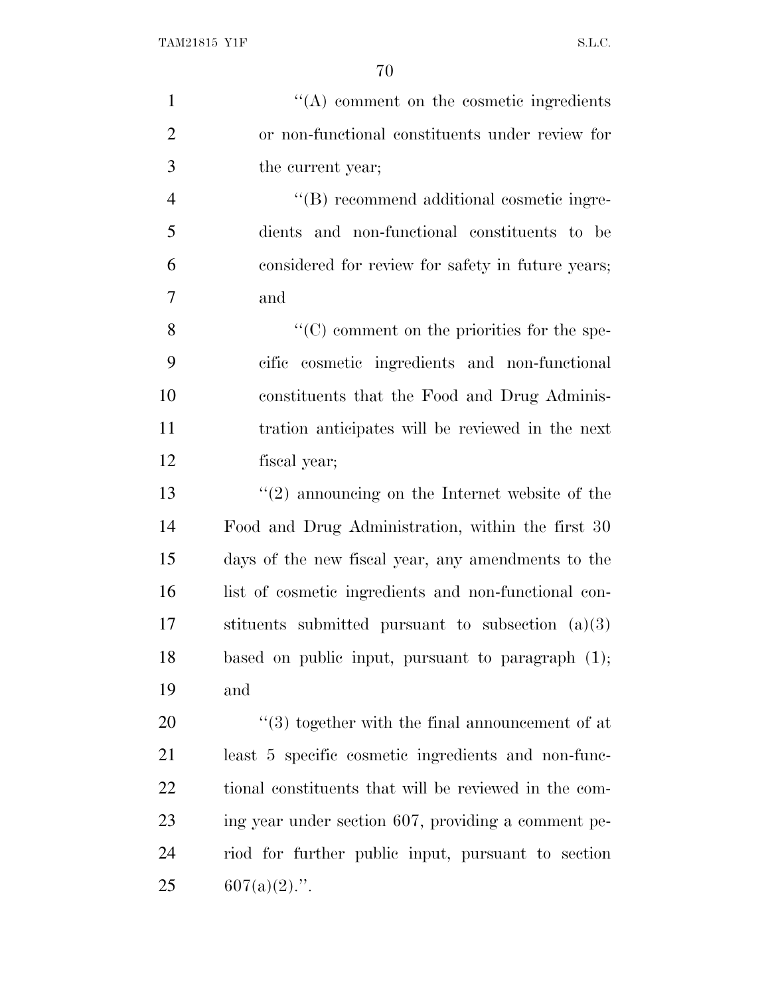| $\mathbf{1}$   | $\lq\lq$ comment on the cosmetic ingredients          |
|----------------|-------------------------------------------------------|
| $\overline{2}$ | or non-functional constituents under review for       |
| 3              | the current year;                                     |
| $\overline{4}$ | "(B) recommend additional cosmetic ingre-             |
| 5              | dients and non-functional constituents to be          |
| 6              | considered for review for safety in future years;     |
| 7              | and                                                   |
| 8              | $\lq\lq$ comment on the priorities for the spe-       |
| 9              | cific cosmetic ingredients and non-functional         |
| 10             | constituents that the Food and Drug Adminis-          |
| 11             | tration anticipates will be reviewed in the next      |
| 12             | fiscal year;                                          |
| 13             | $\lq(2)$ announcing on the Internet website of the    |
| 14             | Food and Drug Administration, within the first 30     |
| 15             | days of the new fiscal year, any amendments to the    |
| 16             | list of cosmetic ingredients and non-functional con-  |
| 17             | stituents submitted pursuant to subsection $(a)(3)$   |
| 18             | based on public input, pursuant to paragraph $(1)$ ;  |
| 19             | and                                                   |
| 20             | $(3)$ together with the final announcement of at      |
| 21             | least 5 specific cosmetic ingredients and non-func-   |
| 22             | tional constituents that will be reviewed in the com- |
| 23             | ing year under section 607, providing a comment pe-   |
| 24             | riod for further public input, pursuant to section    |
| 25             | $607(a)(2)$ .".                                       |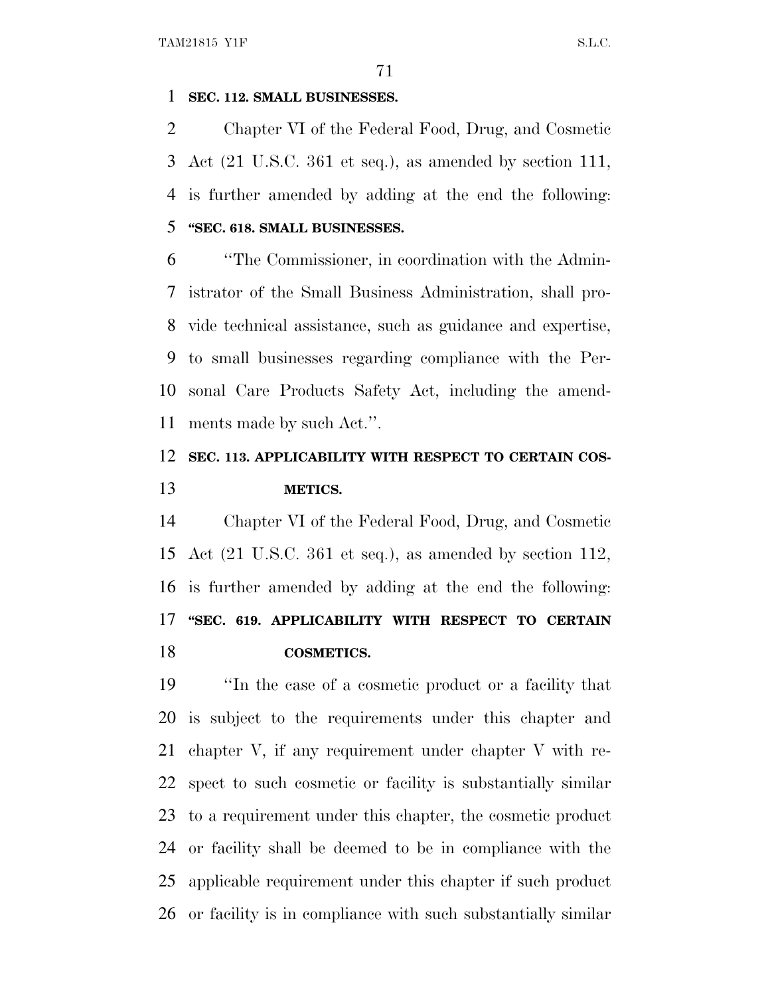#### **SEC. 112. SMALL BUSINESSES.**

 Chapter VI of the Federal Food, Drug, and Cosmetic Act (21 U.S.C. 361 et seq.), as amended by section 111, is further amended by adding at the end the following: **''SEC. 618. SMALL BUSINESSES.**

 ''The Commissioner, in coordination with the Admin- istrator of the Small Business Administration, shall pro- vide technical assistance, such as guidance and expertise, to small businesses regarding compliance with the Per- sonal Care Products Safety Act, including the amend-ments made by such Act.''.

# **SEC. 113. APPLICABILITY WITH RESPECT TO CERTAIN COS-METICS.**

 Chapter VI of the Federal Food, Drug, and Cosmetic Act (21 U.S.C. 361 et seq.), as amended by section 112, is further amended by adding at the end the following: **''SEC. 619. APPLICABILITY WITH RESPECT TO CERTAIN COSMETICS.**

 ''In the case of a cosmetic product or a facility that is subject to the requirements under this chapter and chapter V, if any requirement under chapter V with re- spect to such cosmetic or facility is substantially similar to a requirement under this chapter, the cosmetic product or facility shall be deemed to be in compliance with the applicable requirement under this chapter if such product or facility is in compliance with such substantially similar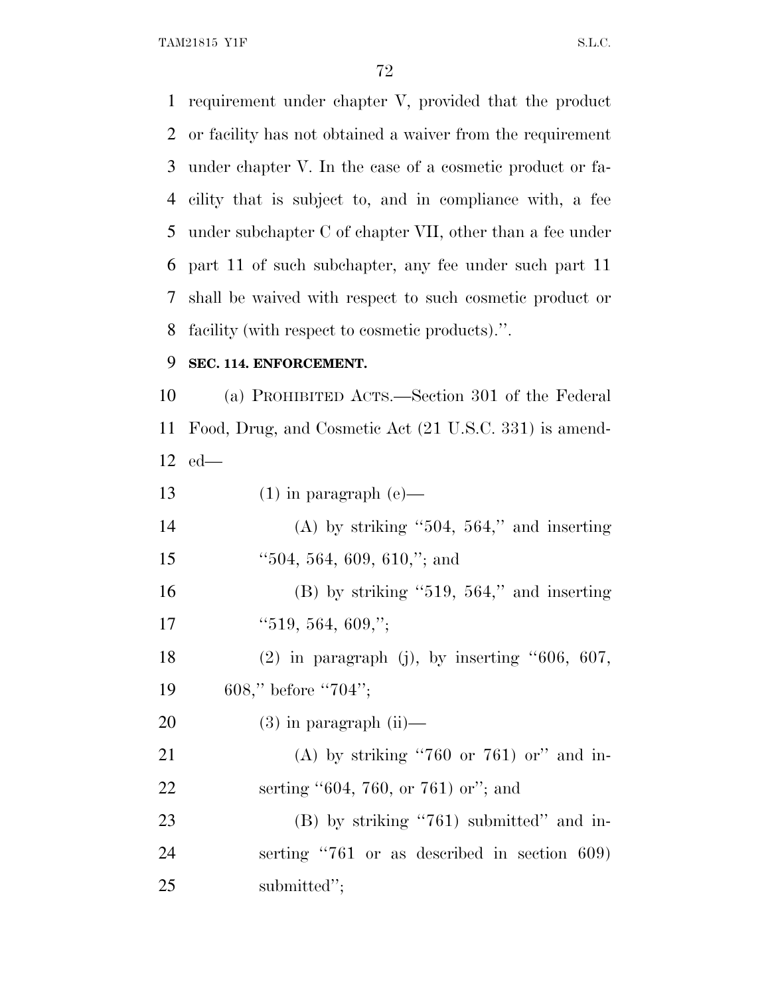TAM21815 Y1F S.L.C.

 requirement under chapter V, provided that the product or facility has not obtained a waiver from the requirement under chapter V. In the case of a cosmetic product or fa- cility that is subject to, and in compliance with, a fee under subchapter C of chapter VII, other than a fee under part 11 of such subchapter, any fee under such part 11 shall be waived with respect to such cosmetic product or facility (with respect to cosmetic products).''.

#### **SEC. 114. ENFORCEMENT.**

 (a) PROHIBITED ACTS.—Section 301 of the Federal Food, Drug, and Cosmetic Act (21 U.S.C. 331) is amend-ed—

13 (1) in paragraph (e)— 14 (A) by striking  $\lq 504$ , 564," and inserting ''504, 564, 609, 610,''; and 16 (B) by striking  $"519, 564,"$  and inserting 17  $"519, 564, 609,";$ 18 (2) in paragraph (j), by inserting "606, 607, 608,'' before ''704''; 20  $(3)$  in paragraph  $(ii)$ — (A) by striking ''760 or 761) or'' and in-22 serting "604, 760, or 761) or"; and 23 (B) by striking "761) submitted" and in- serting ''761 or as described in section 609) submitted'';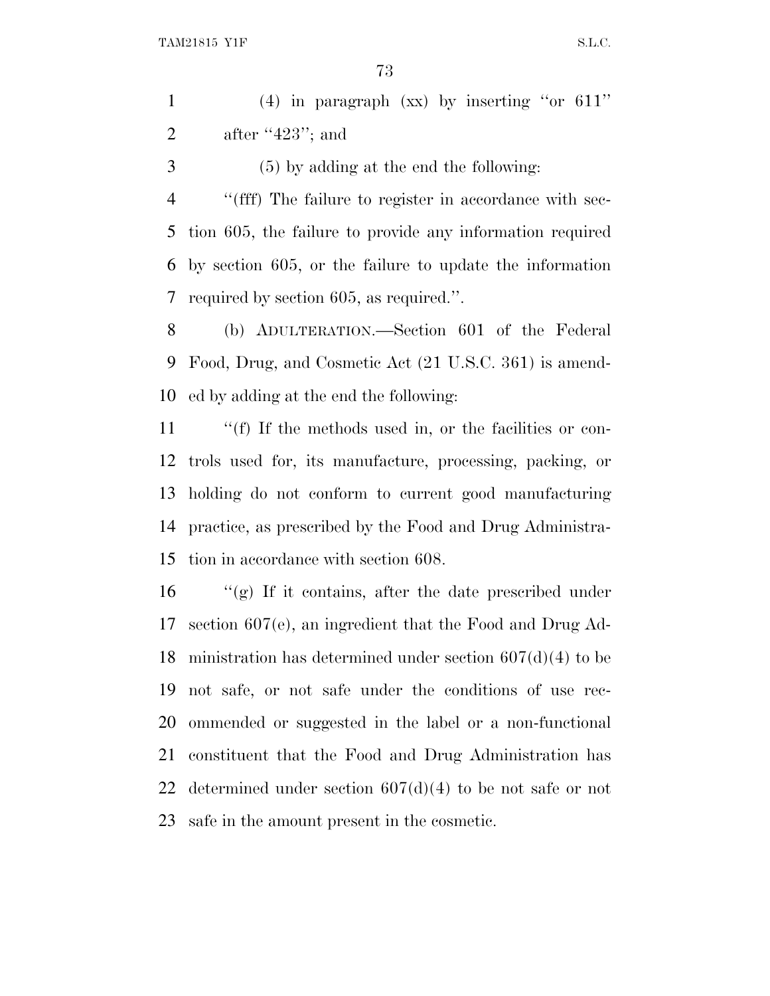(4) in paragraph (xx) by inserting ''or 611'' 2 after "; and

(5) by adding at the end the following:

 ''(fff) The failure to register in accordance with sec- tion 605, the failure to provide any information required by section 605, or the failure to update the information required by section 605, as required.''.

 (b) ADULTERATION.—Section 601 of the Federal Food, Drug, and Cosmetic Act (21 U.S.C. 361) is amend-ed by adding at the end the following:

 ''(f) If the methods used in, or the facilities or con- trols used for, its manufacture, processing, packing, or holding do not conform to current good manufacturing practice, as prescribed by the Food and Drug Administra-tion in accordance with section 608.

 ''(g) If it contains, after the date prescribed under section 607(e), an ingredient that the Food and Drug Ad- ministration has determined under section 607(d)(4) to be not safe, or not safe under the conditions of use rec- ommended or suggested in the label or a non-functional constituent that the Food and Drug Administration has determined under section 607(d)(4) to be not safe or not safe in the amount present in the cosmetic.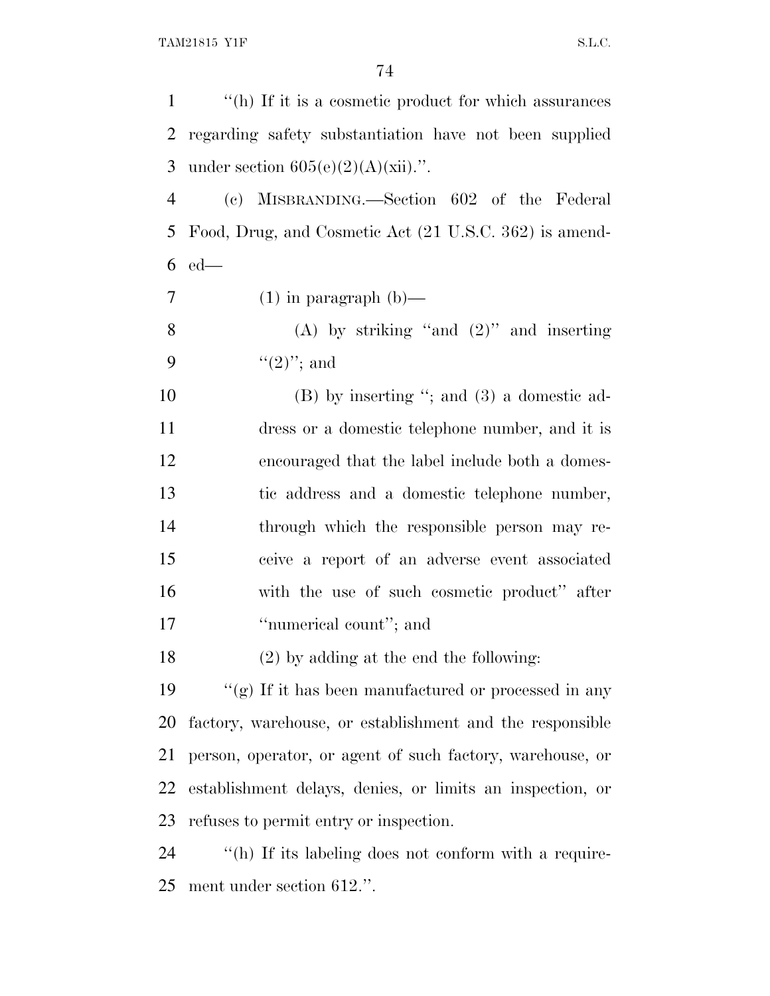| $\mathbf{1}$   | "(h) If it is a cosmetic product for which assurances     |
|----------------|-----------------------------------------------------------|
| $\overline{2}$ | regarding safety substantiation have not been supplied    |
| 3              | under section $605(e)(2)(A)(xii)$ .".                     |
| $\overline{4}$ | (c) MISBRANDING.—Section 602 of the Federal               |
| 5              | Food, Drug, and Cosmetic Act (21 U.S.C. 362) is amend-    |
| 6              | $ed$ —                                                    |
| 7              | $(1)$ in paragraph $(b)$ —                                |
| 8              | (A) by striking "and $(2)$ " and inserting                |
| 9              | $((2)$ "; and                                             |
| 10             | $(B)$ by inserting "; and $(3)$ a domestic ad-            |
| 11             | dress or a domestic telephone number, and it is           |
| 12             | encouraged that the label include both a domes-           |
| 13             | tic address and a domestic telephone number,              |
| 14             | through which the responsible person may re-              |
| 15             | ceive a report of an adverse event associated             |
| 16             | with the use of such cosmetic product" after              |
| 17             | "numerical count"; and                                    |
| 18             | $(2)$ by adding at the end the following:                 |
| 19             | "(g) If it has been manufactured or processed in any      |
| 20             | factory, warehouse, or establishment and the responsible  |
| 21             | person, operator, or agent of such factory, warehouse, or |
| 22             | establishment delays, denies, or limits an inspection, or |
| 23             | refuses to permit entry or inspection.                    |
| 24             | "(h) If its labeling does not conform with a require-     |
|                |                                                           |

ment under section 612.''.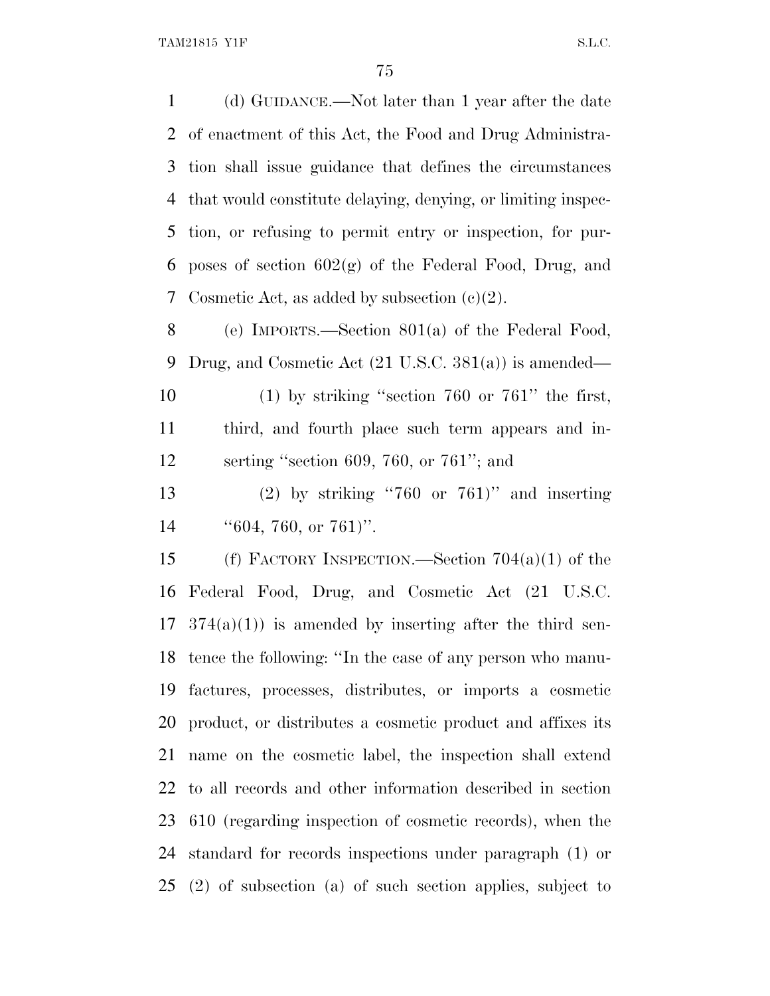(d) GUIDANCE.—Not later than 1 year after the date of enactment of this Act, the Food and Drug Administra- tion shall issue guidance that defines the circumstances that would constitute delaying, denying, or limiting inspec- tion, or refusing to permit entry or inspection, for pur-6 poses of section  $602(g)$  of the Federal Food, Drug, and 7 Cosmetic Act, as added by subsection  $(e)(2)$ . (e) IMPORTS.—Section 801(a) of the Federal Food, Drug, and Cosmetic Act (21 U.S.C. 381(a)) is amended— (1) by striking ''section 760 or 761'' the first,

 third, and fourth place such term appears and in-serting ''section 609, 760, or 761''; and

 (2) by striking ''760 or 761)'' and inserting 14  $\text{``}604, 760, \text{ or } 761$ ".

 (f) FACTORY INSPECTION.—Section 704(a)(1) of the Federal Food, Drug, and Cosmetic Act (21 U.S.C.  $17 \quad 374(a)(1)$  is amended by inserting after the third sen- tence the following: ''In the case of any person who manu- factures, processes, distributes, or imports a cosmetic product, or distributes a cosmetic product and affixes its name on the cosmetic label, the inspection shall extend to all records and other information described in section 610 (regarding inspection of cosmetic records), when the standard for records inspections under paragraph (1) or (2) of subsection (a) of such section applies, subject to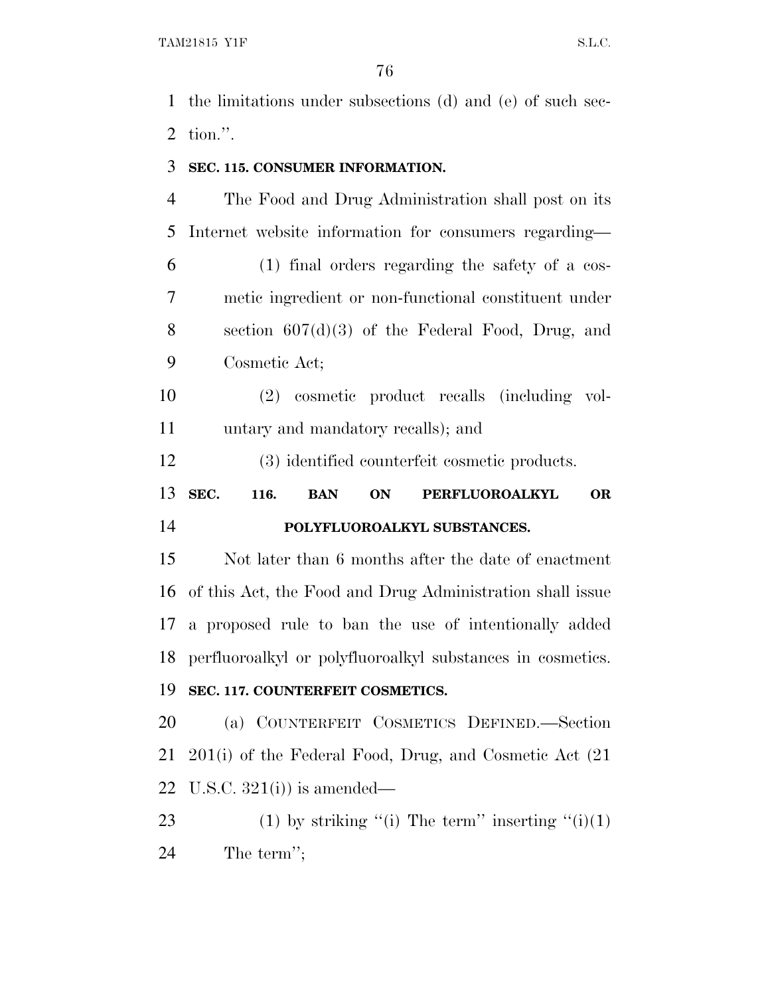the limitations under subsections (d) and (e) of such sec-tion.''.

#### **SEC. 115. CONSUMER INFORMATION.**

 The Food and Drug Administration shall post on its Internet website information for consumers regarding— (1) final orders regarding the safety of a cos- metic ingredient or non-functional constituent under section 607(d)(3) of the Federal Food, Drug, and Cosmetic Act;

 (2) cosmetic product recalls (including vol-untary and mandatory recalls); and

(3) identified counterfeit cosmetic products.

 **SEC. 116. BAN ON PERFLUOROALKYL OR POLYFLUOROALKYL SUBSTANCES.**

 Not later than 6 months after the date of enactment of this Act, the Food and Drug Administration shall issue a proposed rule to ban the use of intentionally added perfluoroalkyl or polyfluoroalkyl substances in cosmetics.

# **SEC. 117. COUNTERFEIT COSMETICS.**

 (a) COUNTERFEIT COSMETICS DEFINED.—Section 201(i) of the Federal Food, Drug, and Cosmetic Act (21 22 U.S.C.  $321(i)$  is amended—

23 (1) by striking "(i) The term" inserting " $(i)(1)$ The term'';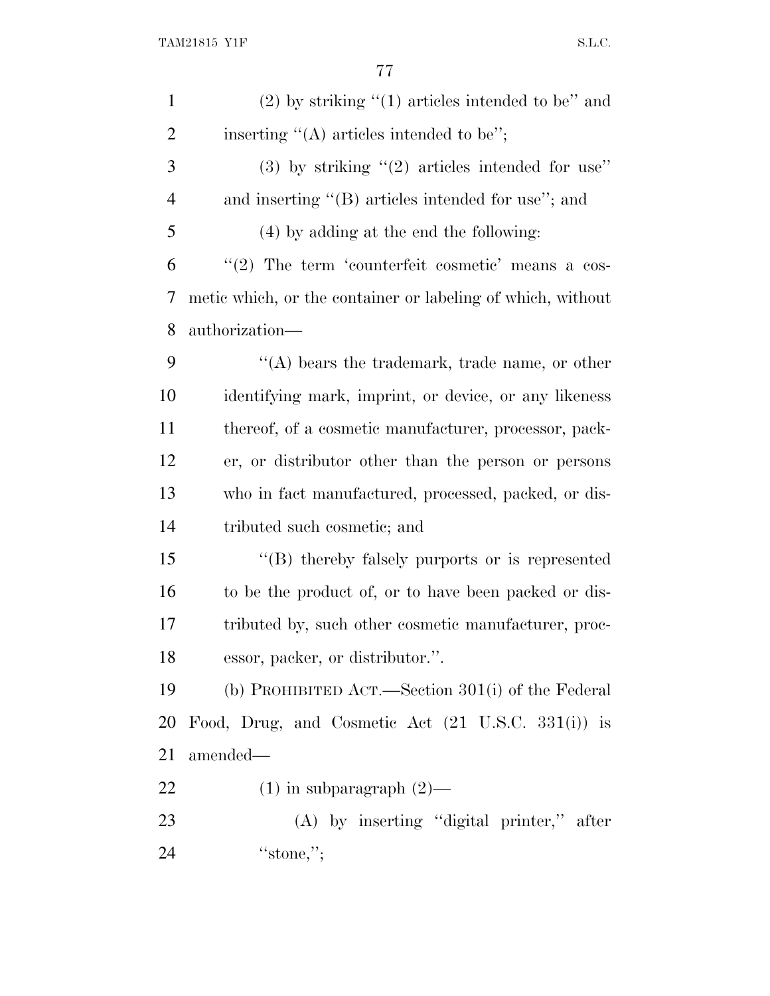| $\mathbf{1}$   | $(2)$ by striking " $(1)$ articles intended to be" and        |
|----------------|---------------------------------------------------------------|
| $\overline{2}$ | inserting $\lq\lq$ (A) articles intended to be";              |
| 3              | (3) by striking $(2)$ articles intended for use"              |
| $\overline{4}$ | and inserting $\lq\lq$ articles intended for use"; and        |
| 5              | (4) by adding at the end the following:                       |
| 6              | "(2) The term 'counterfeit cosmetic' means a cos-             |
| 7              | metic which, or the container or labeling of which, without   |
| 8              | authorization—                                                |
| 9              | "(A) bears the trademark, trade name, or other                |
| 10             | identifying mark, imprint, or device, or any likeness         |
| 11             | thereof, of a cosmetic manufacturer, processor, pack-         |
| 12             | er, or distributor other than the person or persons           |
| 13             | who in fact manufactured, processed, packed, or dis-          |
| 14             | tributed such cosmetic; and                                   |
| 15             | "(B) thereby falsely purports or is represented               |
| 16             | to be the product of, or to have been packed or dis-          |
| 17             | tributed by, such other cosmetic manufacturer, proc-          |
| 18             | essor, packer, or distributor.".                              |
| 19             | (b) PROHIBITED ACT.—Section $301(i)$ of the Federal           |
| 20             | Food, Drug, and Cosmetic Act $(21 \text{ U.S.C. } 331(i))$ is |
| 21             | amended-                                                      |
| 22             | $(1)$ in subparagraph $(2)$ —                                 |
| 23             | $(A)$ by inserting "digital printer," after                   |
| 24             | "stone,";                                                     |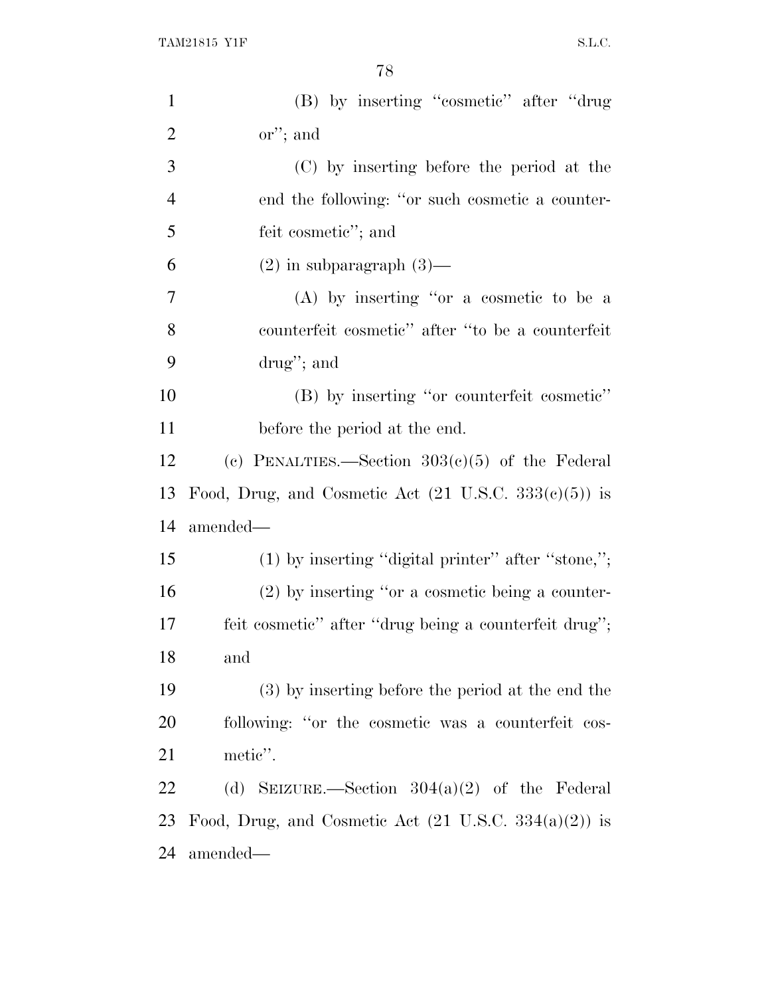| $\mathbf{1}$         | (B) by inserting "cosmetic" after "drug                          |
|----------------------|------------------------------------------------------------------|
| $\overline{2}$       | $\alpha$ <sup>"</sup> ; and                                      |
| 3                    | (C) by inserting before the period at the                        |
| $\overline{4}$       | end the following: "or such cosmetic a counter-                  |
| 5                    | feit cosmetic''; and                                             |
| 6                    | $(2)$ in subparagraph $(3)$ —                                    |
| 7                    | $(A)$ by inserting "or a cosmetic to be a                        |
| 8                    | counterfeit cosmetic" after "to be a counterfeit                 |
| 9                    | drug"; and                                                       |
| 10                   | (B) by inserting "or counterfeit cosmetic"                       |
| 11                   | before the period at the end.                                    |
| 12                   | (c) PENALTIES.—Section $303(c)(5)$ of the Federal                |
|                      |                                                                  |
|                      | Food, Drug, and Cosmetic Act $(21 \text{ U.S.C. } 333(e)(5))$ is |
|                      | amended—                                                         |
|                      | $(1)$ by inserting "digital printer" after "stone,";             |
| 13<br>14<br>15<br>16 | $(2)$ by inserting "or a cosmetic being a counter-               |
|                      | feit cosmetic" after "drug being a counterfeit drug";            |
| 17<br>18             | and                                                              |
|                      | (3) by inserting before the period at the end the                |
| 19<br>20             | following: "or the cosmetic was a counterfeit cos-               |
| 21                   | metic".                                                          |
| 22                   | (d) SEIZURE.—Section $304(a)(2)$ of the Federal                  |
| 23                   | Food, Drug, and Cosmetic Act $(21 \text{ U.S.C. } 334(a)(2))$ is |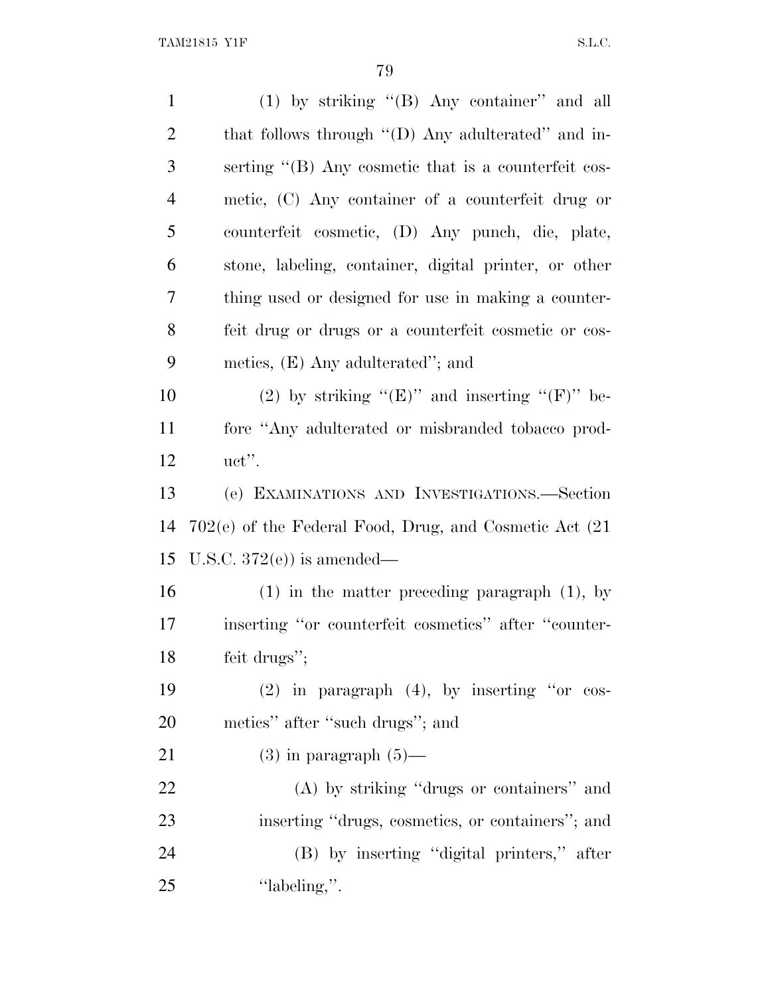| $\mathbf{1}$   | (1) by striking "(B) Any container" and all            |
|----------------|--------------------------------------------------------|
| $\overline{2}$ | that follows through "(D) Any adulterated" and in-     |
| 3              | serting "(B) Any cosmetic that is a counterfeit cos-   |
| $\overline{4}$ | metic, (C) Any container of a counterfeit drug or      |
| 5              | counterfeit cosmetic, (D) Any punch, die, plate,       |
| 6              | stone, labeling, container, digital printer, or other  |
| 7              | thing used or designed for use in making a counter-    |
| 8              | feit drug or drugs or a counterfeit cosmetic or cos-   |
| 9              | metics, $(E)$ Any adulterated"; and                    |
| 10             | (2) by striking " $(E)$ " and inserting " $(F)$ " be-  |
| 11             | fore "Any adulterated or misbranded tobacco prod-      |
| 12             | $uct$ ".                                               |
| 13             | (e) EXAMINATIONS AND INVESTIGATIONS.—Section           |
| 14             | 702(e) of the Federal Food, Drug, and Cosmetic Act (21 |
| 15             | U.S.C. $372(e)$ is amended—                            |
| 16             | $(1)$ in the matter preceding paragraph $(1)$ , by     |
| 17             | inserting "or counterfeit cosmetics" after "counter-   |
| 18             | feit drugs";                                           |
| 19             | $(2)$ in paragraph $(4)$ , by inserting "or cos-       |
| 20             | metics" after "such drugs"; and                        |
| 21             | $(3)$ in paragraph $(5)$ —                             |
| 22             | (A) by striking "drugs or containers" and              |
| 23             | inserting "drugs, cosmetics, or containers"; and       |
| 24             | (B) by inserting "digital printers," after             |
| 25             | "labeling,".                                           |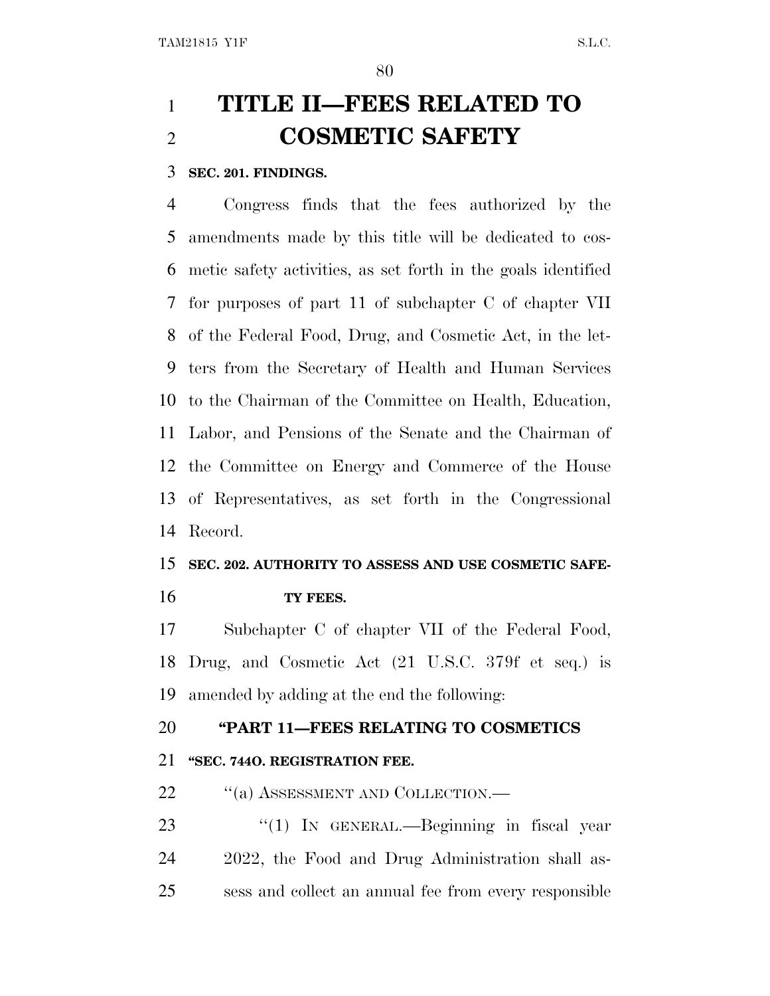# **TITLE II—FEES RELATED TO COSMETIC SAFETY**

#### **SEC. 201. FINDINGS.**

 Congress finds that the fees authorized by the amendments made by this title will be dedicated to cos- metic safety activities, as set forth in the goals identified for purposes of part 11 of subchapter C of chapter VII of the Federal Food, Drug, and Cosmetic Act, in the let- ters from the Secretary of Health and Human Services to the Chairman of the Committee on Health, Education, Labor, and Pensions of the Senate and the Chairman of the Committee on Energy and Commerce of the House of Representatives, as set forth in the Congressional Record.

#### **SEC. 202. AUTHORITY TO ASSESS AND USE COSMETIC SAFE-**

**TY FEES.**

 Subchapter C of chapter VII of the Federal Food, Drug, and Cosmetic Act (21 U.S.C. 379f et seq.) is amended by adding at the end the following:

# **''PART 11—FEES RELATING TO COSMETICS**

#### **''SEC. 744O. REGISTRATION FEE.**

22 "(a) ASSESSMENT AND COLLECTION.—

23 "(1) IN GENERAL.—Beginning in fiscal year 2022, the Food and Drug Administration shall as-sess and collect an annual fee from every responsible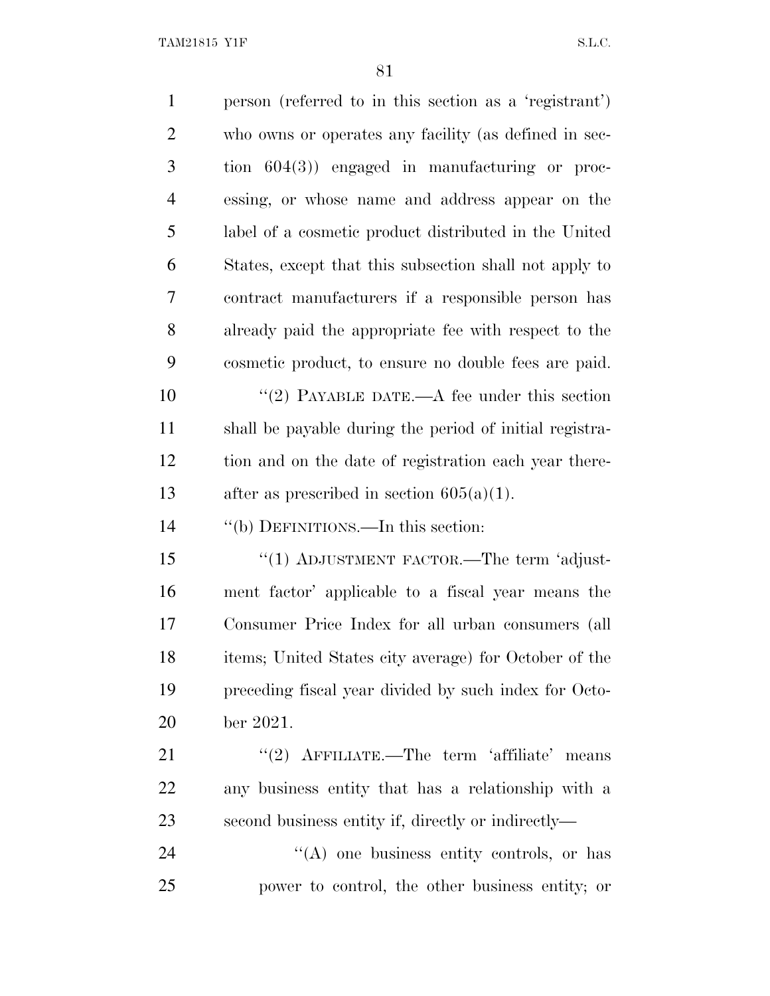TAM21815 Y1F S.L.C.

| $\mathbf{1}$   | person (referred to in this section as a 'registrant')  |
|----------------|---------------------------------------------------------|
| $\overline{2}$ | who owns or operates any facility (as defined in sec-   |
| 3              | tion $604(3)$ engaged in manufacturing or proc-         |
| 4              | essing, or whose name and address appear on the         |
| 5              | label of a cosmetic product distributed in the United   |
| 6              | States, except that this subsection shall not apply to  |
| 7              | contract manufacturers if a responsible person has      |
| 8              | already paid the appropriate fee with respect to the    |
| 9              | cosmetic product, to ensure no double fees are paid.    |
| 10             | "(2) PAYABLE DATE.—A fee under this section             |
| 11             | shall be payable during the period of initial registra- |
| 12             | tion and on the date of registration each year there-   |
| 13             | after as prescribed in section $605(a)(1)$ .            |
| 14             | "(b) DEFINITIONS.—In this section:                      |
| 15             | "(1) ADJUSTMENT FACTOR.—The term 'adjust-               |
| 16             | ment factor' applicable to a fiscal year means the      |
| 17             | Consumer Price Index for all urban consumers (all       |
| 18             | items; United States city average) for October of the   |
| 19             | preceding fiscal year divided by such index for Octo-   |
| 20             | ber 2021.                                               |
| 21             | "(2) $\Lambda$ FFILIATE.—The term 'affiliate' means     |
| 22             | any business entity that has a relationship with a      |
| 23             | second business entity if, directly or indirectly—      |
| 24             | $\lq\lq$ one business entity controls, or has           |
| 25             | power to control, the other business entity; or         |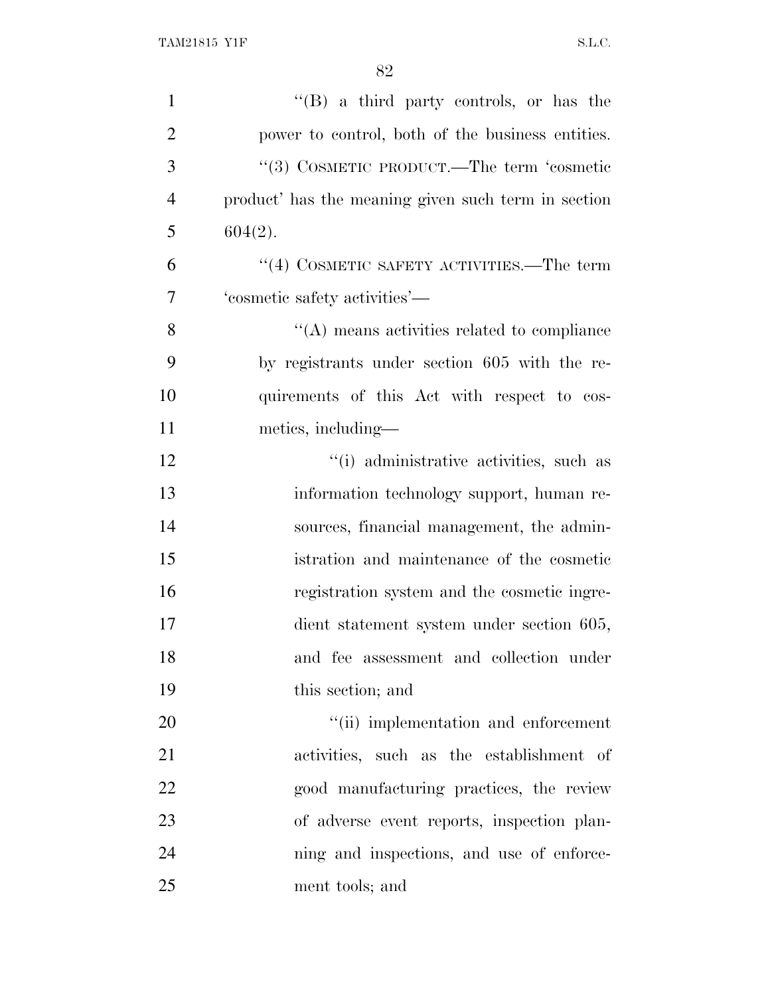| $\mathbf{1}$   | $\lq\lq (B)$ a third party controls, or has the     |
|----------------|-----------------------------------------------------|
| $\overline{2}$ | power to control, both of the business entities.    |
| 3              | "(3) COSMETIC PRODUCT.—The term 'cosmetic           |
| $\overline{4}$ | product' has the meaning given such term in section |
| 5              | $604(2)$ .                                          |
| 6              | $\cdot$ (4) COSMETIC SAFETY ACTIVITIES.—The term    |
| 7              | 'cosmetic safety activities'—                       |
| 8              | $\lq\lq$ means activities related to compliance     |
| 9              | by registrants under section 605 with the re-       |
| 10             | quirements of this Act with respect to cos-         |
| 11             | metics, including—                                  |
| 12             | "(i) administrative activities, such as             |
| 13             | information technology support, human re-           |
| 14             | sources, financial management, the admin-           |
| 15             | istration and maintenance of the cosmetic           |
| 16             | registration system and the cosmetic ingre-         |
| 17             | dient statement system under section 605,           |
| 18             | and fee assessment and collection under             |
| 19             | this section; and                                   |
| 20             | "(ii) implementation and enforcement                |
| 21             | activities, such as the establishment of            |
| 22             | good manufacturing practices, the review            |
| 23             | of adverse event reports, inspection plan-          |
| 24             | ning and inspections, and use of enforce-           |
| 25             | ment tools; and                                     |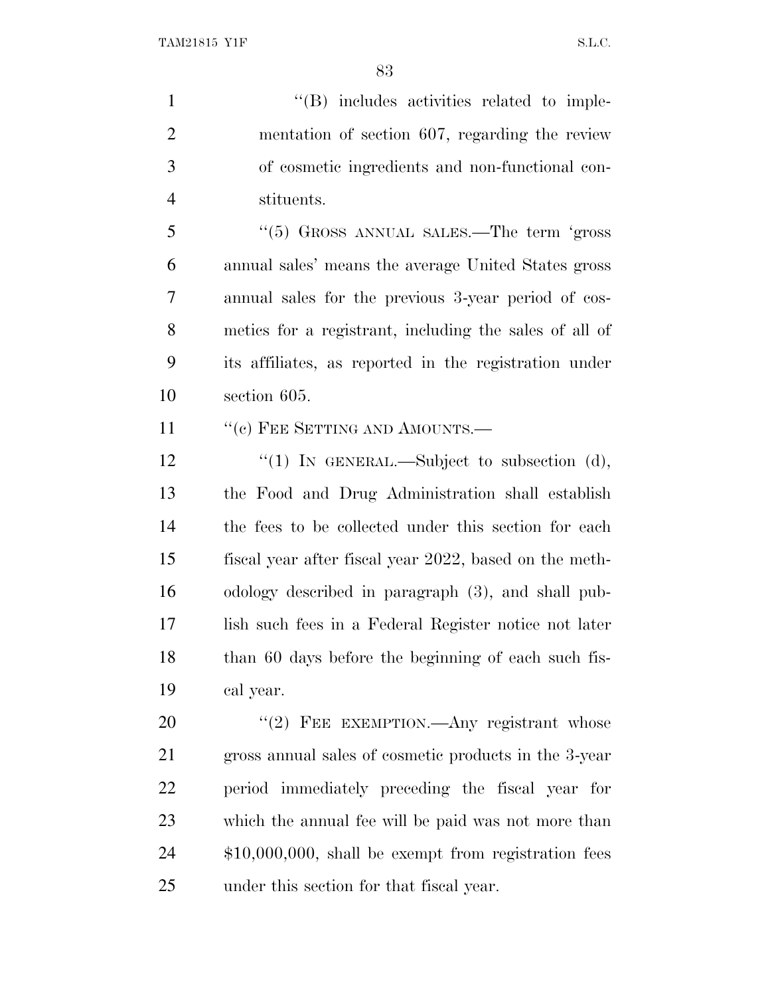$\langle$  (B) includes activities related to imple- mentation of section 607, regarding the review of cosmetic ingredients and non-functional con-stituents.

 ''(5) GROSS ANNUAL SALES.—The term 'gross annual sales' means the average United States gross annual sales for the previous 3-year period of cos- metics for a registrant, including the sales of all of its affiliates, as reported in the registration under section 605.

11 " (c) FEE SETTING AND AMOUNTS.—

12 '(1) IN GENERAL.—Subject to subsection (d), the Food and Drug Administration shall establish the fees to be collected under this section for each fiscal year after fiscal year 2022, based on the meth- odology described in paragraph (3), and shall pub- lish such fees in a Federal Register notice not later than 60 days before the beginning of each such fis-cal year.

20 "(2) FEE EXEMPTION.—Any registrant whose gross annual sales of cosmetic products in the 3-year period immediately preceding the fiscal year for which the annual fee will be paid was not more than \$10,000,000, shall be exempt from registration fees under this section for that fiscal year.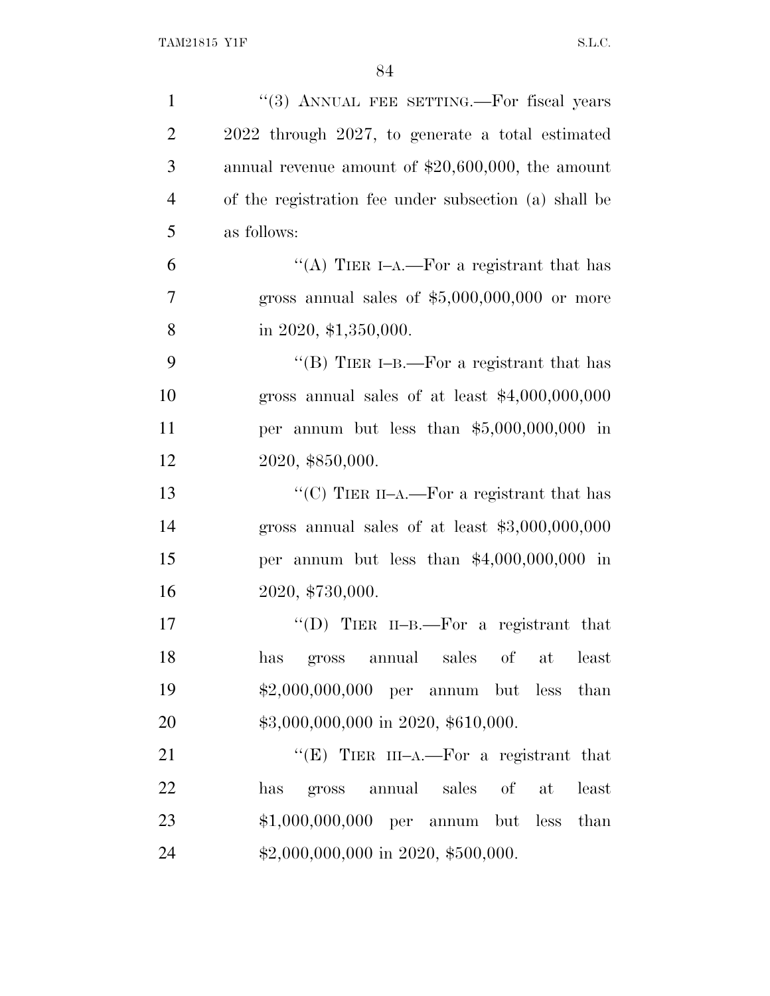| $\mathbf{1}$   | "(3) ANNUAL FEE SETTING.—For fiscal years             |
|----------------|-------------------------------------------------------|
| $\overline{2}$ | 2022 through 2027, to generate a total estimated      |
| 3              | annual revenue amount of $$20,600,000$ , the amount   |
| $\overline{4}$ | of the registration fee under subsection (a) shall be |
| 5              | as follows:                                           |
| 6              | "(A) TIER I-A.—For a registrant that has              |
| 7              | gross annual sales of $$5,000,000,000$ or more        |
| 8              | in 2020, $$1,350,000$ .                               |
| 9              | "(B) TIER I-B.—For a registrant that has              |
| 10             | gross annual sales of at least $$4,000,000,000$       |
| 11             | per annum but less than $$5,000,000,000$ in           |
| 12             | 2020, \$850,000.                                      |
| 13             | "(C) TIER II-A.—For a registrant that has             |
| 14             | gross annual sales of at least $$3,000,000,000$       |
| 15             | per annum but less than $$4,000,000,000$ in           |
| 16             | 2020, \$730,000.                                      |
| 17             | "(D) TIER II-B.—For a registrant that                 |
| 18             | sales<br>of<br>annual<br>at<br>least<br>has<br>gross  |
| 19             | $$2,000,000,000$ per annum but less than              |
| 20             | \$3,000,000,000 in 2020, \$610,000.                   |
| 21             | "(E) TIER III-A.—For a registrant that                |
| 22             | annual sales<br>of<br>least<br>has<br>gross<br>at     |
| 23             | $$1,000,000,000$ per annum but less<br>than           |
| 24             | \$2,000,000,000 in 2020, \$500,000.                   |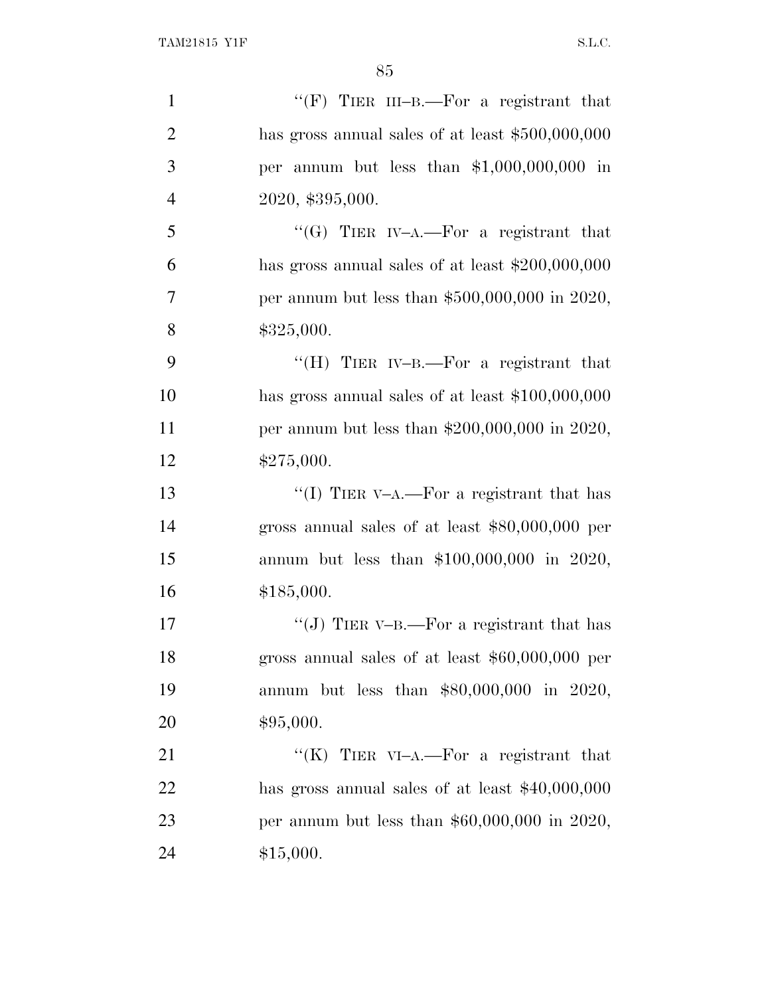| $\mathbf{1}$   | "(F) TIER III-B.—For a registrant that             |
|----------------|----------------------------------------------------|
| $\overline{2}$ | has gross annual sales of at least $$500,000,000$  |
| 3              | per annum but less than $$1,000,000,000$ in        |
| $\overline{4}$ | 2020, \$395,000.                                   |
| 5              | "(G) TIER IV-A.—For a registrant that              |
| 6              | has gross annual sales of at least $$200,000,000$  |
| 7              | per annum but less than $$500,000,000$ in 2020,    |
| 8              | \$325,000.                                         |
| 9              | "(H) TIER IV-B.—For a registrant that              |
| 10             | has gross annual sales of at least $$100,000,000$  |
| 11             | per annum but less than $$200,000,000$ in $2020$ , |
| 12             | \$275,000.                                         |
| 13             | "(I) TIER V-A.—For a registrant that has           |
| 14             | gross annual sales of at least $$80,000,000$ per   |
| 15             | annum but less than \$100,000,000 in 2020,         |
| 16             | \$185,000.                                         |
| 17             | "(J) TIER V-B.—For a registrant that has           |
| 18             | gross annual sales of at least $$60,000,000$ per   |
| 19             | annum but less than \$80,000,000 in 2020,          |
| 20             | \$95,000.                                          |
| 21             | "(K) TIER VI-A.—For a registrant that              |
| 22             | has gross annual sales of at least $$40,000,000$   |
| 23             | per annum but less than $$60,000,000$ in 2020,     |
| 24             | \$15,000.                                          |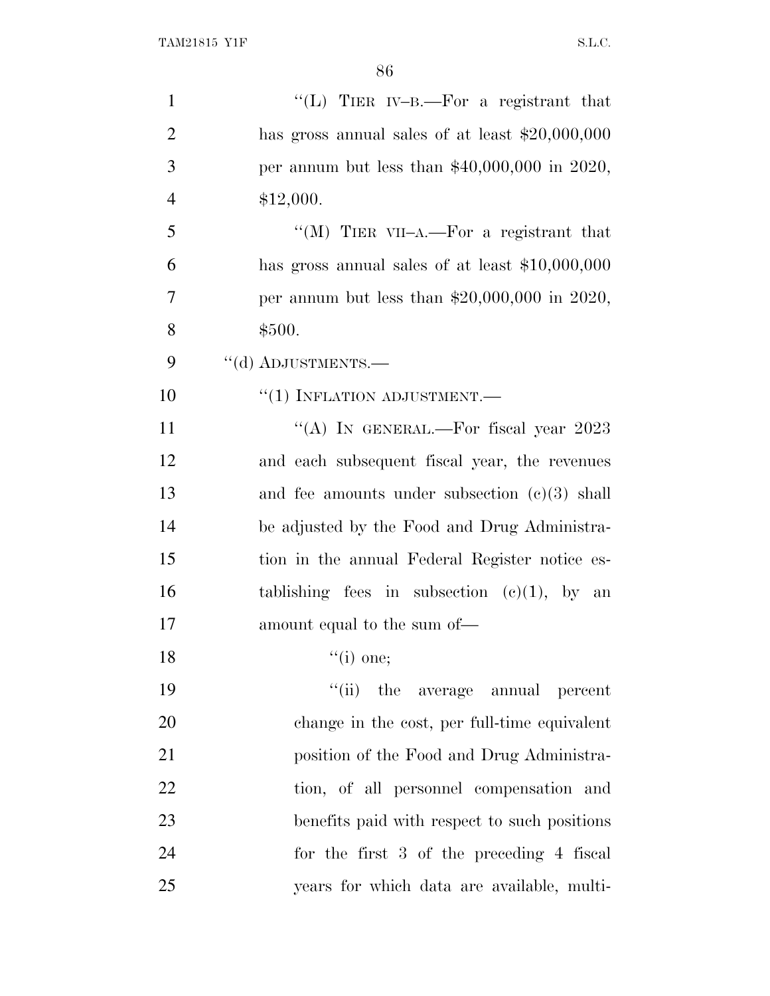| $\mathbf{1}$   | "(L) TIER IV-B.—For a registrant that            |
|----------------|--------------------------------------------------|
| $\overline{2}$ | has gross annual sales of at least $$20,000,000$ |
| 3              | per annum but less than $$40,000,000$ in 2020,   |
| $\overline{4}$ | \$12,000.                                        |
| 5              | "(M) TIER VII-A.—For a registrant that           |
| 6              | has gross annual sales of at least $$10,000,000$ |
| 7              | per annum but less than $$20,000,000$ in 2020,   |
| 8              | \$500.                                           |
| 9              | "(d) ADJUSTMENTS.-                               |
| 10             | $``(1)$ INFLATION ADJUSTMENT.—                   |
| 11             | "(A) IN GENERAL.—For fiscal year $2023$          |
| 12             | and each subsequent fiscal year, the revenues    |
| 13             | and fee amounts under subsection $(c)(3)$ shall  |
| 14             | be adjusted by the Food and Drug Administra-     |
| 15             | tion in the annual Federal Register notice es-   |
| 16             | tablishing fees in subsection $(c)(1)$ , by an   |
| 17             | amount equal to the sum of—                      |
| 18             | $``(i)$ one;                                     |
| 19             | $``(ii)$ the<br>average annual<br>percent        |
| 20             | change in the cost, per full-time equivalent     |
| 21             | position of the Food and Drug Administra-        |
| 22             | tion, of all personnel compensation and          |
| 23             | benefits paid with respect to such positions     |
| 24             | for the first 3 of the preceding 4 fiscal        |
| 25             | years for which data are available, multi-       |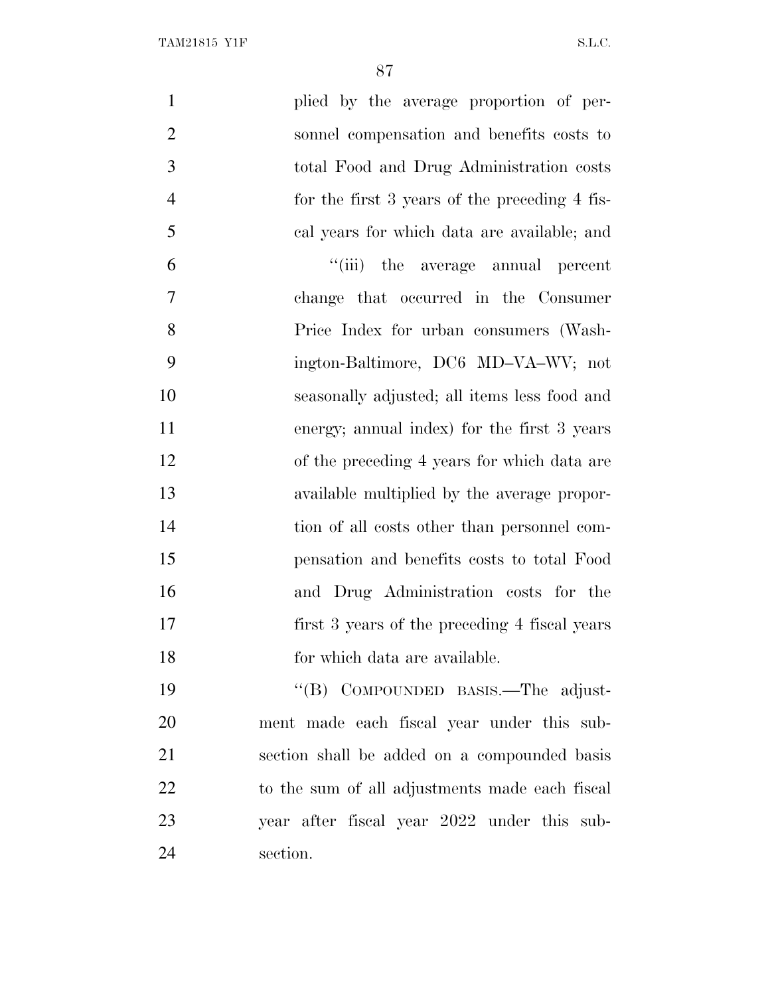| $\mathbf{1}$   | plied by the average proportion of per-        |
|----------------|------------------------------------------------|
| $\overline{2}$ | sonnel compensation and benefits costs to      |
| 3              | total Food and Drug Administration costs       |
| $\overline{4}$ | for the first 3 years of the preceding 4 fis-  |
| 5              | cal years for which data are available; and    |
| 6              | "(iii) the average annual percent              |
| $\overline{7}$ | change that occurred in the Consumer           |
| 8              | Price Index for urban consumers (Wash-         |
| 9              | ington-Baltimore, DC6 MD-VA-WV; not            |
| 10             | seasonally adjusted; all items less food and   |
| 11             | energy; annual index) for the first 3 years    |
| 12             | of the preceding 4 years for which data are    |
| 13             | available multiplied by the average propor-    |
| 14             | tion of all costs other than personnel com-    |
| 15             | pensation and benefits costs to total Food     |
| 16             | and Drug Administration costs for the          |
| 17             | first 3 years of the preceding 4 fiscal years  |
| 18             | for which data are available.                  |
| 19             | "(B) COMPOUNDED BASIS.—The adjust-             |
| 20             | ment made each fiscal year under this sub-     |
| 21             | section shall be added on a compounded basis   |
| 22             | to the sum of all adjustments made each fiscal |
| 23             | year after fiscal year 2022 under this sub-    |
| 24             | section.                                       |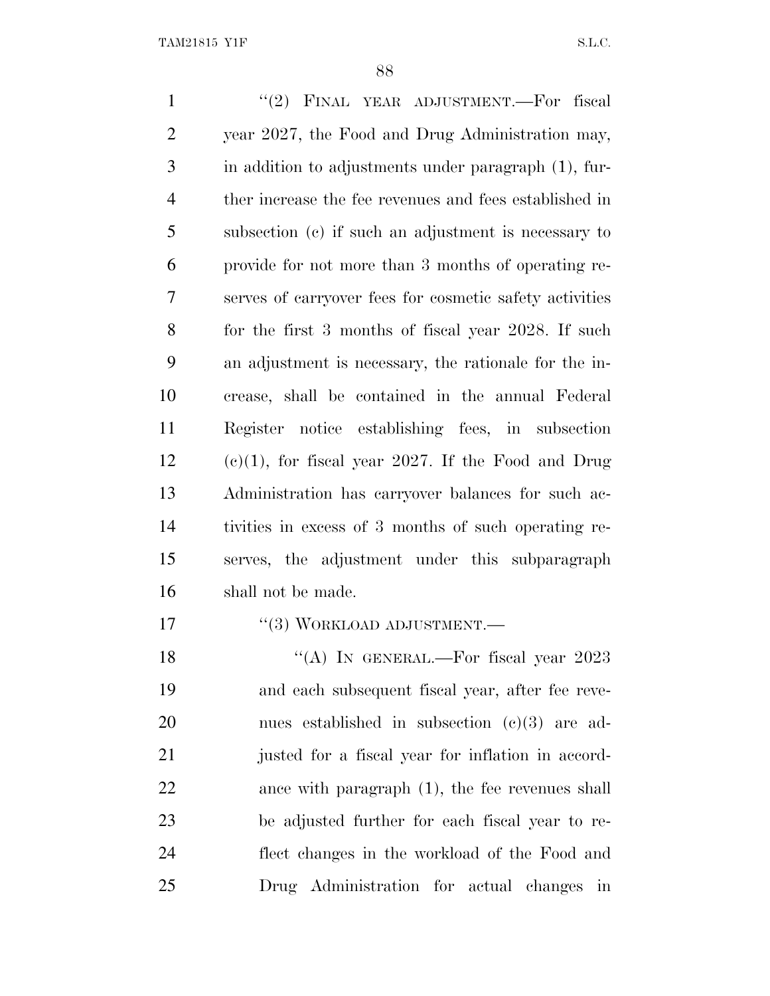1 "(2) FINAL YEAR ADJUSTMENT.—For fiscal year 2027, the Food and Drug Administration may, in addition to adjustments under paragraph (1), fur- ther increase the fee revenues and fees established in subsection (c) if such an adjustment is necessary to provide for not more than 3 months of operating re- serves of carryover fees for cosmetic safety activities for the first 3 months of fiscal year 2028. If such an adjustment is necessary, the rationale for the in- crease, shall be contained in the annual Federal Register notice establishing fees, in subsection (e)(1), for fiscal year 2027. If the Food and Drug Administration has carryover balances for such ac- tivities in excess of 3 months of such operating re- serves, the adjustment under this subparagraph shall not be made. 17 "(3) WORKLOAD ADJUSTMENT.— 18 "(A) IN GENERAL.—For fiscal year 2023 and each subsequent fiscal year, after fee reve-

 nues established in subsection (c)(3) are ad- justed for a fiscal year for inflation in accord- ance with paragraph (1), the fee revenues shall be adjusted further for each fiscal year to re- flect changes in the workload of the Food and Drug Administration for actual changes in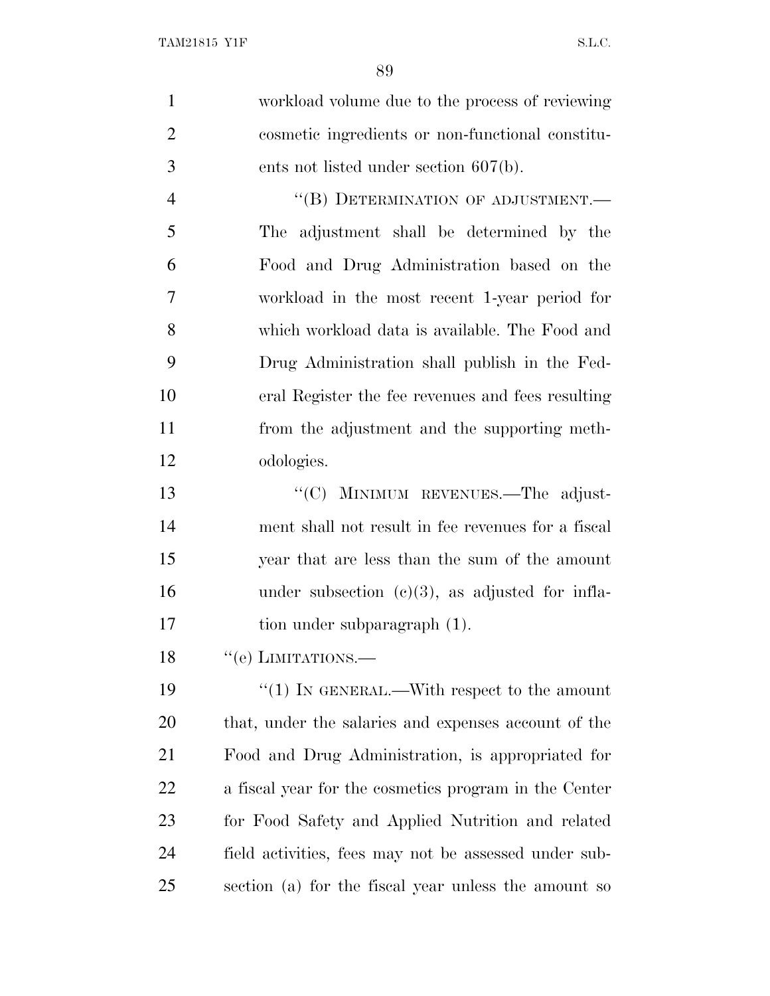| $\mathbf{1}$   | workload volume due to the process of reviewing       |
|----------------|-------------------------------------------------------|
| $\overline{2}$ | cosmetic ingredients or non-functional constitu-      |
| 3              | ents not listed under section $607(b)$ .              |
| $\overline{4}$ | "(B) DETERMINATION OF ADJUSTMENT.-                    |
| 5              | The adjustment shall be determined by the             |
| 6              | Food and Drug Administration based on the             |
| 7              | workload in the most recent 1-year period for         |
| 8              | which workload data is available. The Food and        |
| 9              | Drug Administration shall publish in the Fed-         |
| 10             | eral Register the fee revenues and fees resulting     |
| 11             | from the adjustment and the supporting meth-          |
| 12             | odologies.                                            |
| 13             | "(C) MINIMUM REVENUES.—The adjust-                    |
| 14             | ment shall not result in fee revenues for a fiscal    |
| 15             | year that are less than the sum of the amount         |
| 16             | under subsection $(c)(3)$ , as adjusted for infla-    |
| 17             | tion under subparagraph (1).                          |
| 18             | $``$ (e) LIMITATIONS.—                                |
| 19             | " $(1)$ IN GENERAL.—With respect to the amount        |
| 20             | that, under the salaries and expenses account of the  |
| 21             | Food and Drug Administration, is appropriated for     |
| 22             | a fiscal year for the cosmetics program in the Center |
| 23             | for Food Safety and Applied Nutrition and related     |
| 24             | field activities, fees may not be assessed under sub- |
| 25             | section (a) for the fiscal year unless the amount so  |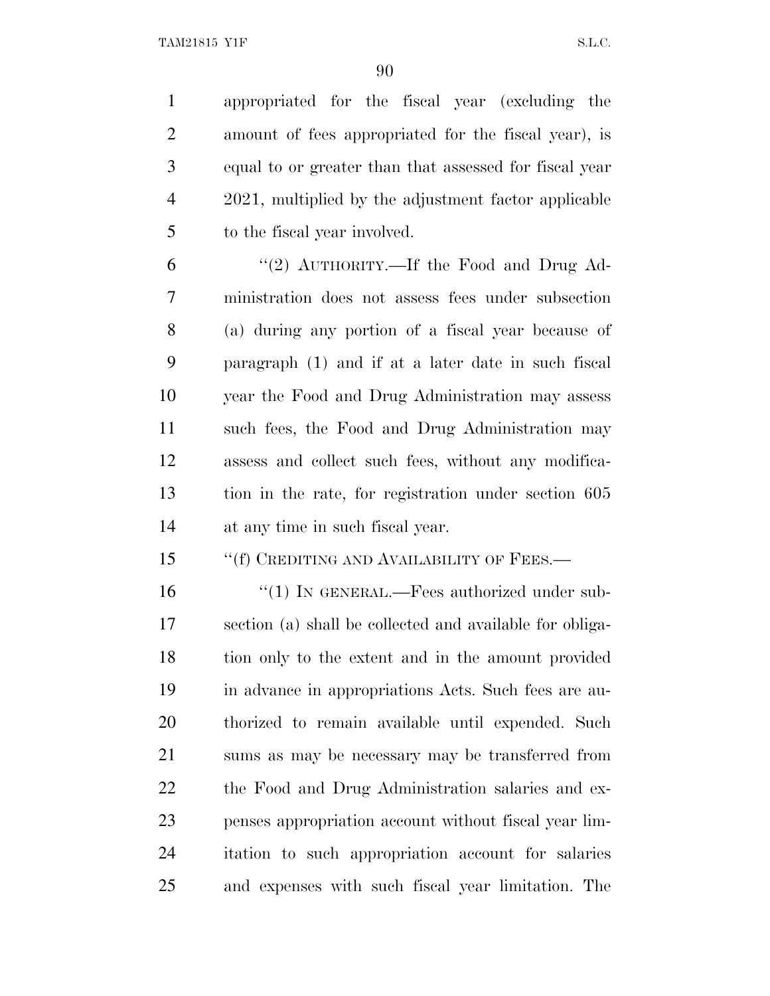appropriated for the fiscal year (excluding the amount of fees appropriated for the fiscal year), is equal to or greater than that assessed for fiscal year 2021, multiplied by the adjustment factor applicable to the fiscal year involved.

 ''(2) AUTHORITY.—If the Food and Drug Ad- ministration does not assess fees under subsection (a) during any portion of a fiscal year because of paragraph (1) and if at a later date in such fiscal year the Food and Drug Administration may assess such fees, the Food and Drug Administration may assess and collect such fees, without any modifica- tion in the rate, for registration under section 605 at any time in such fiscal year.

15 "(f) CREDITING AND AVAILABILITY OF FEES.—

16 "(1) IN GENERAL.—Fees authorized under sub- section (a) shall be collected and available for obliga- tion only to the extent and in the amount provided in advance in appropriations Acts. Such fees are au- thorized to remain available until expended. Such sums as may be necessary may be transferred from the Food and Drug Administration salaries and ex- penses appropriation account without fiscal year lim- itation to such appropriation account for salaries and expenses with such fiscal year limitation. The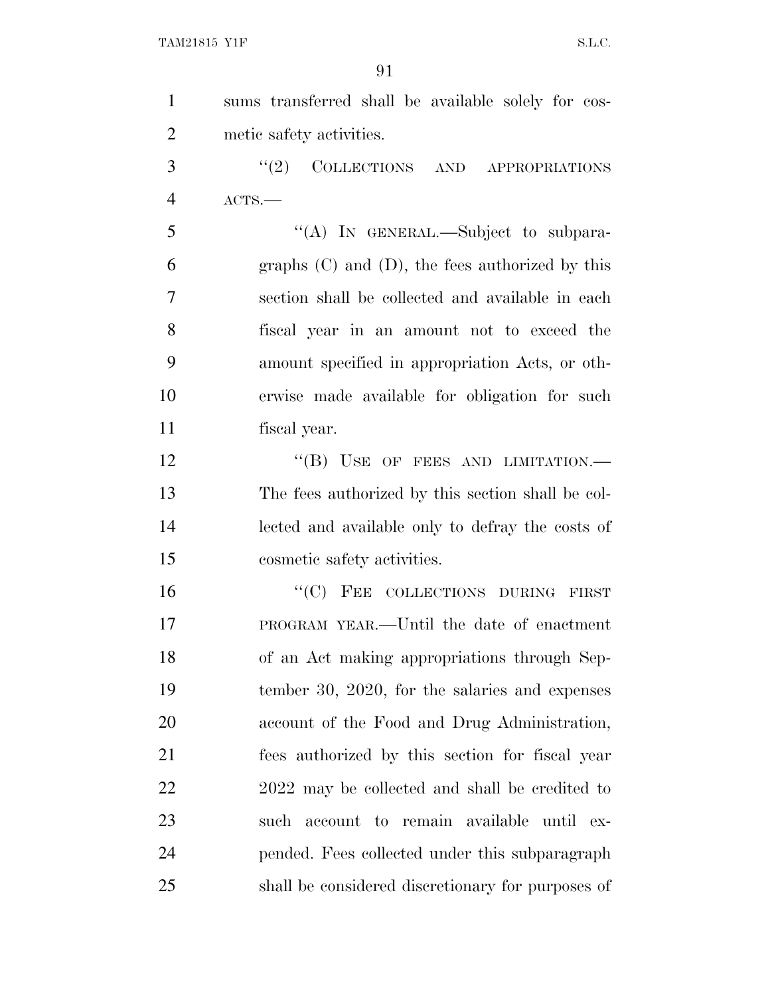| $\mathbf{1}$   | sums transferred shall be available solely for cos-  |
|----------------|------------------------------------------------------|
| $\overline{2}$ | metic safety activities.                             |
| 3              | "(2) COLLECTIONS AND APPROPRIATIONS                  |
| $\overline{4}$ | ACTS.                                                |
| 5              | "(A) IN GENERAL.—Subject to subpara-                 |
| 6              | graphs $(C)$ and $(D)$ , the fees authorized by this |
| 7              | section shall be collected and available in each     |
| 8              | fiscal year in an amount not to exceed the           |
| 9              | amount specified in appropriation Acts, or oth-      |
| 10             | erwise made available for obligation for such        |
| 11             | fiscal year.                                         |
| 12             | "(B) USE OF FEES AND LIMITATION.-                    |
| 13             | The fees authorized by this section shall be col-    |
| 14             | lected and available only to defray the costs of     |
| 15             | cosmetic safety activities.                          |
| 16             | "(C) FEE COLLECTIONS DURING FIRST                    |
| 17             | PROGRAM YEAR.—Until the date of enactment            |
| 18             | of an Act making appropriations through Sep-         |
| 19             | tember 30, 2020, for the salaries and expenses       |
| 20             | account of the Food and Drug Administration,         |
| 21             | fees authorized by this section for fiscal year      |
| 22             | 2022 may be collected and shall be credited to       |
| 23             | such account to remain available until ex-           |
| 24             | pended. Fees collected under this subparagraph       |
| 25             | shall be considered discretionary for purposes of    |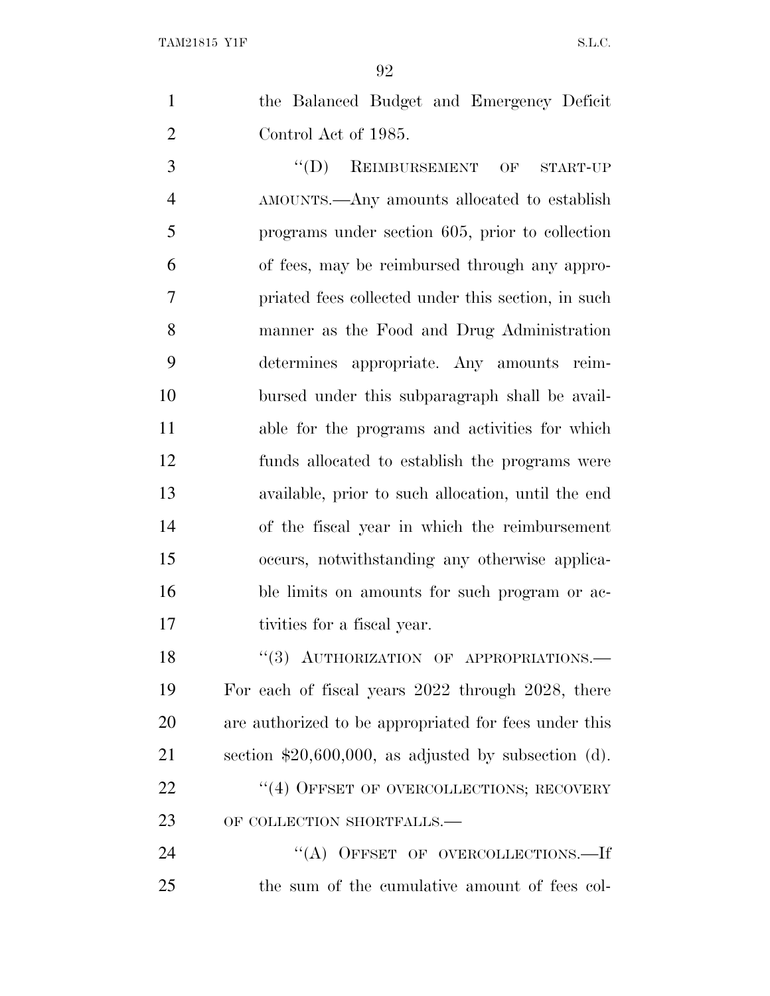| the Balanced Budget and Emergency Deficit |
|-------------------------------------------|
| Control Act of 1985.                      |

3 "(D) REIMBURSEMENT OF START-UP AMOUNTS.—Any amounts allocated to establish programs under section 605, prior to collection of fees, may be reimbursed through any appro- priated fees collected under this section, in such manner as the Food and Drug Administration determines appropriate. Any amounts reim- bursed under this subparagraph shall be avail- able for the programs and activities for which funds allocated to establish the programs were available, prior to such allocation, until the end of the fiscal year in which the reimbursement occurs, notwithstanding any otherwise applica- ble limits on amounts for such program or ac-tivities for a fiscal year.

18 "(3) AUTHORIZATION OF APPROPRIATIONS. For each of fiscal years 2022 through 2028, there are authorized to be appropriated for fees under this section \$20,600,000, as adjusted by subsection (d). 22 "(4) OFFSET OF OVERCOLLECTIONS; RECOVERY 23 OF COLLECTION SHORTFALLS.—

24 "(A) OFFSET OF OVERCOLLECTIONS.—If the sum of the cumulative amount of fees col-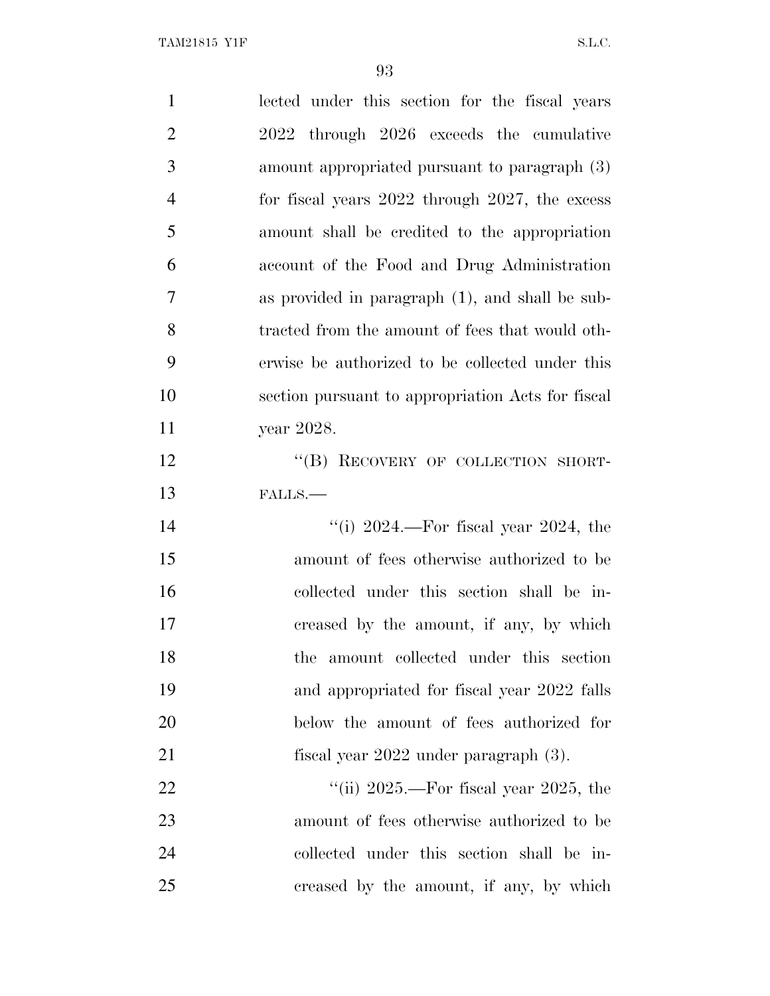| $\mathbf{1}$   | lected under this section for the fiscal years      |
|----------------|-----------------------------------------------------|
| $\overline{2}$ | 2022 through 2026 exceeds the cumulative            |
| 3              | amount appropriated pursuant to paragraph (3)       |
| $\overline{4}$ | for fiscal years $2022$ through $2027$ , the excess |
| 5              | amount shall be credited to the appropriation       |
| 6              | account of the Food and Drug Administration         |
| 7              | as provided in paragraph (1), and shall be sub-     |
| 8              | tracted from the amount of fees that would oth-     |
| 9              | erwise be authorized to be collected under this     |
| 10             | section pursuant to appropriation Acts for fiscal   |
| 11             | year 2028.                                          |
| 12             | "(B) RECOVERY OF COLLECTION SHORT-                  |
|                | FALLS.-                                             |
| 13             |                                                     |
|                | "(i) $2024$ .—For fiscal year $2024$ , the          |
| 14<br>15       | amount of fees otherwise authorized to be           |
| 16             | collected under this section shall be in-           |
|                | creased by the amount, if any, by which             |
| 17<br>18       | amount collected under this section<br>the          |
|                | and appropriated for fiscal year 2022 falls         |
| 19<br>20       | below the amount of fees authorized for             |
|                | fiscal year $2022$ under paragraph $(3)$ .          |
| 21<br>22       | "(ii) $2025$ .—For fiscal year $2025$ , the         |
| 23             | amount of fees otherwise authorized to be           |
| 24             | collected under this section shall be in-           |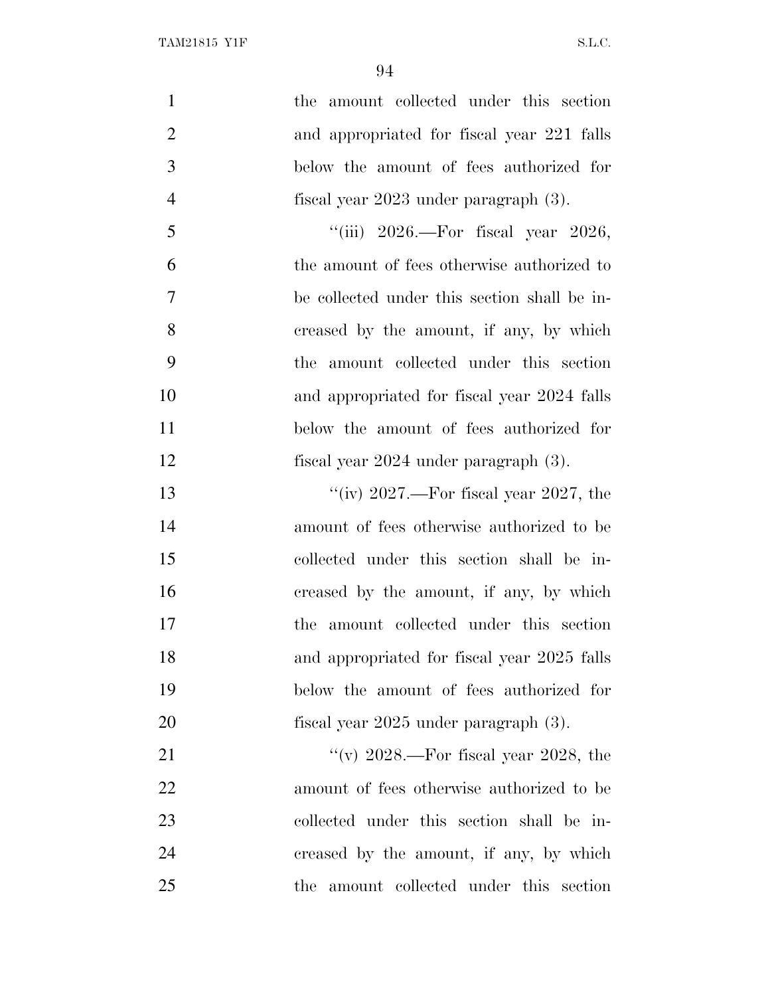| $\mathbf{1}$   | the amount collected under this section      |
|----------------|----------------------------------------------|
| $\overline{2}$ | and appropriated for fiscal year 221 falls   |
| 3              | below the amount of fees authorized for      |
| $\overline{4}$ | fiscal year $2023$ under paragraph $(3)$ .   |
| 5              | "(iii) $2026$ .—For fiscal year $2026$ ,     |
| 6              | the amount of fees otherwise authorized to   |
| $\overline{7}$ | be collected under this section shall be in- |
| 8              | creased by the amount, if any, by which      |
| 9              | the amount collected under this section      |
| 10             | and appropriated for fiscal year 2024 falls  |
| 11             | below the amount of fees authorized for      |
| 12             | fiscal year $2024$ under paragraph $(3)$ .   |
| 13             | "(iv) $2027$ .—For fiscal year $2027$ , the  |
| 14             | amount of fees otherwise authorized to be    |
| 15             | collected under this section shall be in-    |
| 16             | creased by the amount, if any, by which      |
| 17             | the amount collected under this section      |
| 18             | and appropriated for fiscal year 2025 falls  |
| 19             | below the amount of fees authorized for      |
| 20             | fiscal year $2025$ under paragraph $(3)$ .   |
| 21             | "(v) $2028$ .—For fiscal year 2028, the      |
| 22             | amount of fees otherwise authorized to be    |
| 23             | collected under this section shall be in-    |
| 24             | creased by the amount, if any, by which      |
| 25             | the amount collected under this section      |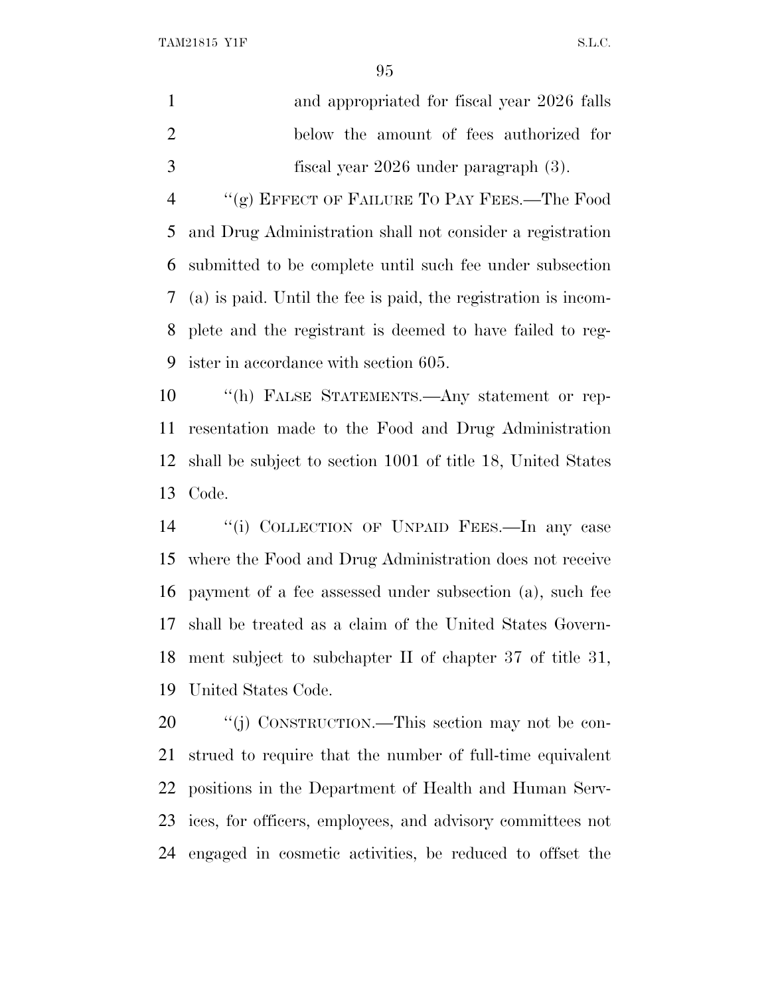TAM21815 Y1F S.L.C.

 and appropriated for fiscal year 2026 falls below the amount of fees authorized for fiscal year 2026 under paragraph (3).

 ''(g) EFFECT OF FAILURE T<sup>O</sup> PAY FEES.—The Food and Drug Administration shall not consider a registration submitted to be complete until such fee under subsection (a) is paid. Until the fee is paid, the registration is incom- plete and the registrant is deemed to have failed to reg-ister in accordance with section 605.

 ''(h) FALSE STATEMENTS.—Any statement or rep- resentation made to the Food and Drug Administration shall be subject to section 1001 of title 18, United States Code.

 ''(i) COLLECTION OF UNPAID FEES.—In any case where the Food and Drug Administration does not receive payment of a fee assessed under subsection (a), such fee shall be treated as a claim of the United States Govern- ment subject to subchapter II of chapter 37 of title 31, United States Code.

 $\frac{1}{20}$  (i) CONSTRUCTION.—This section may not be con- strued to require that the number of full-time equivalent positions in the Department of Health and Human Serv- ices, for officers, employees, and advisory committees not engaged in cosmetic activities, be reduced to offset the